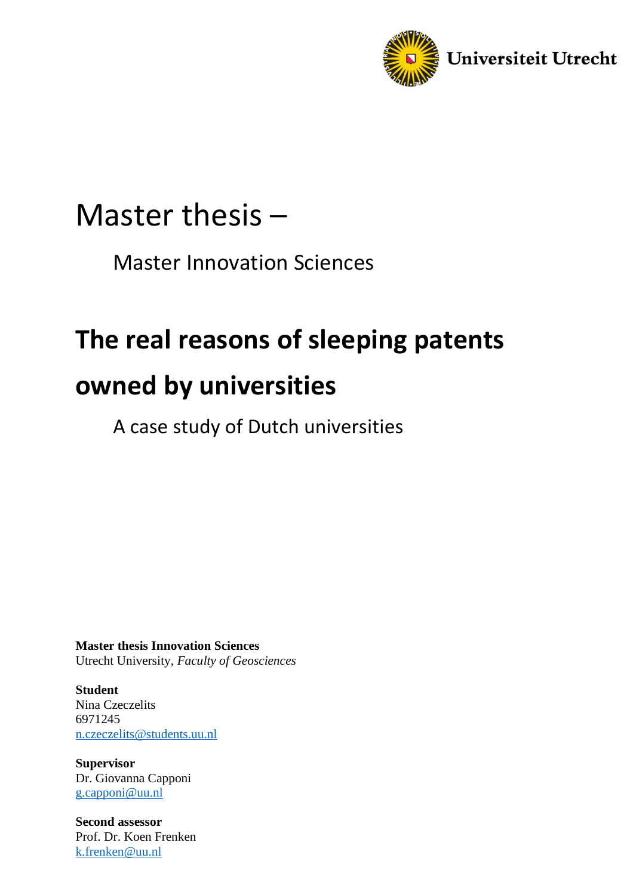

# Master thesis –

Master Innovation Sciences

# **The real reasons of sleeping patents**

# **owned by universities**

A case study of Dutch universities

**Master thesis Innovation Sciences** Utrecht University, *Faculty of Geosciences*

**Student** Nina Czeczelits 6971245 [n.czeczelits@students.uu.nl](mailto:n.czeczelits@students.uu.nl)

**Supervisor** Dr. Giovanna Capponi [g.capponi@uu.nl](mailto:g.capponi@uu.nl)

**Second assessor** Prof. Dr. Koen Frenken k.frenken@uu.nl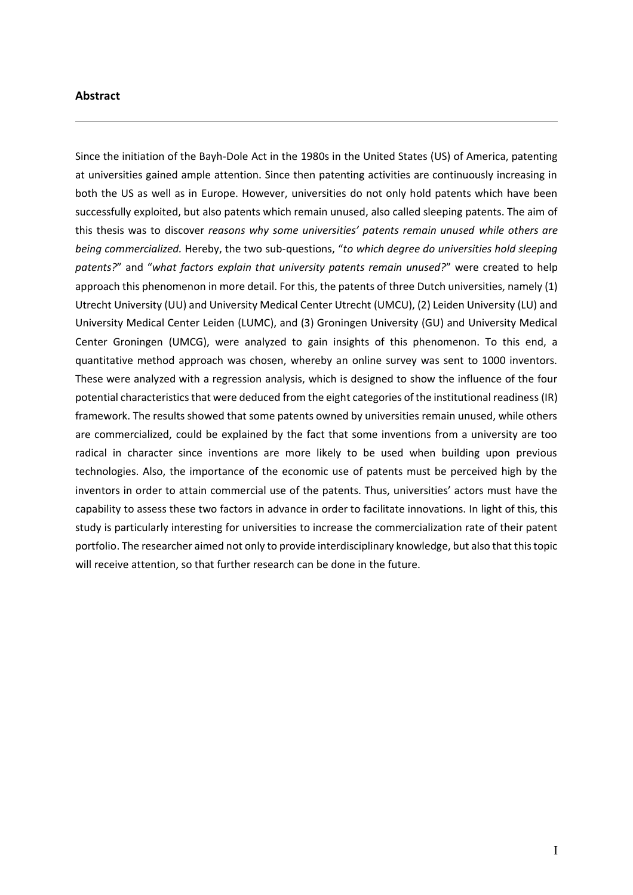#### <span id="page-1-0"></span>**Abstract**

Since the initiation of the Bayh-Dole Act in the 1980s in the United States (US) of America, patenting at universities gained ample attention. Since then patenting activities are continuously increasing in both the US as well as in Europe. However, universities do not only hold patents which have been successfully exploited, but also patents which remain unused, also called sleeping patents. The aim of this thesis was to discover *reasons why some universities' patents remain unused while others are being commercialized.* Hereby, the two sub-questions, "*to which degree do universities hold sleeping patents?*" and "*what factors explain that university patents remain unused?*" were created to help approach this phenomenon in more detail. For this, the patents of three Dutch universities, namely (1) Utrecht University (UU) and University Medical Center Utrecht (UMCU), (2) Leiden University (LU) and University Medical Center Leiden (LUMC), and (3) Groningen University (GU) and University Medical Center Groningen (UMCG), were analyzed to gain insights of this phenomenon. To this end, a quantitative method approach was chosen, whereby an online survey was sent to 1000 inventors. These were analyzed with a regression analysis, which is designed to show the influence of the four potential characteristics that were deduced from the eight categories of the institutional readiness (IR) framework. The results showed that some patents owned by universities remain unused, while others are commercialized, could be explained by the fact that some inventions from a university are too radical in character since inventions are more likely to be used when building upon previous technologies. Also, the importance of the economic use of patents must be perceived high by the inventors in order to attain commercial use of the patents. Thus, universities' actors must have the capability to assess these two factors in advance in order to facilitate innovations. In light of this, this study is particularly interesting for universities to increase the commercialization rate of their patent portfolio. The researcher aimed not only to provide interdisciplinary knowledge, but also that this topic will receive attention, so that further research can be done in the future.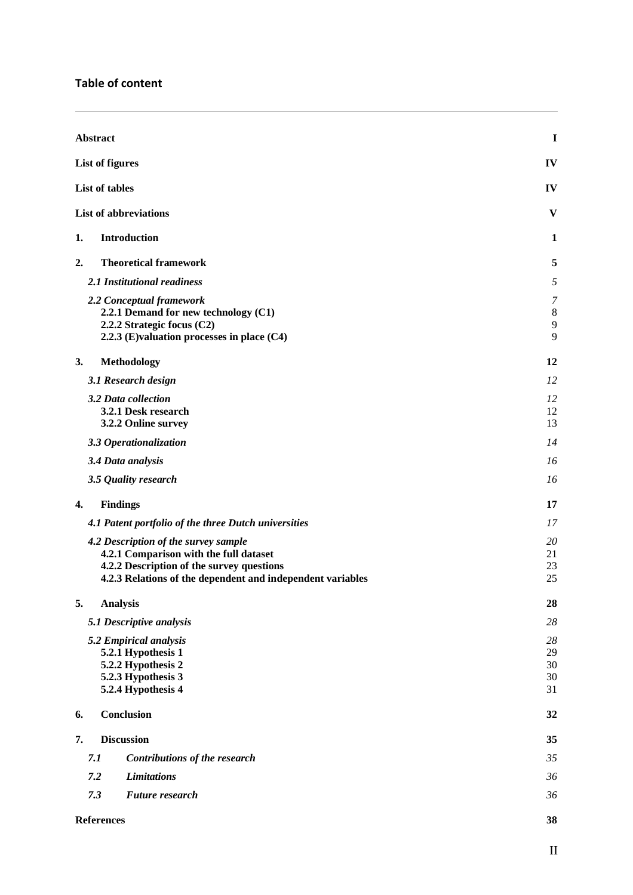| Abstract                                                                                                                                                                                  | I                          |
|-------------------------------------------------------------------------------------------------------------------------------------------------------------------------------------------|----------------------------|
| <b>List of figures</b>                                                                                                                                                                    | IV                         |
| List of tables                                                                                                                                                                            | IV                         |
| <b>List of abbreviations</b>                                                                                                                                                              | V                          |
| <b>Introduction</b><br>1.                                                                                                                                                                 | 1                          |
| <b>Theoretical framework</b><br>2.                                                                                                                                                        | 5                          |
| 2.1 Institutional readiness                                                                                                                                                               | 5                          |
| 2.2 Conceptual framework<br>2.2.1 Demand for new technology (C1)<br>2.2.2 Strategic focus (C2)<br>2.2.3 (E)valuation processes in place (C4)                                              | 7<br>8<br>9<br>9           |
| 3.<br>Methodology                                                                                                                                                                         | 12                         |
| 3.1 Research design                                                                                                                                                                       | 12                         |
| 3.2 Data collection<br>3.2.1 Desk research<br>3.2.2 Online survey                                                                                                                         | 12<br>12<br>13             |
| 3.3 Operationalization                                                                                                                                                                    | 14                         |
| 3.4 Data analysis                                                                                                                                                                         | 16                         |
| 3.5 Quality research                                                                                                                                                                      | 16                         |
| <b>Findings</b><br>4.                                                                                                                                                                     | 17                         |
| 4.1 Patent portfolio of the three Dutch universities                                                                                                                                      | 17                         |
| 4.2 Description of the survey sample<br>4.2.1 Comparison with the full dataset<br>4.2.2 Description of the survey questions<br>4.2.3 Relations of the dependent and independent variables | 20<br>21<br>23<br>25       |
| 5.<br><b>Analysis</b>                                                                                                                                                                     | 28                         |
| 5.1 Descriptive analysis                                                                                                                                                                  | 28                         |
| 5.2 Empirical analysis<br>5.2.1 Hypothesis 1<br>5.2.2 Hypothesis 2<br>5.2.3 Hypothesis 3<br>5.2.4 Hypothesis 4                                                                            | 28<br>29<br>30<br>30<br>31 |
| Conclusion<br>6.                                                                                                                                                                          | 32                         |
| <b>Discussion</b><br>7.                                                                                                                                                                   | 35                         |
| 7.1<br>Contributions of the research                                                                                                                                                      | 35                         |
| 7.2<br><b>Limitations</b>                                                                                                                                                                 | 36                         |
| 7.3<br><b>Future research</b>                                                                                                                                                             | 36                         |
| <b>References</b>                                                                                                                                                                         | 38                         |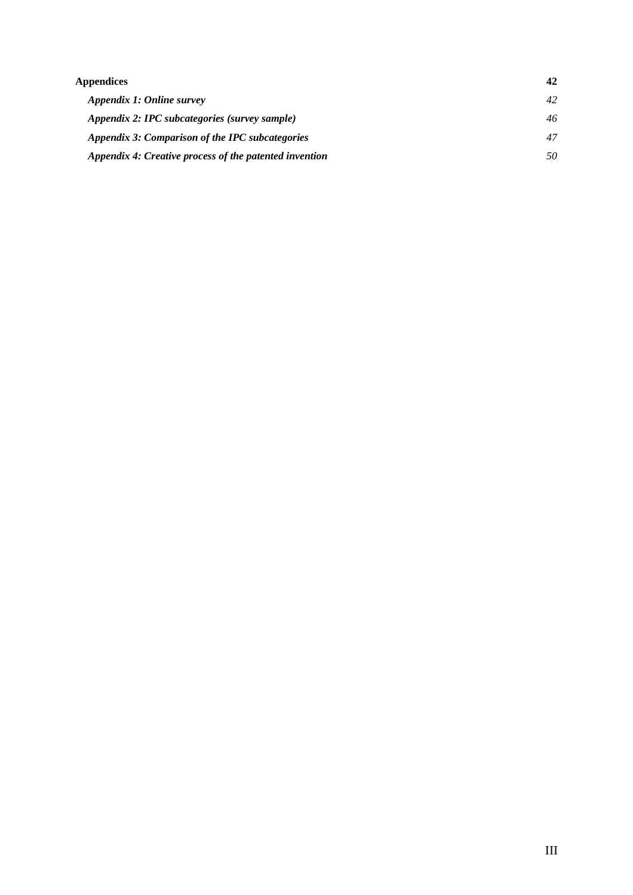| Appendices                                             |    |
|--------------------------------------------------------|----|
| Appendix 1: Online survey                              | 42 |
| Appendix 2: IPC subcategories (survey sample)          | 46 |
| Appendix 3: Comparison of the IPC subcategories        | 47 |
| Appendix 4: Creative process of the patented invention | 50 |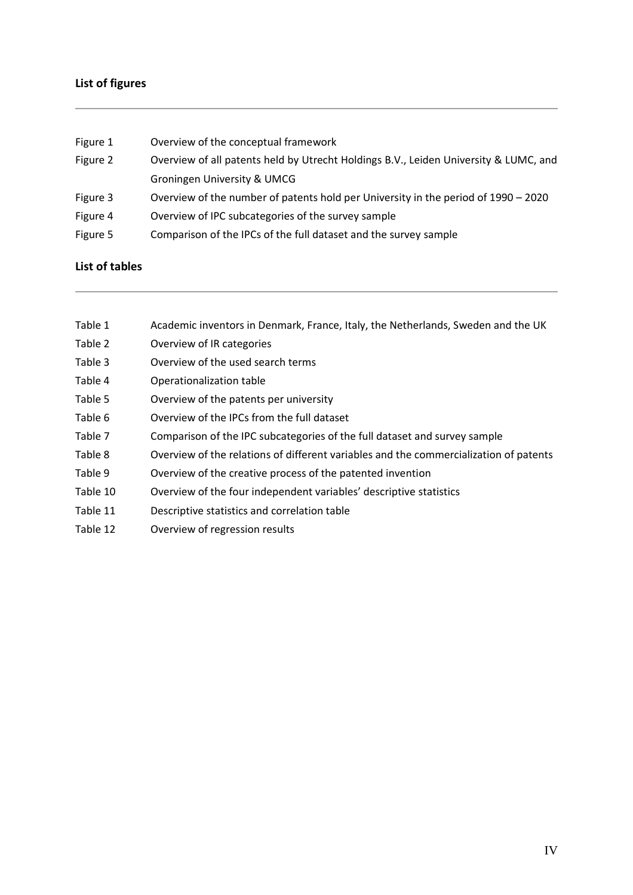# <span id="page-4-0"></span>**List of figures**

| Figure 1 | Overview of the conceptual framework                                                 |
|----------|--------------------------------------------------------------------------------------|
| Figure 2 | Overview of all patents held by Utrecht Holdings B.V., Leiden University & LUMC, and |
|          | <b>Groningen University &amp; UMCG</b>                                               |
| Figure 3 | Overview of the number of patents hold per University in the period of 1990 - 2020   |
| Figure 4 | Overview of IPC subcategories of the survey sample                                   |
| Figure 5 | Comparison of the IPCs of the full dataset and the survey sample                     |
|          |                                                                                      |

# <span id="page-4-1"></span>**List of tables**

- Table 1 Academic inventors in Denmark, France, Italy, the Netherlands, Sweden and the UK
- Table 2 Overview of IR categories
- Table 3 Overview of the used search terms
- Table 4 Operationalization table
- Table 5 Overview of the patents per university
- Table 6 Overview of the IPCs from the full dataset
- Table 7 Comparison of the IPC subcategories of the full dataset and survey sample
- Table 8 Overview of the relations of different variables and the commercialization of patents
- Table 9 Overview of the creative process of the patented invention
- Table 10 Overview of the four independent variables' descriptive statistics
- Table 11 Descriptive statistics and correlation table
- Table 12 Overview of regression results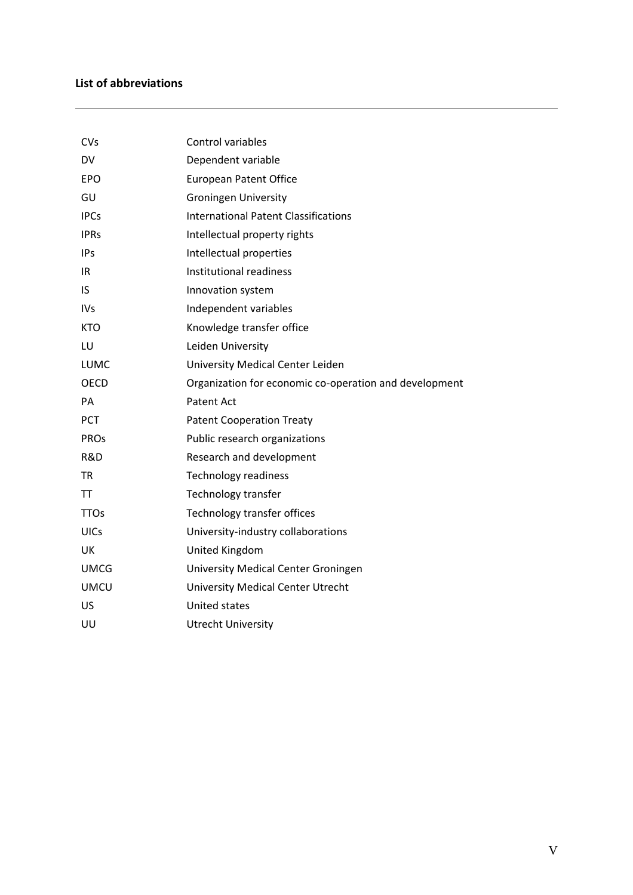# <span id="page-5-0"></span>**List of abbreviations**

| CVs         | <b>Control variables</b>                               |
|-------------|--------------------------------------------------------|
| DV          | Dependent variable                                     |
| <b>EPO</b>  | <b>European Patent Office</b>                          |
| GU          | <b>Groningen University</b>                            |
| <b>IPCs</b> | <b>International Patent Classifications</b>            |
| <b>IPRs</b> | Intellectual property rights                           |
| <b>IPs</b>  | Intellectual properties                                |
| IR          | Institutional readiness                                |
| <b>IS</b>   | Innovation system                                      |
| <b>IVs</b>  | Independent variables                                  |
| <b>KTO</b>  | Knowledge transfer office                              |
| LU          | Leiden University                                      |
| LUMC        | University Medical Center Leiden                       |
| <b>OECD</b> | Organization for economic co-operation and development |
| PA          | Patent Act                                             |
| <b>PCT</b>  | <b>Patent Cooperation Treaty</b>                       |
| <b>PROS</b> | Public research organizations                          |
| R&D         | Research and development                               |
| <b>TR</b>   | <b>Technology readiness</b>                            |
| <b>TT</b>   | Technology transfer                                    |
| <b>TTOs</b> | Technology transfer offices                            |
| <b>UICs</b> | University-industry collaborations                     |
| UK          | United Kingdom                                         |
| <b>UMCG</b> | University Medical Center Groningen                    |
| <b>UMCU</b> | <b>University Medical Center Utrecht</b>               |
| US          | <b>United states</b>                                   |
| UU          | <b>Utrecht University</b>                              |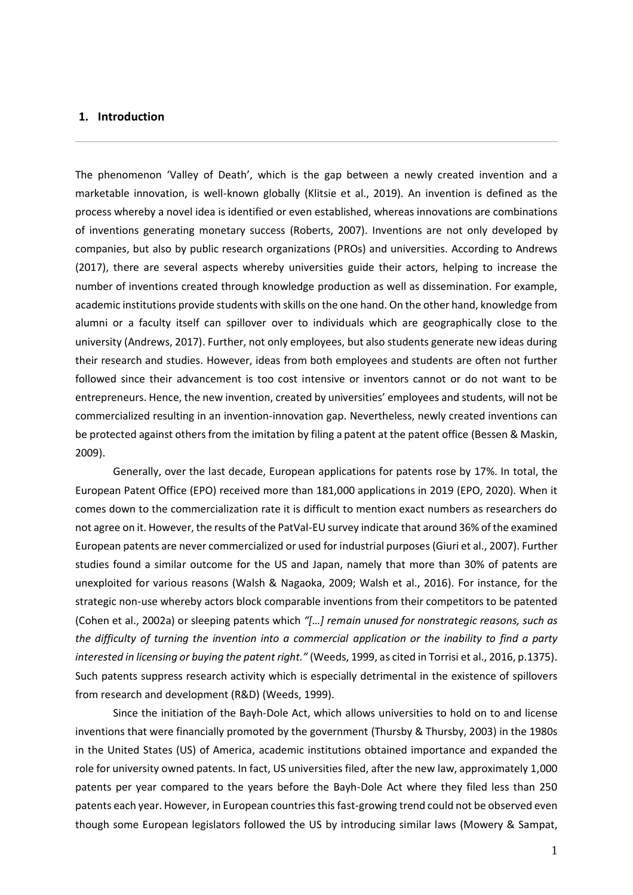#### <span id="page-6-0"></span>**1. Introduction**

The phenomenon 'Valley of Death', which is the gap between a newly created invention and a marketable innovation, is well-known globally (Klitsie et al., 2019). An invention is defined as the process whereby a novel idea is identified or even established, whereas innovations are combinations of inventions generating monetary success (Roberts, 2007). Inventions are not only developed by companies, but also by public research organizations (PROs) and universities. According to Andrews (2017), there are several aspects whereby universities guide their actors, helping to increase the number of inventions created through knowledge production as well as dissemination. For example, academic institutions provide students with skills on the one hand. On the other hand, knowledge from alumni or a faculty itself can spillover over to individuals which are geographically close to the university (Andrews, 2017). Further, not only employees, but also students generate new ideas during their research and studies. However, ideas from both employees and students are often not further followed since their advancement is too cost intensive or inventors cannot or do not want to be entrepreneurs. Hence, the new invention, created by universities' employees and students, will not be commercialized resulting in an invention-innovation gap. Nevertheless, newly created inventions can be protected against others from the imitation by filing a patent at the patent office (Bessen & Maskin, 2009).

Generally, over the last decade, European applications for patents rose by 17%. In total, the European Patent Office (EPO) received more than 181,000 applications in 2019 (EPO, 2020). When it comes down to the commercialization rate it is difficult to mention exact numbers as researchers do not agree on it. However, the results of the PatVal-EU survey indicate that around 36% of the examined European patents are never commercialized or used for industrial purposes (Giuri et al., 2007). Further studies found a similar outcome for the US and Japan, namely that more than 30% of patents are unexploited for various reasons (Walsh & Nagaoka, 2009; Walsh et al., 2016). For instance, for the strategic non-use whereby actors block comparable inventions from their competitors to be patented (Cohen et al., 2002a) or sleeping patents which *"[…] remain unused for nonstrategic reasons, such as the difficulty of turning the invention into a commercial application or the inability to find a party interested in licensing or buying the patent right."* (Weeds, 1999, as cited in Torrisi et al., 2016, p.1375). Such patents suppress research activity which is especially detrimental in the existence of spillovers from research and development (R&D) (Weeds, 1999).

Since the initiation of the Bayh-Dole Act, which allows universities to hold on to and license inventions that were financially promoted by the government (Thursby & Thursby, 2003) in the 1980s in the United States (US) of America, academic institutions obtained importance and expanded the role for university owned patents. In fact, US universities filed, after the new law, approximately 1,000 patents per year compared to the years before the Bayh-Dole Act where they filed less than 250 patents each year. However, in European countries this fast-growing trend could not be observed even though some European legislators followed the US by introducing similar laws (Mowery & Sampat,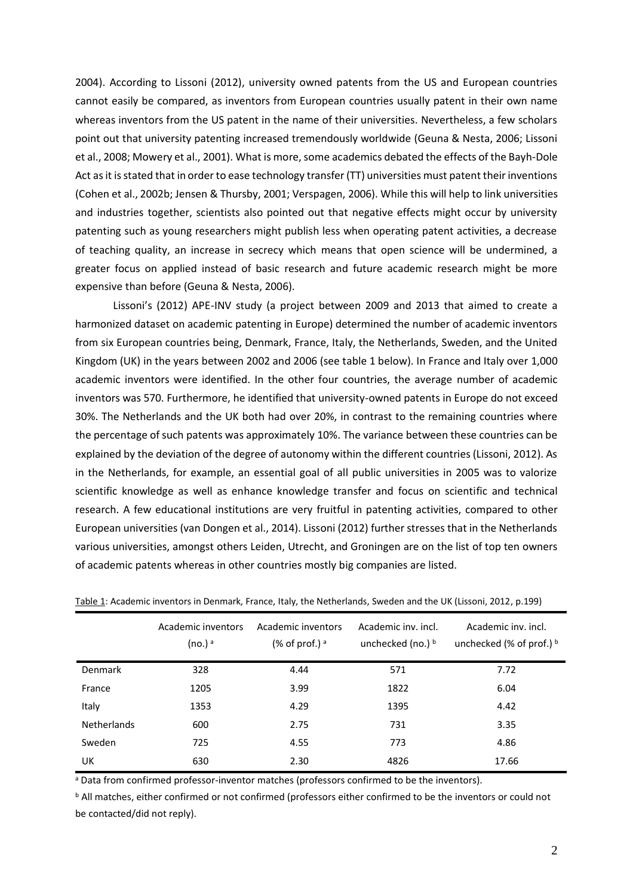2004). According to Lissoni (2012), university owned patents from the US and European countries cannot easily be compared, as inventors from European countries usually patent in their own name whereas inventors from the US patent in the name of their universities. Nevertheless, a few scholars point out that university patenting increased tremendously worldwide (Geuna & Nesta, 2006; Lissoni et al., 2008; Mowery et al., 2001). What is more, some academics debated the effects of the Bayh-Dole Act as it is stated that in order to ease technology transfer (TT) universities must patent their inventions (Cohen et al., 2002b; Jensen & Thursby, 2001; Verspagen, 2006). While this will help to link universities and industries together, scientists also pointed out that negative effects might occur by university patenting such as young researchers might publish less when operating patent activities, a decrease of teaching quality, an increase in secrecy which means that open science will be undermined, a greater focus on applied instead of basic research and future academic research might be more expensive than before (Geuna & Nesta, 2006).

Lissoni's (2012) APE-INV study (a project between 2009 and 2013 that aimed to create a harmonized dataset on academic patenting in Europe) determined the number of academic inventors from six European countries being, Denmark, France, Italy, the Netherlands, Sweden, and the United Kingdom (UK) in the years between 2002 and 2006 (see table 1 below). In France and Italy over 1,000 academic inventors were identified. In the other four countries, the average number of academic inventors was 570. Furthermore, he identified that university-owned patents in Europe do not exceed 30%. The Netherlands and the UK both had over 20%, in contrast to the remaining countries where the percentage of such patents was approximately 10%. The variance between these countries can be explained by the deviation of the degree of autonomy within the different countries (Lissoni, 2012). As in the Netherlands, for example, an essential goal of all public universities in 2005 was to valorize scientific knowledge as well as enhance knowledge transfer and focus on scientific and technical research. A few educational institutions are very fruitful in patenting activities, compared to other European universities (van Dongen et al., 2014). Lissoni (2012) further stresses that in the Netherlands various universities, amongst others Leiden, Utrecht, and Groningen are on the list of top ten owners of academic patents whereas in other countries mostly big companies are listed.

|                    | Academic inventors<br>(no.) <sup>a</sup> | Academic inventors<br>$%$ of prof.) $^a$ | Academic inv. incl.<br>unchecked (no.) $\frac{b}{b}$ | Academic inv. incl.<br>unchecked (% of prof.) $\frac{b}{2}$ |
|--------------------|------------------------------------------|------------------------------------------|------------------------------------------------------|-------------------------------------------------------------|
| <b>Denmark</b>     | 328                                      | 4.44                                     | 571                                                  | 7.72                                                        |
| France             | 1205                                     | 3.99                                     | 1822                                                 | 6.04                                                        |
| Italy              | 1353                                     | 4.29                                     | 1395                                                 | 4.42                                                        |
| <b>Netherlands</b> | 600                                      | 2.75                                     | 731                                                  | 3.35                                                        |
| Sweden             | 725                                      | 4.55                                     | 773                                                  | 4.86                                                        |
| UK                 | 630                                      | 2.30                                     | 4826                                                 | 17.66                                                       |

Table 1: Academic inventors in Denmark, France, Italy, the Netherlands, Sweden and the UK (Lissoni, 2012, p.199)

<sup>a</sup> Data from confirmed professor-inventor matches (professors confirmed to be the inventors).

<sup>b</sup> All matches, either confirmed or not confirmed (professors either confirmed to be the inventors or could not be contacted/did not reply).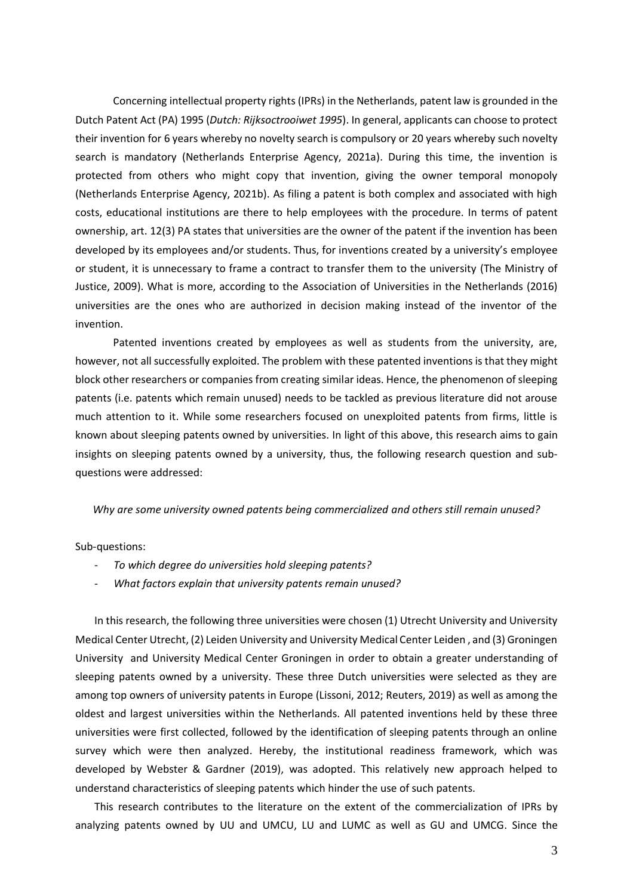Concerning intellectual property rights (IPRs) in the Netherlands, patent law is grounded in the Dutch Patent Act (PA) 1995 (*Dutch: Rijksoctrooiwet 1995*). In general, applicants can choose to protect their invention for 6 years whereby no novelty search is compulsory or 20 years whereby such novelty search is mandatory (Netherlands Enterprise Agency, 2021a). During this time, the invention is protected from others who might copy that invention, giving the owner temporal monopoly (Netherlands Enterprise Agency, 2021b). As filing a patent is both complex and associated with high costs, educational institutions are there to help employees with the procedure. In terms of patent ownership, art. 12(3) PA states that universities are the owner of the patent if the invention has been developed by its employees and/or students. Thus, for inventions created by a university's employee or student, it is unnecessary to frame a contract to transfer them to the university (The Ministry of Justice, 2009). What is more, according to the Association of Universities in the Netherlands (2016) universities are the ones who are authorized in decision making instead of the inventor of the invention.

Patented inventions created by employees as well as students from the university, are, however, not all successfully exploited. The problem with these patented inventions is that they might block other researchers or companies from creating similar ideas. Hence, the phenomenon of sleeping patents (i.e. patents which remain unused) needs to be tackled as previous literature did not arouse much attention to it. While some researchers focused on unexploited patents from firms, little is known about sleeping patents owned by universities. In light of this above, this research aims to gain insights on sleeping patents owned by a university, thus, the following research question and subquestions were addressed:

#### *Why are some university owned patents being commercialized and others still remain unused?*

#### Sub-questions:

- *To which degree do universities hold sleeping patents?*
- *What factors explain that university patents remain unused?*

In this research, the following three universities were chosen (1) Utrecht University and University Medical Center Utrecht, (2) Leiden University and University Medical Center Leiden , and (3) Groningen University and University Medical Center Groningen in order to obtain a greater understanding of sleeping patents owned by a university. These three Dutch universities were selected as they are among top owners of university patents in Europe (Lissoni, 2012; Reuters, 2019) as well as among the oldest and largest universities within the Netherlands. All patented inventions held by these three universities were first collected, followed by the identification of sleeping patents through an online survey which were then analyzed. Hereby, the institutional readiness framework, which was developed by Webster & Gardner (2019), was adopted. This relatively new approach helped to understand characteristics of sleeping patents which hinder the use of such patents.

This research contributes to the literature on the extent of the commercialization of IPRs by analyzing patents owned by UU and UMCU, LU and LUMC as well as GU and UMCG. Since the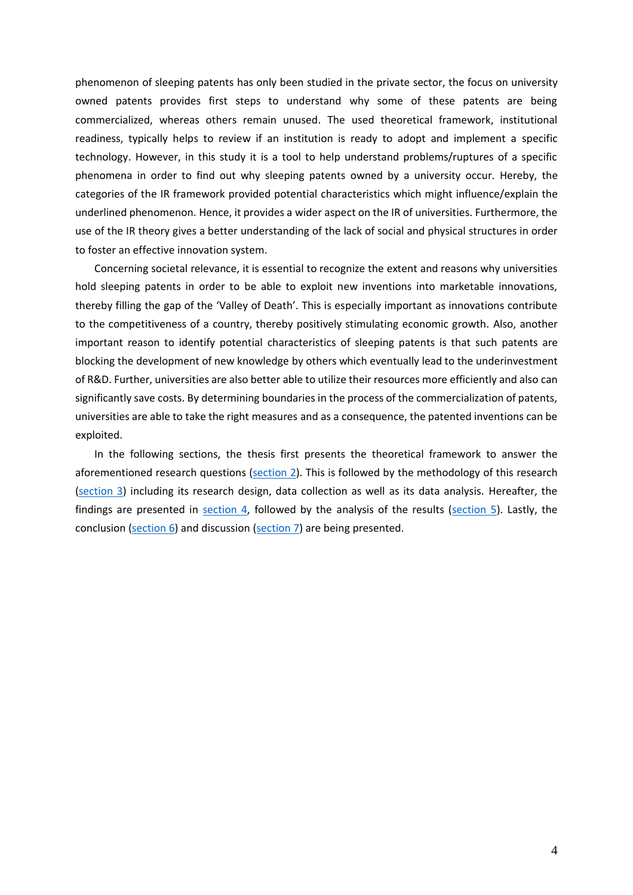phenomenon of sleeping patents has only been studied in the private sector, the focus on university owned patents provides first steps to understand why some of these patents are being commercialized, whereas others remain unused. The used theoretical framework, institutional readiness, typically helps to review if an institution is ready to adopt and implement a specific technology. However, in this study it is a tool to help understand problems/ruptures of a specific phenomena in order to find out why sleeping patents owned by a university occur. Hereby, the categories of the IR framework provided potential characteristics which might influence/explain the underlined phenomenon. Hence, it provides a wider aspect on the IR of universities. Furthermore, the use of the IR theory gives a better understanding of the lack of social and physical structures in order to foster an effective innovation system.

Concerning societal relevance, it is essential to recognize the extent and reasons why universities hold sleeping patents in order to be able to exploit new inventions into marketable innovations, thereby filling the gap of the 'Valley of Death'. This is especially important as innovations contribute to the competitiveness of a country, thereby positively stimulating economic growth. Also, another important reason to identify potential characteristics of sleeping patents is that such patents are blocking the development of new knowledge by others which eventually lead to the underinvestment of R&D. Further, universities are also better able to utilize their resources more efficiently and also can significantly save costs. By determining boundaries in the process of the commercialization of patents, universities are able to take the right measures and as a consequence, the patented inventions can be exploited.

In the following sections, the thesis first presents the theoretical framework to answer the aforementioned research questions [\(section 2\)](#page-10-0). This is followed by the methodology of this research [\(section 3\)](#page-17-0) including its research design, data collection as well as its data analysis. Hereafter, the findings are presented in [section 4,](#page-22-0) followed by the analysis of the results [\(section 5\)](#page-33-0). Lastly, the conclusion [\(section 6\)](#page-37-0) and discussion [\(section 7\)](#page-40-0) are being presented.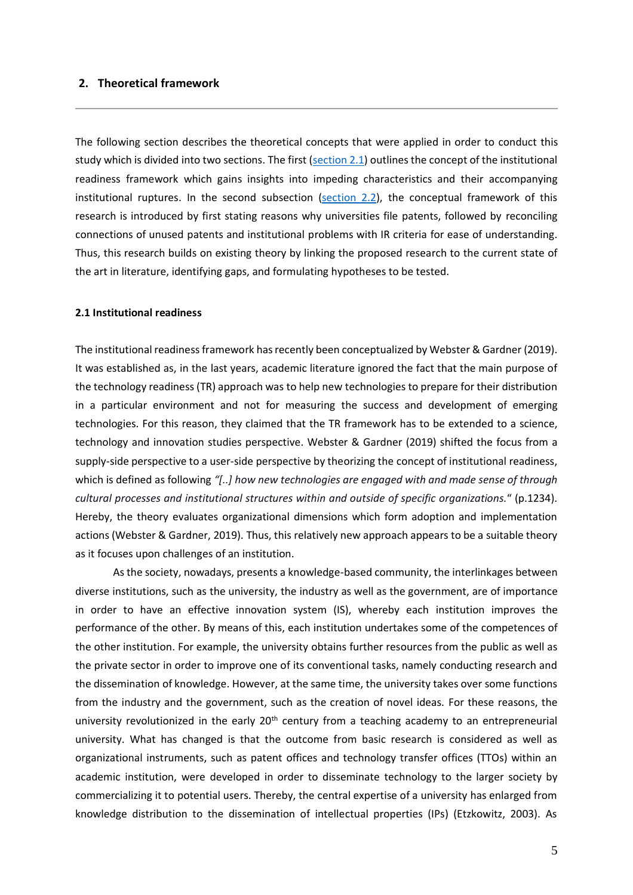#### <span id="page-10-0"></span>**2. Theoretical framework**

The following section describes the theoretical concepts that were applied in order to conduct this study which is divided into two sections. The first [\(section 2.1\)](#page-10-1) outlines the concept of the institutional readiness framework which gains insights into impeding characteristics and their accompanying institutional ruptures. In the second subsection [\(section 2.2\)](#page-12-0), the conceptual framework of this research is introduced by first stating reasons why universities file patents, followed by reconciling connections of unused patents and institutional problems with IR criteria for ease of understanding. Thus, this research builds on existing theory by linking the proposed research to the current state of the art in literature, identifying gaps, and formulating hypotheses to be tested.

#### <span id="page-10-1"></span>**2.1 Institutional readiness**

The institutional readinessframework has recently been conceptualized by Webster & Gardner (2019). It was established as, in the last years, academic literature ignored the fact that the main purpose of the technology readiness (TR) approach was to help new technologies to prepare for their distribution in a particular environment and not for measuring the success and development of emerging technologies. For this reason, they claimed that the TR framework has to be extended to a science, technology and innovation studies perspective. Webster & Gardner (2019) shifted the focus from a supply-side perspective to a user-side perspective by theorizing the concept of institutional readiness, which is defined as following *"[..] how new technologies are engaged with and made sense of through cultural processes and institutional structures within and outside of specific organizations.*" (p.1234). Hereby, the theory evaluates organizational dimensions which form adoption and implementation actions (Webster & Gardner, 2019). Thus, this relatively new approach appears to be a suitable theory as it focuses upon challenges of an institution.

As the society, nowadays, presents a knowledge-based community, the interlinkages between diverse institutions, such as the university, the industry as well as the government, are of importance in order to have an effective innovation system (IS), whereby each institution improves the performance of the other. By means of this, each institution undertakes some of the competences of the other institution. For example, the university obtains further resources from the public as well as the private sector in order to improve one of its conventional tasks, namely conducting research and the dissemination of knowledge. However, at the same time, the university takes over some functions from the industry and the government, such as the creation of novel ideas. For these reasons, the university revolutionized in the early  $20<sup>th</sup>$  century from a teaching academy to an entrepreneurial university. What has changed is that the outcome from basic research is considered as well as organizational instruments, such as patent offices and technology transfer offices (TTOs) within an academic institution, were developed in order to disseminate technology to the larger society by commercializing it to potential users. Thereby, the central expertise of a university has enlarged from knowledge distribution to the dissemination of intellectual properties (IPs) (Etzkowitz, 2003). As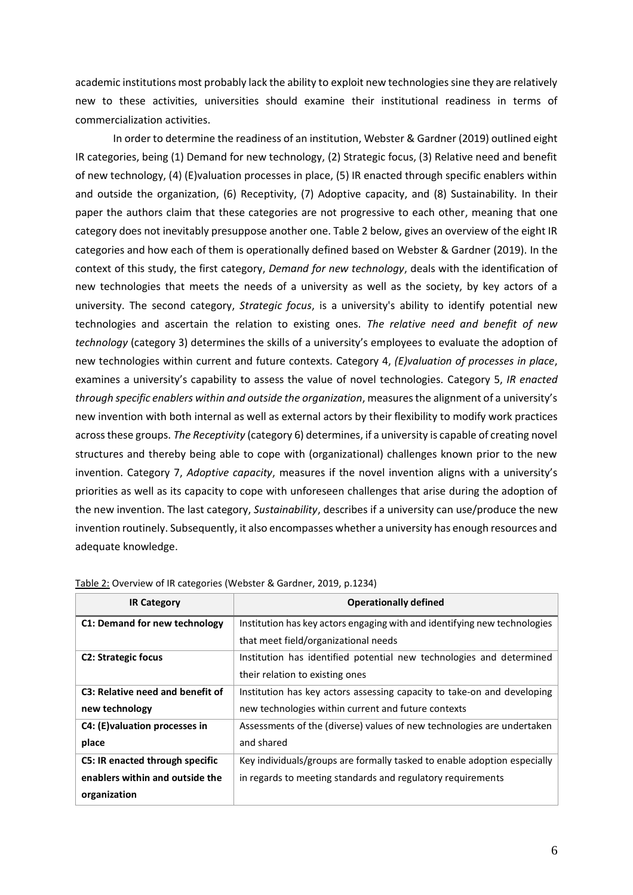academic institutions most probably lack the ability to exploit new technologiessine they are relatively new to these activities, universities should examine their institutional readiness in terms of commercialization activities.

In order to determine the readiness of an institution, Webster & Gardner (2019) outlined eight IR categories, being (1) Demand for new technology, (2) Strategic focus, (3) Relative need and benefit of new technology, (4) (E)valuation processes in place, (5) IR enacted through specific enablers within and outside the organization, (6) Receptivity, (7) Adoptive capacity, and (8) Sustainability. In their paper the authors claim that these categories are not progressive to each other, meaning that one category does not inevitably presuppose another one. Table 2 below, gives an overview of the eight IR categories and how each of them is operationally defined based on Webster & Gardner (2019). In the context of this study, the first category, *Demand for new technology*, deals with the identification of new technologies that meets the needs of a university as well as the society, by key actors of a university. The second category, *Strategic focus*, is a university's ability to identify potential new technologies and ascertain the relation to existing ones. *The relative need and benefit of new technology* (category 3) determines the skills of a university's employees to evaluate the adoption of new technologies within current and future contexts. Category 4, *(E)valuation of processes in place*, examines a university's capability to assess the value of novel technologies. Category 5, *IR enacted through specific enablers within and outside the organization*, measures the alignment of a university's new invention with both internal as well as external actors by their flexibility to modify work practices across these groups. *The Receptivity* (category 6) determines, if a university is capable of creating novel structures and thereby being able to cope with (organizational) challenges known prior to the new invention. Category 7, *Adoptive capacity*, measures if the novel invention aligns with a university's priorities as well as its capacity to cope with unforeseen challenges that arise during the adoption of the new invention. The last category, *Sustainability*, describes if a university can use/produce the new invention routinely. Subsequently, it also encompasses whether a university has enough resources and adequate knowledge.

| <b>IR Category</b>               | <b>Operationally defined</b>                                              |
|----------------------------------|---------------------------------------------------------------------------|
| C1: Demand for new technology    | Institution has key actors engaging with and identifying new technologies |
|                                  | that meet field/organizational needs                                      |
| <b>C2: Strategic focus</b>       | Institution has identified potential new technologies and determined      |
|                                  | their relation to existing ones                                           |
| C3: Relative need and benefit of | Institution has key actors assessing capacity to take-on and developing   |
| new technology                   | new technologies within current and future contexts                       |
| C4: (E) valuation processes in   | Assessments of the (diverse) values of new technologies are undertaken    |
| place                            | and shared                                                                |
| C5: IR enacted through specific  | Key individuals/groups are formally tasked to enable adoption especially  |
| enablers within and outside the  | in regards to meeting standards and regulatory requirements               |
| organization                     |                                                                           |

Table 2: Overview of IR categories (Webster & Gardner, 2019, p.1234)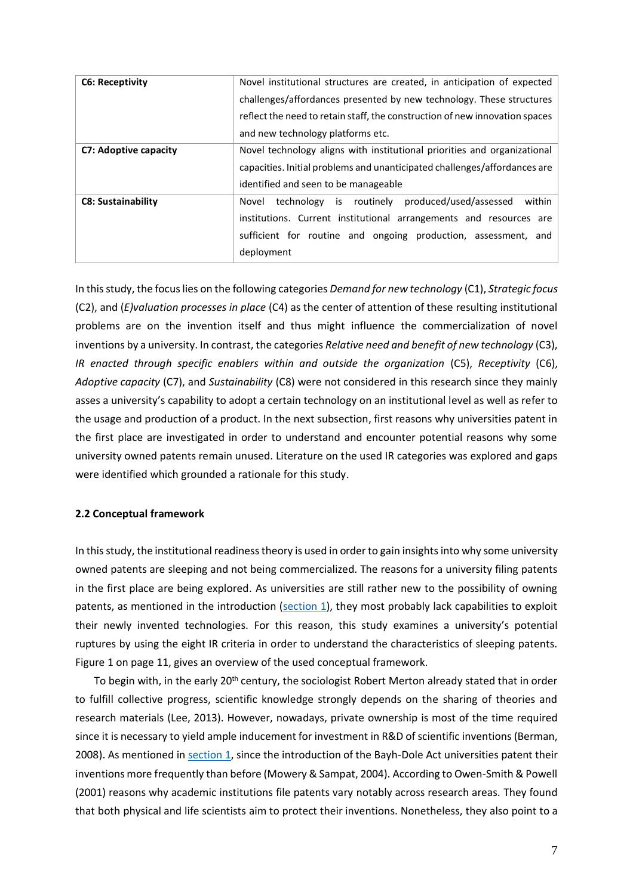| <b>C6: Receptivity</b>    | Novel institutional structures are created, in anticipation of expected     |  |  |  |  |
|---------------------------|-----------------------------------------------------------------------------|--|--|--|--|
|                           | challenges/affordances presented by new technology. These structures        |  |  |  |  |
|                           | reflect the need to retain staff, the construction of new innovation spaces |  |  |  |  |
|                           | and new technology platforms etc.                                           |  |  |  |  |
| C7: Adoptive capacity     | Novel technology aligns with institutional priorities and organizational    |  |  |  |  |
|                           | capacities. Initial problems and unanticipated challenges/affordances are   |  |  |  |  |
|                           | identified and seen to be manageable                                        |  |  |  |  |
| <b>C8: Sustainability</b> | technology is routinely produced/used/assessed<br>within<br>Novel           |  |  |  |  |
|                           | institutions. Current institutional arrangements and resources are          |  |  |  |  |
|                           | sufficient for routine and ongoing production, assessment, and              |  |  |  |  |
|                           | deployment                                                                  |  |  |  |  |

In this study, the focus lies on the following categories *Demand for new technology* (C1), *Strategic focus* (C2), and (*E)valuation processes in place* (C4) as the center of attention of these resulting institutional problems are on the invention itself and thus might influence the commercialization of novel inventions by a university. In contrast, the categories *Relative need and benefit of new technology* (C3), *IR enacted through specific enablers within and outside the organization* (C5), *Receptivity* (C6), *Adoptive capacity* (C7), and *Sustainability* (C8) were not considered in this research since they mainly asses a university's capability to adopt a certain technology on an institutional level as well as refer to the usage and production of a product. In the next subsection, first reasons why universities patent in the first place are investigated in order to understand and encounter potential reasons why some university owned patents remain unused. Literature on the used IR categories was explored and gaps were identified which grounded a rationale for this study.

#### <span id="page-12-0"></span>**2.2 Conceptual framework**

In this study, the institutional readiness theory is used in order to gain insights into why some university owned patents are sleeping and not being commercialized. The reasons for a university filing patents in the first place are being explored. As universities are still rather new to the possibility of owning patents, as mentioned in the introduction [\(section 1\)](#page-6-0), they most probably lack capabilities to exploit their newly invented technologies. For this reason, this study examines a university's potential ruptures by using the eight IR criteria in order to understand the characteristics of sleeping patents. Figure 1 on page 11, gives an overview of the used conceptual framework.

To begin with, in the early 20<sup>th</sup> century, the sociologist Robert Merton already stated that in order to fulfill collective progress, scientific knowledge strongly depends on the sharing of theories and research materials (Lee, 2013). However, nowadays, private ownership is most of the time required since it is necessary to yield ample inducement for investment in R&D of scientific inventions (Berman, 2008). As mentioned in [section 1,](#page-6-0) since the introduction of the Bayh-Dole Act universities patent their inventions more frequently than before (Mowery & Sampat, 2004). According to Owen-Smith & Powell (2001) reasons why academic institutions file patents vary notably across research areas. They found that both physical and life scientists aim to protect their inventions. Nonetheless, they also point to a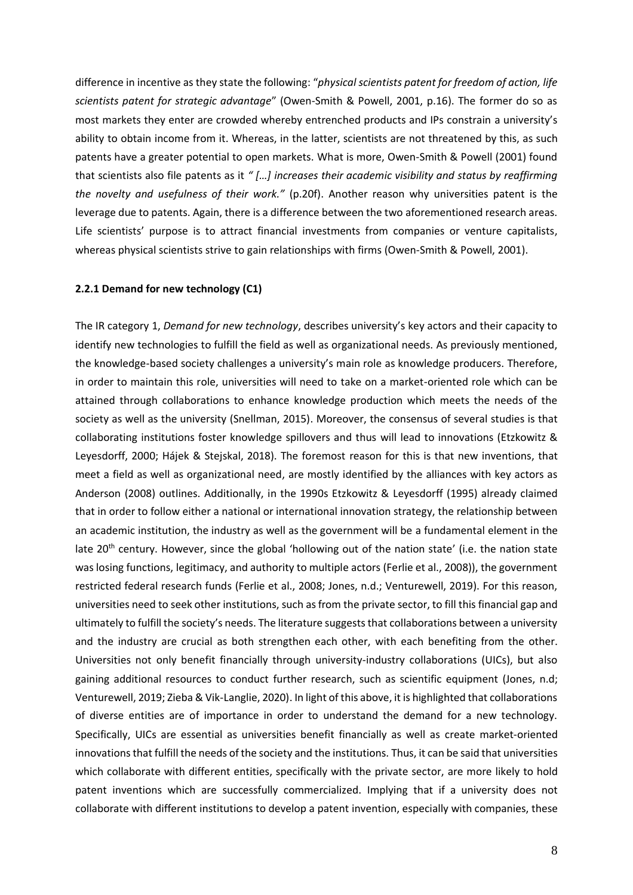difference in incentive as they state the following: "*physical scientists patent for freedom of action, life scientists patent for strategic advantage*" (Owen-Smith & Powell, 2001, p.16). The former do so as most markets they enter are crowded whereby entrenched products and IPs constrain a university's ability to obtain income from it. Whereas, in the latter, scientists are not threatened by this, as such patents have a greater potential to open markets. What is more, Owen-Smith & Powell (2001) found that scientists also file patents as it *" […] increases their academic visibility and status by reaffirming the novelty and usefulness of their work."* (p.20f). Another reason why universities patent is the leverage due to patents. Again, there is a difference between the two aforementioned research areas. Life scientists' purpose is to attract financial investments from companies or venture capitalists, whereas physical scientists strive to gain relationships with firms (Owen-Smith & Powell, 2001).

#### <span id="page-13-0"></span>**2.2.1 Demand for new technology (C1)**

The IR category 1, *Demand for new technology*, describes university's key actors and their capacity to identify new technologies to fulfill the field as well as organizational needs. As previously mentioned, the knowledge-based society challenges a university's main role as knowledge producers. Therefore, in order to maintain this role, universities will need to take on a market-oriented role which can be attained through collaborations to enhance knowledge production which meets the needs of the society as well as the university (Snellman, 2015). Moreover, the consensus of several studies is that collaborating institutions foster knowledge spillovers and thus will lead to innovations (Etzkowitz & Leyesdorff, 2000; Hájek & Stejskal, 2018). The foremost reason for this is that new inventions, that meet a field as well as organizational need, are mostly identified by the alliances with key actors as Anderson (2008) outlines. Additionally, in the 1990s Etzkowitz & Leyesdorff (1995) already claimed that in order to follow either a national or international innovation strategy, the relationship between an academic institution, the industry as well as the government will be a fundamental element in the late 20<sup>th</sup> century. However, since the global 'hollowing out of the nation state' (i.e. the nation state was losing functions, legitimacy, and authority to multiple actors (Ferlie et al., 2008)), the government restricted federal research funds (Ferlie et al., 2008; Jones, n.d.; Venturewell, 2019). For this reason, universities need to seek other institutions, such as from the private sector, to fill this financial gap and ultimately to fulfill the society's needs. The literature suggests that collaborations between a university and the industry are crucial as both strengthen each other, with each benefiting from the other. Universities not only benefit financially through university-industry collaborations (UICs), but also gaining additional resources to conduct further research, such as scientific equipment (Jones, n.d; Venturewell, 2019; Zieba & Vik-Langlie, 2020). In light of this above, it is highlighted that collaborations of diverse entities are of importance in order to understand the demand for a new technology. Specifically, UICs are essential as universities benefit financially as well as create market-oriented innovations that fulfill the needs of the society and the institutions. Thus, it can be said that universities which collaborate with different entities, specifically with the private sector, are more likely to hold patent inventions which are successfully commercialized. Implying that if a university does not collaborate with different institutions to develop a patent invention, especially with companies, these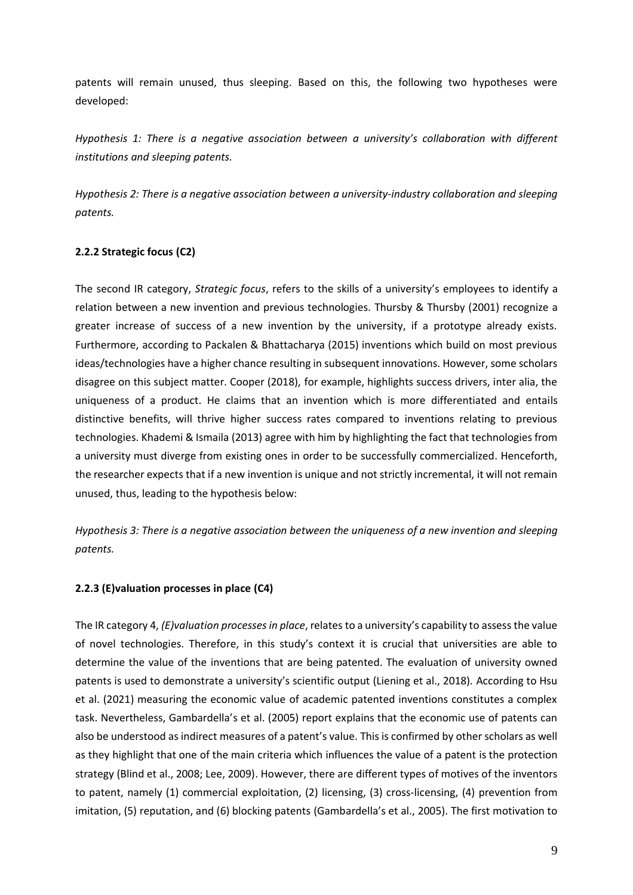patents will remain unused, thus sleeping. Based on this, the following two hypotheses were developed:

*Hypothesis 1: There is a negative association between a university's collaboration with different institutions and sleeping patents.*

*Hypothesis 2: There is a negative association between a university-industry collaboration and sleeping patents.*

# <span id="page-14-0"></span>**2.2.2 Strategic focus (C2)**

The second IR category, *Strategic focus*, refers to the skills of a university's employees to identify a relation between a new invention and previous technologies. Thursby & Thursby (2001) recognize a greater increase of success of a new invention by the university, if a prototype already exists. Furthermore, according to Packalen & Bhattacharya (2015) inventions which build on most previous ideas/technologies have a higher chance resulting in subsequent innovations. However, some scholars disagree on this subject matter. Cooper (2018), for example, highlights success drivers, inter alia, the uniqueness of a product. He claims that an invention which is more differentiated and entails distinctive benefits, will thrive higher success rates compared to inventions relating to previous technologies. Khademi & Ismaila (2013) agree with him by highlighting the fact that technologies from a university must diverge from existing ones in order to be successfully commercialized. Henceforth, the researcher expects that if a new invention is unique and not strictly incremental, it will not remain unused, thus, leading to the hypothesis below:

*Hypothesis 3: There is a negative association between the uniqueness of a new invention and sleeping patents.*

### <span id="page-14-1"></span>**2.2.3 (E)valuation processes in place (C4)**

The IR category 4, *(E)valuation processes in place*, relates to a university's capability to assess the value of novel technologies. Therefore, in this study's context it is crucial that universities are able to determine the value of the inventions that are being patented. The evaluation of university owned patents is used to demonstrate a university's scientific output (Liening et al., 2018). According to Hsu et al. (2021) measuring the economic value of academic patented inventions constitutes a complex task. Nevertheless, Gambardella's et al. (2005) report explains that the economic use of patents can also be understood as indirect measures of a patent's value. This is confirmed by other scholars as well as they highlight that one of the main criteria which influences the value of a patent is the protection strategy (Blind et al., 2008; Lee, 2009). However, there are different types of motives of the inventors to patent, namely (1) commercial exploitation, (2) licensing, (3) cross-licensing, (4) prevention from imitation, (5) reputation, and (6) blocking patents (Gambardella's et al., 2005). The first motivation to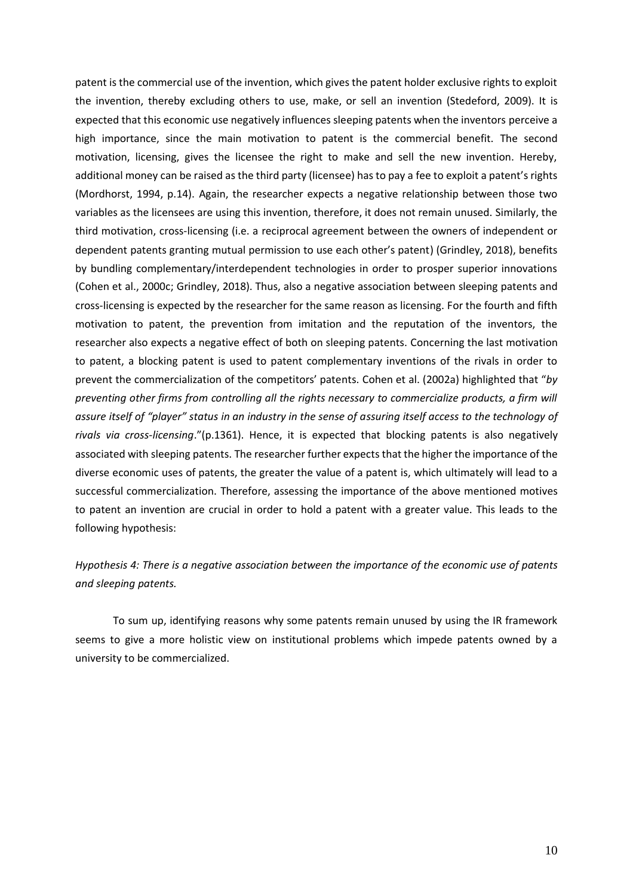patent is the commercial use of the invention, which gives the patent holder exclusive rights to exploit the invention, thereby excluding others to use, make, or sell an invention (Stedeford, 2009). It is expected that this economic use negatively influences sleeping patents when the inventors perceive a high importance, since the main motivation to patent is the commercial benefit. The second motivation, licensing, gives the licensee the right to make and sell the new invention. Hereby, additional money can be raised as the third party (licensee) has to pay a fee to exploit a patent's rights (Mordhorst, 1994, p.14). Again, the researcher expects a negative relationship between those two variables as the licensees are using this invention, therefore, it does not remain unused. Similarly, the third motivation, cross-licensing (i.e. a reciprocal agreement between the owners of independent or dependent patents granting mutual permission to use each other's patent) (Grindley, 2018), benefits by bundling complementary/interdependent technologies in order to prosper superior innovations (Cohen et al., 2000c; Grindley, 2018). Thus, also a negative association between sleeping patents and cross-licensing is expected by the researcher for the same reason as licensing. For the fourth and fifth motivation to patent, the prevention from imitation and the reputation of the inventors, the researcher also expects a negative effect of both on sleeping patents. Concerning the last motivation to patent, a blocking patent is used to patent complementary inventions of the rivals in order to prevent the commercialization of the competitors' patents. Cohen et al. (2002a) highlighted that "*by preventing other firms from controlling all the rights necessary to commercialize products, a firm will assure itself of "player" status in an industry in the sense of assuring itself access to the technology of rivals via cross-licensing*."(p.1361). Hence, it is expected that blocking patents is also negatively associated with sleeping patents. The researcher further expects that the higher the importance of the diverse economic uses of patents, the greater the value of a patent is, which ultimately will lead to a successful commercialization. Therefore, assessing the importance of the above mentioned motives to patent an invention are crucial in order to hold a patent with a greater value. This leads to the following hypothesis:

*Hypothesis 4: There is a negative association between the importance of the economic use of patents and sleeping patents.*

To sum up, identifying reasons why some patents remain unused by using the IR framework seems to give a more holistic view on institutional problems which impede patents owned by a university to be commercialized.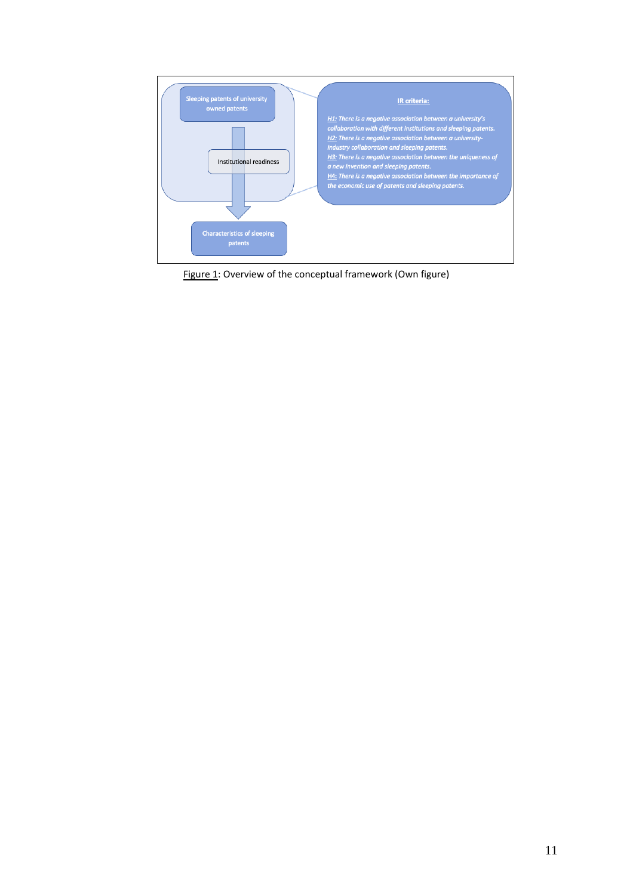

Figure 1: Overview of the conceptual framework (Own figure)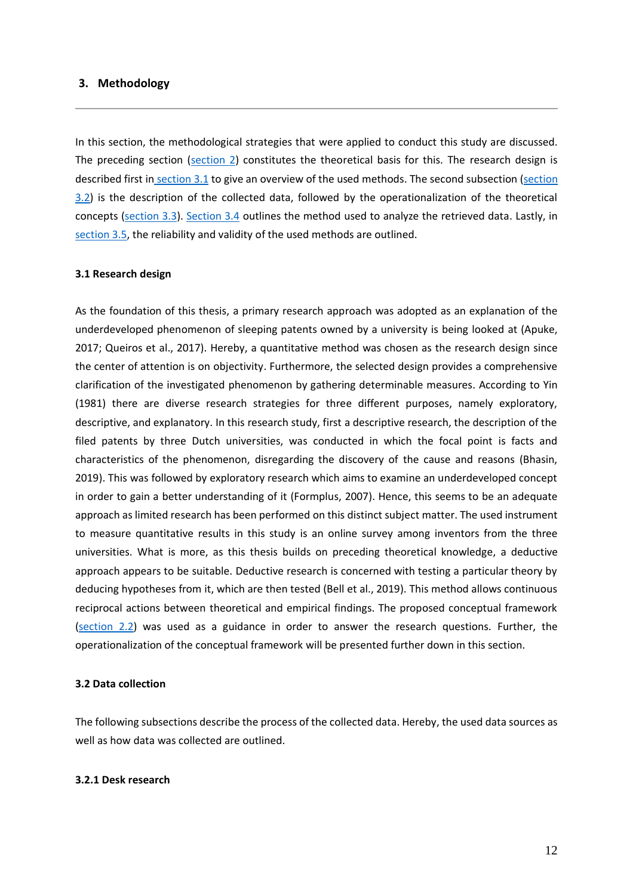#### <span id="page-17-0"></span>**3. Methodology**

In this section, the methodological strategies that were applied to conduct this study are discussed. The preceding section [\(section 2\)](#page-10-0) constitutes the theoretical basis for this. The research design is described first in [section 3.1](#page-17-1) to give an overview of the used methods. The second subsection (section [3.2\)](#page-17-2) is the description of the collected data, followed by the operationalization of the theoretical concepts [\(section 3.3\)](#page-19-0). [Section 3.4](#page-21-0) outlines the method used to analyze the retrieved data. Lastly, in [section 3.5,](#page-21-1) the reliability and validity of the used methods are outlined.

#### <span id="page-17-1"></span>**3.1 Research design**

As the foundation of this thesis, a primary research approach was adopted as an explanation of the underdeveloped phenomenon of sleeping patents owned by a university is being looked at (Apuke, 2017; Queiros et al., 2017). Hereby, a quantitative method was chosen as the research design since the center of attention is on objectivity. Furthermore, the selected design provides a comprehensive clarification of the investigated phenomenon by gathering determinable measures. According to Yin (1981) there are diverse research strategies for three different purposes, namely exploratory, descriptive, and explanatory. In this research study, first a descriptive research, the description of the filed patents by three Dutch universities, was conducted in which the focal point is facts and characteristics of the phenomenon, disregarding the discovery of the cause and reasons (Bhasin, 2019). This was followed by exploratory research which aims to examine an underdeveloped concept in order to gain a better understanding of it (Formplus, 2007). Hence, this seems to be an adequate approach as limited research has been performed on this distinct subject matter. The used instrument to measure quantitative results in this study is an online survey among inventors from the three universities. What is more, as this thesis builds on preceding theoretical knowledge, a deductive approach appears to be suitable. Deductive research is concerned with testing a particular theory by deducing hypotheses from it, which are then tested (Bell et al., 2019). This method allows continuous reciprocal actions between theoretical and empirical findings. The proposed conceptual framework [\(section 2.2\)](#page-12-0) was used as a guidance in order to answer the research questions. Further, the operationalization of the conceptual framework will be presented further down in this section.

#### <span id="page-17-2"></span>**3.2 Data collection**

The following subsections describe the process of the collected data. Hereby, the used data sources as well as how data was collected are outlined.

#### <span id="page-17-3"></span>**3.2.1 Desk research**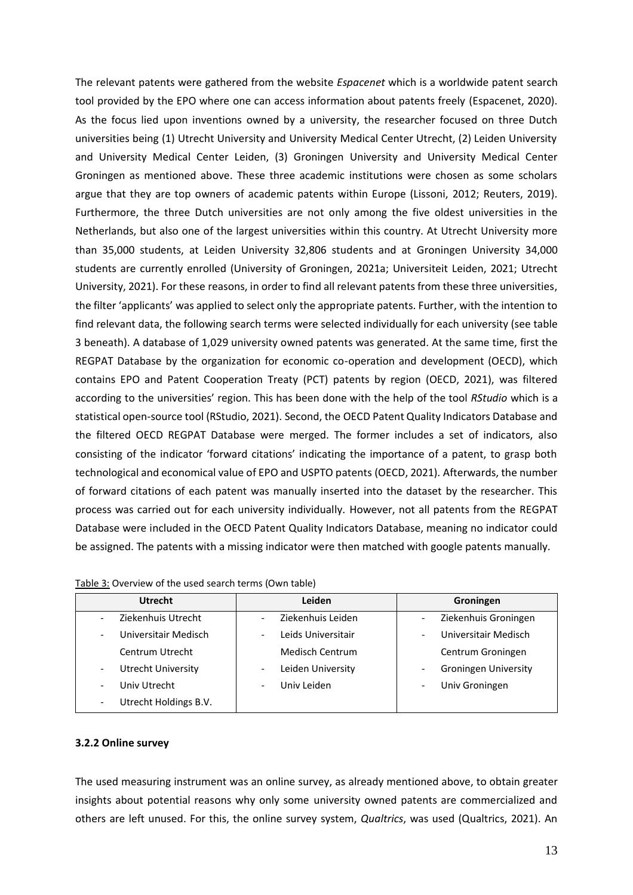The relevant patents were gathered from the website *Espacenet* which is a worldwide patent search tool provided by the EPO where one can access information about patents freely (Espacenet, 2020). As the focus lied upon inventions owned by a university, the researcher focused on three Dutch universities being (1) Utrecht University and University Medical Center Utrecht, (2) Leiden University and University Medical Center Leiden, (3) Groningen University and University Medical Center Groningen as mentioned above. These three academic institutions were chosen as some scholars argue that they are top owners of academic patents within Europe (Lissoni, 2012; Reuters, 2019). Furthermore, the three Dutch universities are not only among the five oldest universities in the Netherlands, but also one of the largest universities within this country. At Utrecht University more than 35,000 students, at Leiden University 32,806 students and at Groningen University 34,000 students are currently enrolled (University of Groningen, 2021a; Universiteit Leiden, 2021; Utrecht University, 2021). For these reasons, in order to find all relevant patents from these three universities, the filter 'applicants' was applied to select only the appropriate patents. Further, with the intention to find relevant data, the following search terms were selected individually for each university (see table 3 beneath). A database of 1,029 university owned patents was generated. At the same time, first the REGPAT Database by the organization for economic co-operation and development (OECD), which contains EPO and Patent Cooperation Treaty (PCT) patents by region (OECD, 2021), was filtered according to the universities' region. This has been done with the help of the tool *RStudio* which is a statistical open-source tool (RStudio, 2021). Second, the OECD Patent Quality Indicators Database and the filtered OECD REGPAT Database were merged. The former includes a set of indicators, also consisting of the indicator 'forward citations' indicating the importance of a patent, to grasp both technological and economical value of EPO and USPTO patents (OECD, 2021). Afterwards, the number of forward citations of each patent was manually inserted into the dataset by the researcher. This process was carried out for each university individually. However, not all patents from the REGPAT Database were included in the OECD Patent Quality Indicators Database, meaning no indicator could be assigned. The patents with a missing indicator were then matched with google patents manually.

| <b>Utrecht</b>                                    | Leiden                 | Groningen                   |
|---------------------------------------------------|------------------------|-----------------------------|
| Ziekenhuis Utrecht                                | Ziekenhuis Leiden      | Ziekenhuis Groningen        |
| Universitair Medisch<br>$\overline{\phantom{0}}$  | Leids Universitair     | Universitair Medisch        |
| Centrum Utrecht                                   | <b>Medisch Centrum</b> | Centrum Groningen           |
| Utrecht University<br>$\overline{\phantom{0}}$    | Leiden University      | <b>Groningen University</b> |
| Univ Utrecht<br>$\overline{\phantom{0}}$          | Univ Leiden            | Univ Groningen              |
| Utrecht Holdings B.V.<br>$\overline{\phantom{0}}$ |                        |                             |

| Table 3: Overview of the used search terms (Own table) |  |  |  |
|--------------------------------------------------------|--|--|--|
|--------------------------------------------------------|--|--|--|

#### <span id="page-18-0"></span>**3.2.2 Online survey**

The used measuring instrument was an online survey, as already mentioned above, to obtain greater insights about potential reasons why only some university owned patents are commercialized and others are left unused. For this, the online survey system, *Qualtrics*, was used (Qualtrics, 2021). An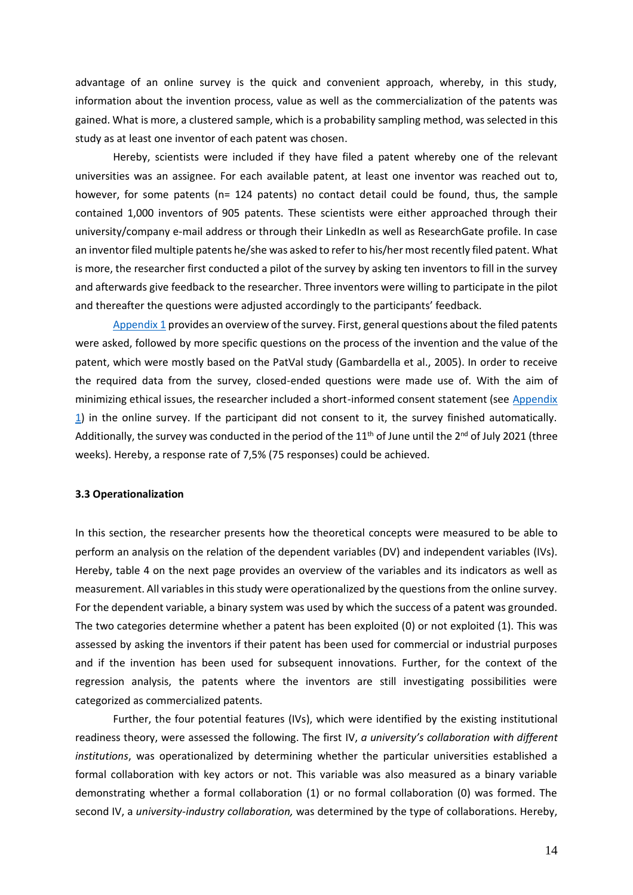advantage of an online survey is the quick and convenient approach, whereby, in this study, information about the invention process, value as well as the commercialization of the patents was gained. What is more, a clustered sample, which is a probability sampling method, was selected in this study as at least one inventor of each patent was chosen.

Hereby, scientists were included if they have filed a patent whereby one of the relevant universities was an assignee. For each available patent, at least one inventor was reached out to, however, for some patents (n= 124 patents) no contact detail could be found, thus, the sample contained 1,000 inventors of 905 patents. These scientists were either approached through their university/company e-mail address or through their LinkedIn as well as ResearchGate profile. In case an inventor filed multiple patents he/she was asked to refer to his/her most recently filed patent. What is more, the researcher first conducted a pilot of the survey by asking ten inventors to fill in the survey and afterwards give feedback to the researcher. Three inventors were willing to participate in the pilot and thereafter the questions were adjusted accordingly to the participants' feedback.

[Appendix 1](#page-47-1) provides an overview of the survey. First, general questions about the filed patents were asked, followed by more specific questions on the process of the invention and the value of the patent, which were mostly based on the PatVal study (Gambardella et al., 2005). In order to receive the required data from the survey, closed-ended questions were made use of. With the aim of minimizing ethical issues, the researcher included a short-informed consent statement (see Appendix [1\)](#page-47-1) in the online survey. If the participant did not consent to it, the survey finished automatically. Additionally, the survey was conducted in the period of the 11<sup>th</sup> of June until the 2<sup>nd</sup> of July 2021 (three weeks). Hereby, a response rate of 7,5% (75 responses) could be achieved.

#### <span id="page-19-0"></span>**3.3 Operationalization**

In this section, the researcher presents how the theoretical concepts were measured to be able to perform an analysis on the relation of the dependent variables (DV) and independent variables (IVs). Hereby, table 4 on the next page provides an overview of the variables and its indicators as well as measurement. All variables in this study were operationalized by the questions from the online survey. For the dependent variable, a binary system was used by which the success of a patent was grounded. The two categories determine whether a patent has been exploited (0) or not exploited (1). This was assessed by asking the inventors if their patent has been used for commercial or industrial purposes and if the invention has been used for subsequent innovations. Further, for the context of the regression analysis, the patents where the inventors are still investigating possibilities were categorized as commercialized patents.

Further, the four potential features (IVs), which were identified by the existing institutional readiness theory, were assessed the following. The first IV, *a university's collaboration with different institutions*, was operationalized by determining whether the particular universities established a formal collaboration with key actors or not. This variable was also measured as a binary variable demonstrating whether a formal collaboration (1) or no formal collaboration (0) was formed. The second IV, a *university-industry collaboration,* was determined by the type of collaborations. Hereby,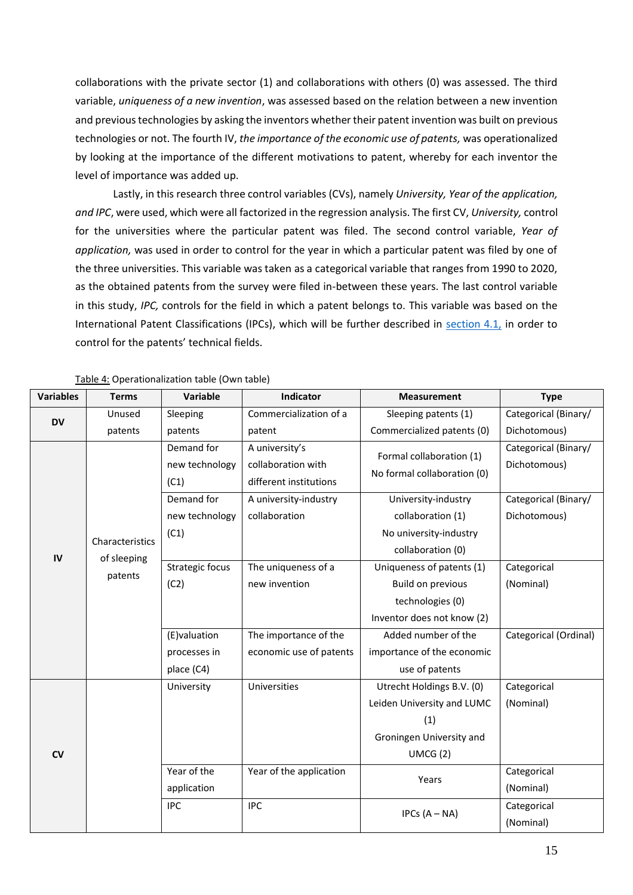collaborations with the private sector (1) and collaborations with others (0) was assessed. The third variable, *uniqueness of a new invention*, was assessed based on the relation between a new invention and previous technologies by asking the inventors whether their patent invention was built on previous technologies or not. The fourth IV, *the importance of the economic use of patents,* was operationalized by looking at the importance of the different motivations to patent, whereby for each inventor the level of importance was added up.

Lastly, in this research three control variables (CVs), namely *University, Year of the application, and IPC*, were used, which were all factorized in the regression analysis. The first CV, *University,* control for the universities where the particular patent was filed. The second control variable, *Year of application,* was used in order to control for the year in which a particular patent was filed by one of the three universities. This variable was taken as a categorical variable that ranges from 1990 to 2020, as the obtained patents from the survey were filed in-between these years. The last control variable in this study, *IPC,* controls for the field in which a patent belongs to. This variable was based on the International Patent Classifications (IPCs), which will be further described in [section 4.1,](#page-22-1) in order to control for the patents' technical fields.

| <b>Variables</b> | <b>Terms</b>    | Variable                             | Indicator                                                      | <b>Measurement</b>                                      | <b>Type</b>                          |
|------------------|-----------------|--------------------------------------|----------------------------------------------------------------|---------------------------------------------------------|--------------------------------------|
| <b>DV</b>        | Unused          | Sleeping                             | Commercialization of a                                         | Sleeping patents (1)                                    | Categorical (Binary/                 |
|                  | patents         | patents                              | patent                                                         | Commercialized patents (0)                              | Dichotomous)                         |
|                  |                 | Demand for<br>new technology<br>(C1) | A university's<br>collaboration with<br>different institutions | Formal collaboration (1)<br>No formal collaboration (0) | Categorical (Binary/<br>Dichotomous) |
|                  |                 | Demand for                           | A university-industry                                          | University-industry                                     | Categorical (Binary/                 |
|                  |                 | new technology                       | collaboration                                                  | collaboration (1)                                       | Dichotomous)                         |
|                  | Characteristics | (C1)                                 |                                                                | No university-industry                                  |                                      |
| IV               |                 |                                      |                                                                | collaboration (0)                                       |                                      |
|                  | of sleeping     | Strategic focus                      | The uniqueness of a                                            | Uniqueness of patents (1)                               | Categorical                          |
|                  | patents         | (C2)                                 | new invention                                                  | <b>Build on previous</b>                                | (Nominal)                            |
|                  |                 |                                      |                                                                | technologies (0)                                        |                                      |
|                  |                 |                                      |                                                                | Inventor does not know (2)                              |                                      |
|                  |                 | (E)valuation                         | The importance of the                                          | Added number of the                                     | Categorical (Ordinal)                |
|                  |                 | processes in                         | economic use of patents<br>importance of the economic          |                                                         |                                      |
|                  |                 | place (C4)                           |                                                                | use of patents                                          |                                      |
|                  |                 | University                           | Universities                                                   | Utrecht Holdings B.V. (0)                               | Categorical                          |
|                  |                 |                                      |                                                                | Leiden University and LUMC                              | (Nominal)                            |
|                  |                 |                                      |                                                                | (1)                                                     |                                      |
|                  |                 |                                      |                                                                | Groningen University and                                |                                      |
| $\mathsf{cv}$    |                 |                                      |                                                                | UMCG(2)                                                 |                                      |
|                  |                 | Year of the                          | Year of the application                                        | Years                                                   | Categorical                          |
|                  |                 | application                          |                                                                |                                                         | (Nominal)                            |
|                  |                 | <b>IPC</b>                           | <b>IPC</b>                                                     | IPCs $(A - NA)$                                         | Categorical                          |
|                  |                 |                                      |                                                                |                                                         | (Nominal)                            |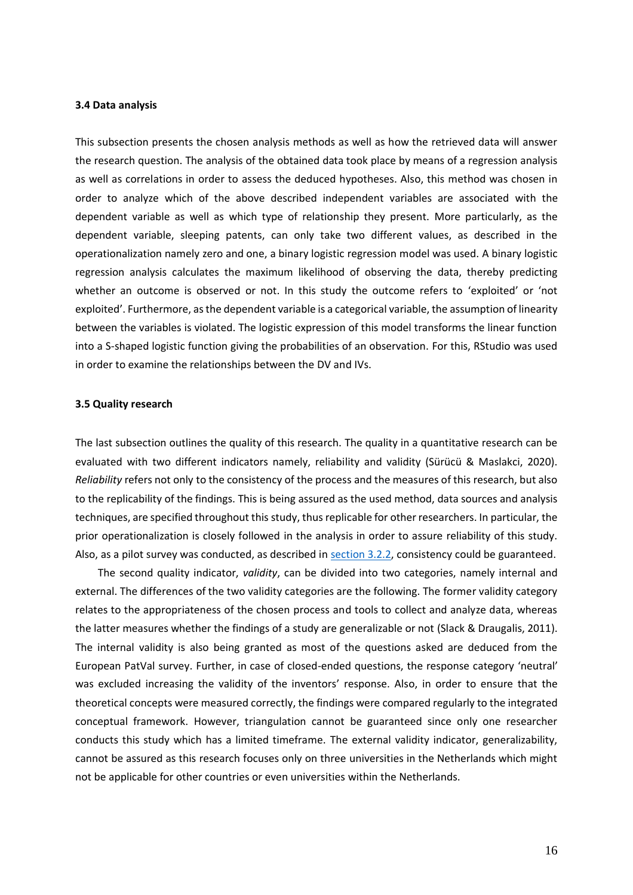#### <span id="page-21-0"></span>**3.4 Data analysis**

This subsection presents the chosen analysis methods as well as how the retrieved data will answer the research question. The analysis of the obtained data took place by means of a regression analysis as well as correlations in order to assess the deduced hypotheses. Also, this method was chosen in order to analyze which of the above described independent variables are associated with the dependent variable as well as which type of relationship they present. More particularly, as the dependent variable, sleeping patents, can only take two different values, as described in the operationalization namely zero and one, a binary logistic regression model was used. A binary logistic regression analysis calculates the maximum likelihood of observing the data, thereby predicting whether an outcome is observed or not. In this study the outcome refers to 'exploited' or 'not exploited'. Furthermore, as the dependent variable is a categorical variable, the assumption of linearity between the variables is violated. The logistic expression of this model transforms the linear function into a S-shaped logistic function giving the probabilities of an observation. For this, RStudio was used in order to examine the relationships between the DV and IVs.

#### <span id="page-21-1"></span>**3.5 Quality research**

The last subsection outlines the quality of this research. The quality in a quantitative research can be evaluated with two different indicators namely, reliability and validity (Sürücü & Maslakci, 2020). *Reliability* refers not only to the consistency of the process and the measures of this research, but also to the replicability of the findings. This is being assured as the used method, data sources and analysis techniques, are specified throughout this study, thus replicable for other researchers. In particular, the prior operationalization is closely followed in the analysis in order to assure reliability of this study. Also, as a pilot survey was conducted, as described in [section 3.2.2,](#page-18-0) consistency could be guaranteed.

The second quality indicator, *validity*, can be divided into two categories, namely internal and external. The differences of the two validity categories are the following. The former validity category relates to the appropriateness of the chosen process and tools to collect and analyze data, whereas the latter measures whether the findings of a study are generalizable or not (Slack & Draugalis, 2011). The internal validity is also being granted as most of the questions asked are deduced from the European PatVal survey. Further, in case of closed-ended questions, the response category 'neutral' was excluded increasing the validity of the inventors' response. Also, in order to ensure that the theoretical concepts were measured correctly, the findings were compared regularly to the integrated conceptual framework. However, triangulation cannot be guaranteed since only one researcher conducts this study which has a limited timeframe. The external validity indicator, generalizability, cannot be assured as this research focuses only on three universities in the Netherlands which might not be applicable for other countries or even universities within the Netherlands.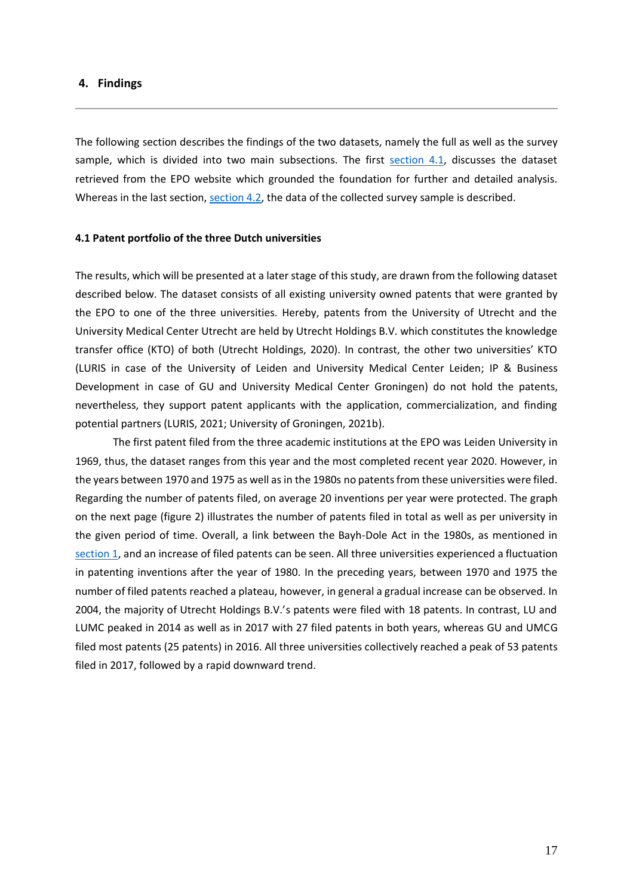#### <span id="page-22-0"></span>**4. Findings**

The following section describes the findings of the two datasets, namely the full as well as the survey sample, which is divided into two main subsections. The first [section 4.1,](#page-22-1) discusses the dataset retrieved from the EPO website which grounded the foundation for further and detailed analysis. Whereas in the last section, [section 4.2,](#page-25-0) the data of the collected survey sample is described.

#### <span id="page-22-1"></span>**4.1 Patent portfolio of the three Dutch universities**

The results, which will be presented at a later stage of this study, are drawn from the following dataset described below. The dataset consists of all existing university owned patents that were granted by the EPO to one of the three universities. Hereby, patents from the University of Utrecht and the University Medical Center Utrecht are held by Utrecht Holdings B.V. which constitutes the knowledge transfer office (KTO) of both (Utrecht Holdings, 2020). In contrast, the other two universities' KTO (LURIS in case of the University of Leiden and University Medical Center Leiden; IP & Business Development in case of GU and University Medical Center Groningen) do not hold the patents, nevertheless, they support patent applicants with the application, commercialization, and finding potential partners (LURIS, 2021; University of Groningen, 2021b).

The first patent filed from the three academic institutions at the EPO was Leiden University in 1969, thus, the dataset ranges from this year and the most completed recent year 2020. However, in the years between 1970 and 1975 as well as in the 1980s no patents from these universities were filed. Regarding the number of patents filed, on average 20 inventions per year were protected. The graph on the next page (figure 2) illustrates the number of patents filed in total as well as per university in the given period of time. Overall, a link between the Bayh-Dole Act in the 1980s, as mentioned in [section 1,](#page-6-0) and an increase of filed patents can be seen. All three universities experienced a fluctuation in patenting inventions after the year of 1980. In the preceding years, between 1970 and 1975 the number of filed patents reached a plateau, however, in general a gradual increase can be observed. In 2004, the majority of Utrecht Holdings B.V.'s patents were filed with 18 patents. In contrast, LU and LUMC peaked in 2014 as well as in 2017 with 27 filed patents in both years, whereas GU and UMCG filed most patents (25 patents) in 2016. All three universities collectively reached a peak of 53 patents filed in 2017, followed by a rapid downward trend.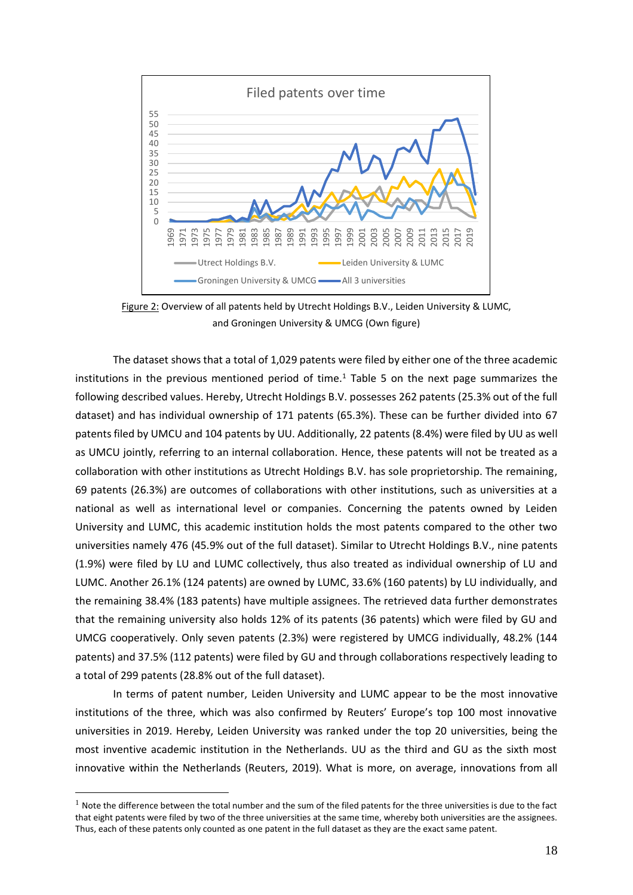

Figure 2: Overview of all patents held by Utrecht Holdings B.V., Leiden University & LUMC, and Groningen University & UMCG (Own figure)

The dataset shows that a total of 1,029 patents were filed by either one of the three academic institutions in the previous mentioned period of time. <sup>1</sup> Table 5 on the next page summarizes the following described values. Hereby, Utrecht Holdings B.V. possesses 262 patents (25.3% out of the full dataset) and has individual ownership of 171 patents (65.3%). These can be further divided into 67 patents filed by UMCU and 104 patents by UU. Additionally, 22 patents (8.4%) were filed by UU as well as UMCU jointly, referring to an internal collaboration. Hence, these patents will not be treated as a collaboration with other institutions as Utrecht Holdings B.V. has sole proprietorship. The remaining, 69 patents (26.3%) are outcomes of collaborations with other institutions, such as universities at a national as well as international level or companies. Concerning the patents owned by Leiden University and LUMC, this academic institution holds the most patents compared to the other two universities namely 476 (45.9% out of the full dataset). Similar to Utrecht Holdings B.V., nine patents (1.9%) were filed by LU and LUMC collectively, thus also treated as individual ownership of LU and LUMC. Another 26.1% (124 patents) are owned by LUMC, 33.6% (160 patents) by LU individually, and the remaining 38.4% (183 patents) have multiple assignees. The retrieved data further demonstrates that the remaining university also holds 12% of its patents (36 patents) which were filed by GU and UMCG cooperatively. Only seven patents (2.3%) were registered by UMCG individually, 48.2% (144 patents) and 37.5% (112 patents) were filed by GU and through collaborations respectively leading to a total of 299 patents (28.8% out of the full dataset).

In terms of patent number, Leiden University and LUMC appear to be the most innovative institutions of the three, which was also confirmed by Reuters' Europe's top 100 most innovative universities in 2019. Hereby, Leiden University was ranked under the top 20 universities, being the most inventive academic institution in the Netherlands. UU as the third and GU as the sixth most innovative within the Netherlands (Reuters, 2019). What is more, on average, innovations from all

 $1$  Note the difference between the total number and the sum of the filed patents for the three universities is due to the fact that eight patents were filed by two of the three universities at the same time, whereby both universities are the assignees. Thus, each of these patents only counted as one patent in the full dataset as they are the exact same patent.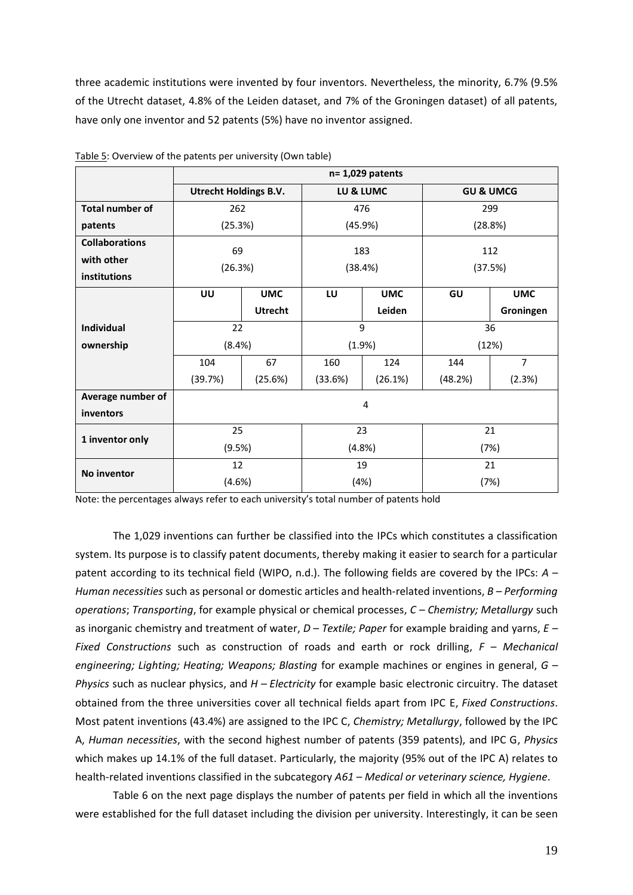three academic institutions were invented by four inventors. Nevertheless, the minority, 6.7% (9.5% of the Utrecht dataset, 4.8% of the Leiden dataset, and 7% of the Groningen dataset) of all patents, have only one inventor and 52 patents (5%) have no inventor assigned.

|                        | $n = 1,029$ patents          |                |           |            |                      |                |
|------------------------|------------------------------|----------------|-----------|------------|----------------------|----------------|
|                        | <b>Utrecht Holdings B.V.</b> |                | LU & LUMC |            | <b>GU &amp; UMCG</b> |                |
| <b>Total number of</b> | 262                          |                |           | 476        | 299                  |                |
| patents                | (25.3%)                      |                |           | (45.9%)    | (28.8%)              |                |
| <b>Collaborations</b>  | 69                           |                | 183       |            | 112                  |                |
| with other             | (26.3%)                      |                |           |            |                      | (37.5%)        |
| institutions           |                              |                | (38.4%)   |            |                      |                |
|                        | UU                           | <b>UMC</b>     | LU        | <b>UMC</b> | GU                   | <b>UMC</b>     |
|                        |                              | <b>Utrecht</b> |           | Leiden     |                      | Groningen      |
| <b>Individual</b>      | 22                           |                | 9         |            | 36                   |                |
| ownership              | (8.4%)                       |                | (1.9%)    |            | (12%)                |                |
|                        | 104                          | 67             | 160       | 124        | 144                  | $\overline{7}$ |
|                        | (39.7%)                      | (25.6%)        | (33.6%)   | (26.1%)    | (48.2%)              | (2.3%)         |
| Average number of      |                              |                |           | 4          |                      |                |
| inventors              |                              |                |           |            |                      |                |
| 1 inventor only        | 25                           |                | 23        |            | 21                   |                |
|                        | (9.5%)                       |                | (4.8%)    |            | (7%)                 |                |
| No inventor            | 12                           |                | 19        |            | 21                   |                |
|                        | (4.6%)                       |                | (4%)      |            | (7%)                 |                |

Table 5: Overview of the patents per university (Own table)

Note: the percentages always refer to each university's total number of patents hold

The 1,029 inventions can further be classified into the IPCs which constitutes a classification system. Its purpose is to classify patent documents, thereby making it easier to search for a particular patent according to its technical field (WIPO, n.d.). The following fields are covered by the IPCs: *A – Human necessities* such as personal or domestic articles and health-related inventions, *B – Performing operations*; *Transporting*, for example physical or chemical processes, *C – Chemistry; Metallurgy* such as inorganic chemistry and treatment of water, *D – Textile; Paper* for example braiding and yarns, *E – Fixed Constructions* such as construction of roads and earth or rock drilling, *F – Mechanical engineering; Lighting; Heating; Weapons; Blasting* for example machines or engines in general, *G – Physics* such as nuclear physics, and *H – Electricity* for example basic electronic circuitry. The dataset obtained from the three universities cover all technical fields apart from IPC E, *Fixed Constructions*. Most patent inventions (43.4%) are assigned to the IPC C, *Chemistry; Metallurgy*, followed by the IPC A, *Human necessities*, with the second highest number of patents (359 patents), and IPC G, *Physics* which makes up 14.1% of the full dataset. Particularly, the majority (95% out of the IPC A) relates to health-related inventions classified in the subcategory *A61 – Medical or veterinary science, Hygiene*.

Table 6 on the next page displays the number of patents per field in which all the inventions were established for the full dataset including the division per university. Interestingly, it can be seen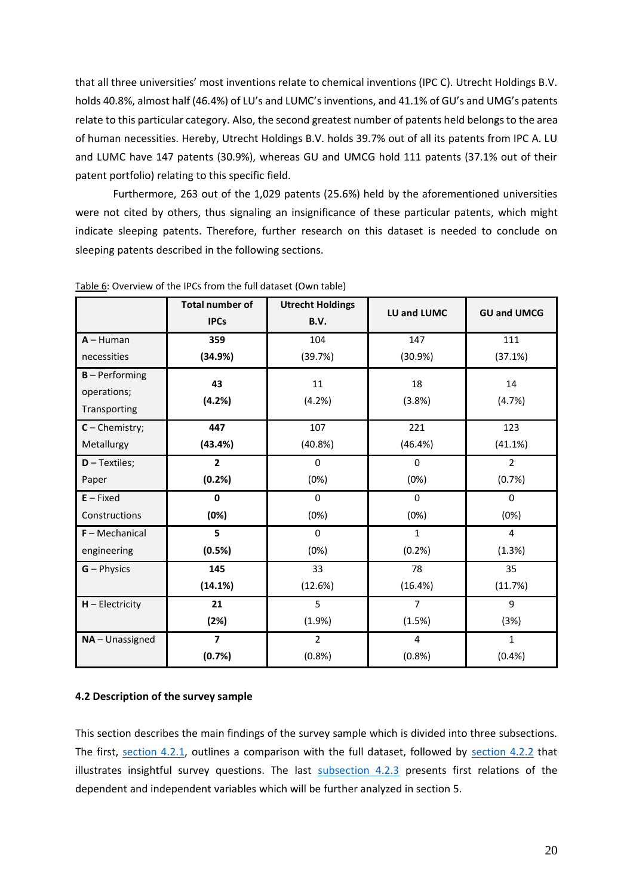that all three universities' most inventions relate to chemical inventions (IPC C). Utrecht Holdings B.V. holds 40.8%, almost half (46.4%) of LU's and LUMC's inventions, and 41.1% of GU's and UMG's patents relate to this particular category. Also, the second greatest number of patents held belongs to the area of human necessities. Hereby, Utrecht Holdings B.V. holds 39.7% out of all its patents from IPC A. LU and LUMC have 147 patents (30.9%), whereas GU and UMCG hold 111 patents (37.1% out of their patent portfolio) relating to this specific field.

Furthermore, 263 out of the 1,029 patents (25.6%) held by the aforementioned universities were not cited by others, thus signaling an insignificance of these particular patents, which might indicate sleeping patents. Therefore, further research on this dataset is needed to conclude on sleeping patents described in the following sections.

|                   | <b>Total number of</b><br><b>IPCs</b> | <b>Utrecht Holdings</b><br>B.V. | LU and LUMC    | <b>GU and UMCG</b> |
|-------------------|---------------------------------------|---------------------------------|----------------|--------------------|
| $A - H$ uman      | 359                                   | 104                             | 147            | 111                |
| necessities       | (34.9%)                               | (39.7%)                         | (30.9%)        | (37.1%)            |
| $B - Performing$  | 43                                    | 11                              | 18             | 14                 |
| operations;       | (4.2%)                                | (4.2%)                          | (3.8%)         | (4.7%)             |
| Transporting      |                                       |                                 |                |                    |
| $C$ – Chemistry;  | 447                                   | 107                             | 221            | 123                |
| Metallurgy        | (43.4%)                               | (40.8%)                         | (46.4%)        | (41.1%)            |
| $D - Textiles;$   | $\overline{2}$                        | $\Omega$                        | 0              | $\overline{2}$     |
| Paper             | (0.2%)                                | (0%)                            | (0%)           | (0.7%)             |
| $E$ – Fixed       | $\mathbf{0}$                          | $\Omega$                        | $\Omega$       | $\Omega$           |
| Constructions     | (0%)                                  | (0%)                            | (0%)           | (0%)               |
| $F - Mechanical$  | 5                                     | $\Omega$                        | $\mathbf{1}$   | $\overline{4}$     |
| engineering       | (0.5%)                                | (0%)                            | (0.2%)         | (1.3%)             |
| $G - Physics$     | 145                                   | 33                              | 78             | 35                 |
|                   | (14.1%)                               | (12.6%)                         | (16.4%)        | (11.7%)            |
| $H - Electricity$ | 21                                    | 5                               | $\overline{7}$ | 9                  |
|                   | (2%)                                  | (1.9%)                          | (1.5%)         | (3%)               |
| $NA$ – Unassigned | 7                                     | $\overline{2}$                  | 4              | $\mathbf{1}$       |
|                   | (0.7%)                                | (0.8% )                         | (0.8% )        | (0.4% )            |

Table 6: Overview of the IPCs from the full dataset (Own table)

#### <span id="page-25-0"></span>**4.2 Description of the survey sample**

This section describes the main findings of the survey sample which is divided into three subsections. The first, [section 4.2.1,](#page-26-0) outlines a comparison with the full dataset, followed by [section 4.2.2](#page-28-0) that illustrates insightful survey questions. The last [subsection 4.2.3](#page-30-0) presents first relations of the dependent and independent variables which will be further analyzed in section 5.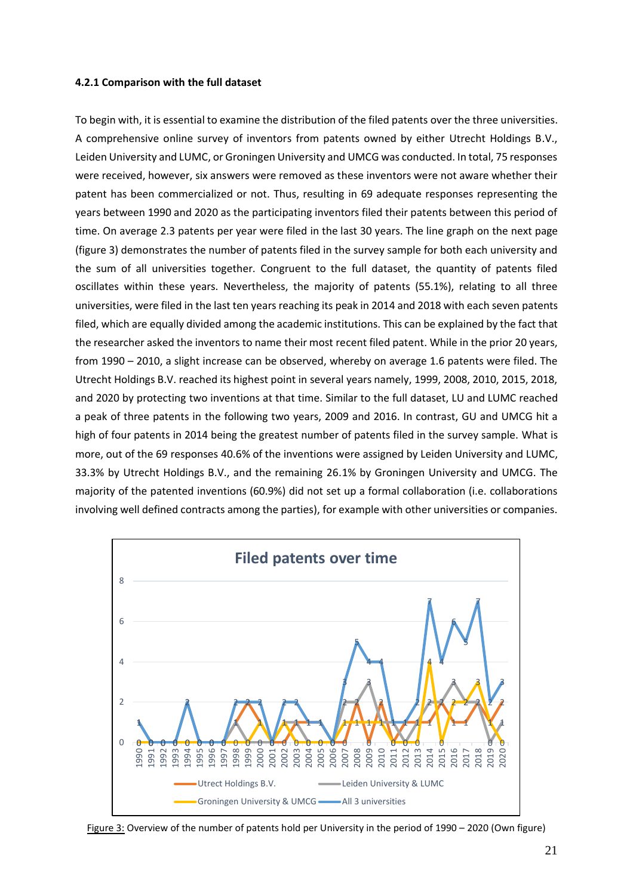#### <span id="page-26-0"></span>**4.2.1 Comparison with the full dataset**

To begin with, it is essential to examine the distribution of the filed patents over the three universities. A comprehensive online survey of inventors from patents owned by either Utrecht Holdings B.V., Leiden University and LUMC, or Groningen University and UMCG was conducted. In total, 75 responses were received, however, six answers were removed as these inventors were not aware whether their patent has been commercialized or not. Thus, resulting in 69 adequate responses representing the years between 1990 and 2020 as the participating inventors filed their patents between this period of time. On average 2.3 patents per year were filed in the last 30 years. The line graph on the next page (figure 3) demonstrates the number of patents filed in the survey sample for both each university and the sum of all universities together. Congruent to the full dataset, the quantity of patents filed oscillates within these years. Nevertheless, the majority of patents (55.1%), relating to all three universities, were filed in the last ten years reaching its peak in 2014 and 2018 with each seven patents filed, which are equally divided among the academic institutions. This can be explained by the fact that the researcher asked the inventors to name their most recent filed patent. While in the prior 20 years, from 1990 – 2010, a slight increase can be observed, whereby on average 1.6 patents were filed. The Utrecht Holdings B.V. reached its highest point in several years namely, 1999, 2008, 2010, 2015, 2018, and 2020 by protecting two inventions at that time. Similar to the full dataset, LU and LUMC reached a peak of three patents in the following two years, 2009 and 2016. In contrast, GU and UMCG hit a high of four patents in 2014 being the greatest number of patents filed in the survey sample. What is more, out of the 69 responses 40.6% of the inventions were assigned by Leiden University and LUMC, 33.3% by Utrecht Holdings B.V., and the remaining 26.1% by Groningen University and UMCG. The majority of the patented inventions (60.9%) did not set up a formal collaboration (i.e. collaborations involving well defined contracts among the parties), for example with other universities or companies.



Figure 3: Overview of the number of patents hold per University in the period of 1990 – 2020 (Own figure)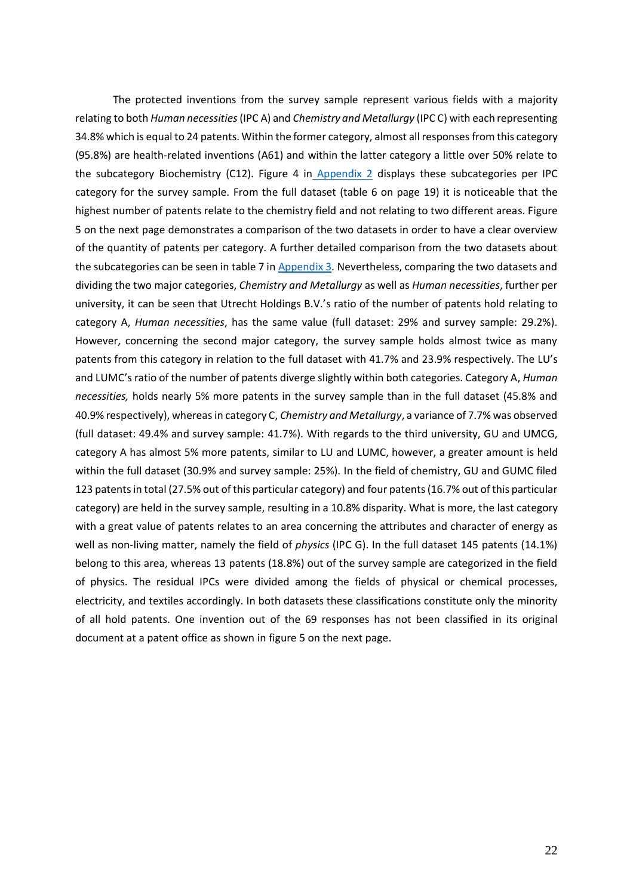The protected inventions from the survey sample represent various fields with a majority relating to both *Human necessities*(IPC A) and *Chemistry and Metallurgy* (IPC C) with each representing 34.8% which is equal to 24 patents. Within the former category, almost all responses from this category (95.8%) are health-related inventions (A61) and within the latter category a little over 50% relate to the subcategory Biochemistry (C12). Figure 4 in [Appendix 2](#page-51-0) displays these subcategories per IPC category for the survey sample. From the full dataset (table 6 on page 19) it is noticeable that the highest number of patents relate to the chemistry field and not relating to two different areas. Figure 5 on the next page demonstrates a comparison of the two datasets in order to have a clear overview of the quantity of patents per category. A further detailed comparison from the two datasets about the subcategories can be seen in table 7 in [Appendix 3.](#page-52-0) Nevertheless, comparing the two datasets and dividing the two major categories, *Chemistry and Metallurgy* as well as *Human necessities*, further per university, it can be seen that Utrecht Holdings B.V.'s ratio of the number of patents hold relating to category A, *Human necessities*, has the same value (full dataset: 29% and survey sample: 29.2%). However, concerning the second major category, the survey sample holds almost twice as many patents from this category in relation to the full dataset with 41.7% and 23.9% respectively. The LU's and LUMC's ratio of the number of patents diverge slightly within both categories. Category A, *Human necessities,* holds nearly 5% more patents in the survey sample than in the full dataset (45.8% and 40.9% respectively), whereas in category C, *Chemistry and Metallurgy*, a variance of 7.7% was observed (full dataset: 49.4% and survey sample: 41.7%). With regards to the third university, GU and UMCG, category A has almost 5% more patents, similar to LU and LUMC, however, a greater amount is held within the full dataset (30.9% and survey sample: 25%). In the field of chemistry, GU and GUMC filed 123 patents in total (27.5% out of this particular category) and four patents (16.7% out of this particular category) are held in the survey sample, resulting in a 10.8% disparity. What is more, the last category with a great value of patents relates to an area concerning the attributes and character of energy as well as non-living matter, namely the field of *physics* (IPC G). In the full dataset 145 patents (14.1%) belong to this area, whereas 13 patents (18.8%) out of the survey sample are categorized in the field of physics. The residual IPCs were divided among the fields of physical or chemical processes, electricity, and textiles accordingly. In both datasets these classifications constitute only the minority of all hold patents. One invention out of the 69 responses has not been classified in its original document at a patent office as shown in figure 5 on the next page.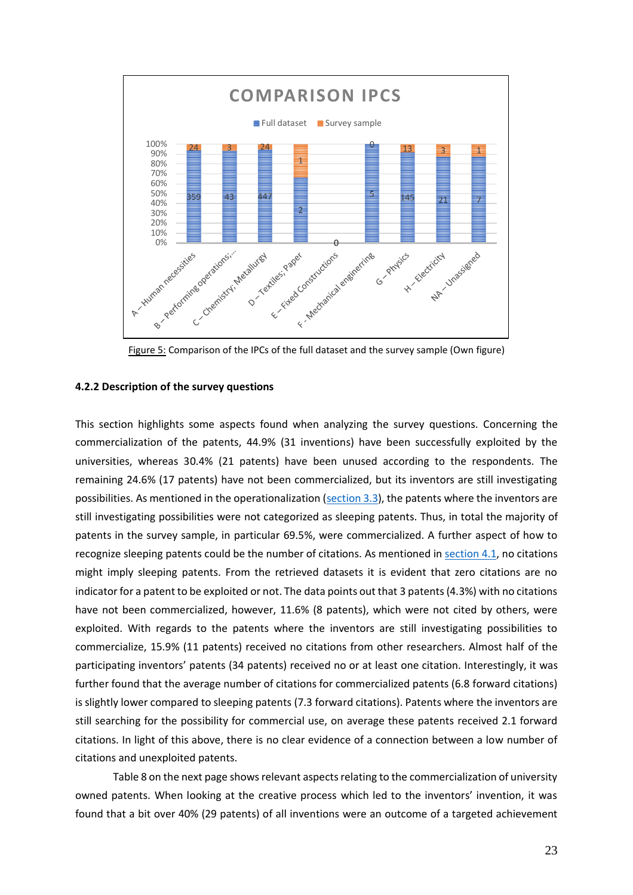

Figure 5: Comparison of the IPCs of the full dataset and the survey sample (Own figure)

#### <span id="page-28-0"></span>**4.2.2 Description of the survey questions**

This section highlights some aspects found when analyzing the survey questions. Concerning the commercialization of the patents, 44.9% (31 inventions) have been successfully exploited by the universities, whereas 30.4% (21 patents) have been unused according to the respondents. The remaining 24.6% (17 patents) have not been commercialized, but its inventors are still investigating possibilities. As mentioned in the operationalization [\(section 3.3\)](#page-19-0), the patents where the inventors are still investigating possibilities were not categorized as sleeping patents. Thus, in total the majority of patents in the survey sample, in particular 69.5%, were commercialized. A further aspect of how to recognize sleeping patents could be the number of citations. As mentioned in [section 4.1,](#page-22-1) no citations might imply sleeping patents. From the retrieved datasets it is evident that zero citations are no indicator for a patent to be exploited or not. The data points out that 3 patents (4.3%) with no citations have not been commercialized, however, 11.6% (8 patents), which were not cited by others, were exploited. With regards to the patents where the inventors are still investigating possibilities to commercialize, 15.9% (11 patents) received no citations from other researchers. Almost half of the participating inventors' patents (34 patents) received no or at least one citation. Interestingly, it was further found that the average number of citations for commercialized patents (6.8 forward citations) is slightly lower compared to sleeping patents (7.3 forward citations). Patents where the inventors are still searching for the possibility for commercial use, on average these patents received 2.1 forward citations. In light of this above, there is no clear evidence of a connection between a low number of citations and unexploited patents.

Table 8 on the next page shows relevant aspects relating to the commercialization of university owned patents. When looking at the creative process which led to the inventors' invention, it was found that a bit over 40% (29 patents) of all inventions were an outcome of a targeted achievement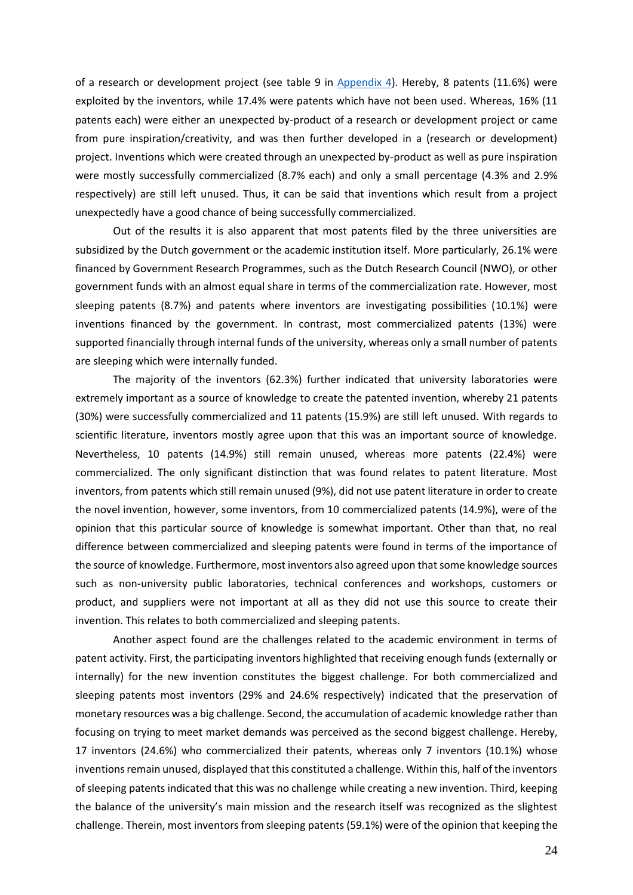of a research or development project (see table 9 in [Appendix 4\)](#page-55-0). Hereby, 8 patents (11.6%) were exploited by the inventors, while 17.4% were patents which have not been used. Whereas, 16% (11 patents each) were either an unexpected by-product of a research or development project or came from pure inspiration/creativity, and was then further developed in a (research or development) project. Inventions which were created through an unexpected by-product as well as pure inspiration were mostly successfully commercialized (8.7% each) and only a small percentage (4.3% and 2.9% respectively) are still left unused. Thus, it can be said that inventions which result from a project unexpectedly have a good chance of being successfully commercialized.

Out of the results it is also apparent that most patents filed by the three universities are subsidized by the Dutch government or the academic institution itself. More particularly, 26.1% were financed by Government Research Programmes, such as the Dutch Research Council (NWO), or other government funds with an almost equal share in terms of the commercialization rate. However, most sleeping patents (8.7%) and patents where inventors are investigating possibilities (10.1%) were inventions financed by the government. In contrast, most commercialized patents (13%) were supported financially through internal funds of the university, whereas only a small number of patents are sleeping which were internally funded.

The majority of the inventors (62.3%) further indicated that university laboratories were extremely important as a source of knowledge to create the patented invention, whereby 21 patents (30%) were successfully commercialized and 11 patents (15.9%) are still left unused. With regards to scientific literature, inventors mostly agree upon that this was an important source of knowledge. Nevertheless, 10 patents (14.9%) still remain unused, whereas more patents (22.4%) were commercialized. The only significant distinction that was found relates to patent literature. Most inventors, from patents which still remain unused (9%), did not use patent literature in order to create the novel invention, however, some inventors, from 10 commercialized patents (14.9%), were of the opinion that this particular source of knowledge is somewhat important. Other than that, no real difference between commercialized and sleeping patents were found in terms of the importance of the source of knowledge. Furthermore, most inventors also agreed upon that some knowledge sources such as non-university public laboratories, technical conferences and workshops, customers or product, and suppliers were not important at all as they did not use this source to create their invention. This relates to both commercialized and sleeping patents.

Another aspect found are the challenges related to the academic environment in terms of patent activity. First, the participating inventors highlighted that receiving enough funds (externally or internally) for the new invention constitutes the biggest challenge. For both commercialized and sleeping patents most inventors (29% and 24.6% respectively) indicated that the preservation of monetary resources was a big challenge. Second, the accumulation of academic knowledge rather than focusing on trying to meet market demands was perceived as the second biggest challenge. Hereby, 17 inventors (24.6%) who commercialized their patents, whereas only 7 inventors (10.1%) whose inventions remain unused, displayed that this constituted a challenge. Within this, half of the inventors of sleeping patents indicated that this was no challenge while creating a new invention. Third, keeping the balance of the university's main mission and the research itself was recognized as the slightest challenge. Therein, most inventors from sleeping patents (59.1%) were of the opinion that keeping the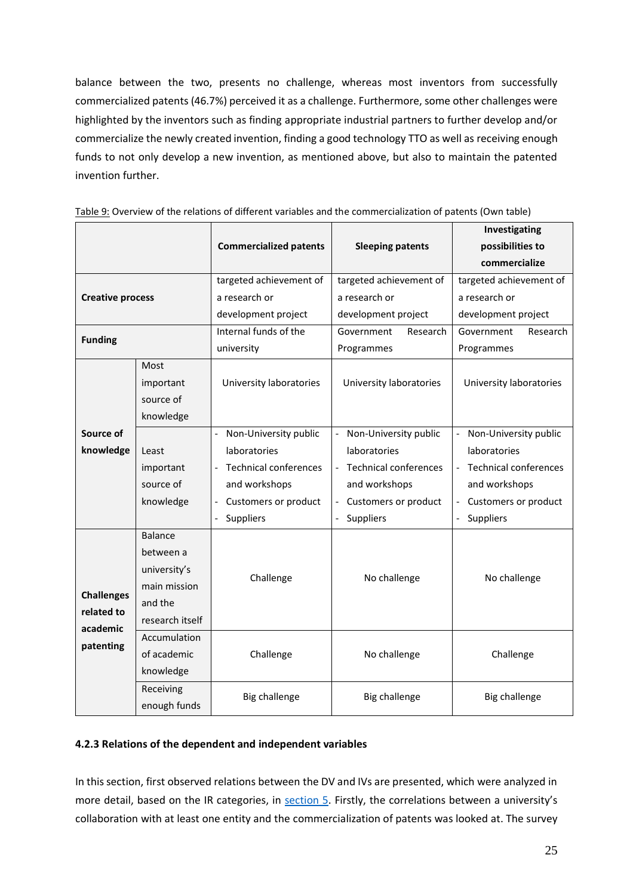balance between the two, presents no challenge, whereas most inventors from successfully commercialized patents (46.7%) perceived it as a challenge. Furthermore, some other challenges were highlighted by the inventors such as finding appropriate industrial partners to further develop and/or commercialize the newly created invention, finding a good technology TTO as well as receiving enough funds to not only develop a new invention, as mentioned above, but also to maintain the patented invention further.

|                         |                 |                                                  |                              | Investigating                |  |  |
|-------------------------|-----------------|--------------------------------------------------|------------------------------|------------------------------|--|--|
|                         |                 | <b>Commercialized patents</b>                    | <b>Sleeping patents</b>      | possibilities to             |  |  |
|                         |                 |                                                  |                              | commercialize                |  |  |
|                         |                 | targeted achievement of                          | targeted achievement of      | targeted achievement of      |  |  |
| <b>Creative process</b> |                 | a research or                                    | a research or                | a research or                |  |  |
|                         |                 | development project                              | development project          | development project          |  |  |
| <b>Funding</b>          |                 | Internal funds of the                            | Government<br>Research       | Government<br>Research       |  |  |
|                         |                 | university                                       | Programmes                   | Programmes                   |  |  |
|                         | Most            |                                                  |                              |                              |  |  |
|                         | important       | University laboratories                          | University laboratories      | University laboratories      |  |  |
|                         | source of       |                                                  |                              |                              |  |  |
|                         | knowledge       |                                                  |                              |                              |  |  |
| Source of               |                 | Non-University public<br>$\frac{1}{2}$           | Non-University public        | Non-University public        |  |  |
| knowledge               | Least           | laboratories                                     | laboratories                 | laboratories                 |  |  |
|                         | important       | <b>Technical conferences</b>                     | <b>Technical conferences</b> | <b>Technical conferences</b> |  |  |
|                         | source of       | and workshops                                    | and workshops                | and workshops                |  |  |
|                         | knowledge       | Customers or product<br>$\overline{\phantom{a}}$ | Customers or product         | Customers or product         |  |  |
|                         |                 | Suppliers                                        | Suppliers                    | Suppliers                    |  |  |
|                         | <b>Balance</b>  |                                                  |                              |                              |  |  |
|                         | between a       |                                                  |                              |                              |  |  |
|                         | university's    |                                                  |                              |                              |  |  |
|                         | main mission    | Challenge                                        | No challenge                 | No challenge                 |  |  |
| <b>Challenges</b>       | and the         |                                                  |                              |                              |  |  |
| related to<br>academic  | research itself |                                                  |                              |                              |  |  |
|                         | Accumulation    |                                                  |                              |                              |  |  |
| patenting               | of academic     | Challenge                                        | No challenge                 | Challenge                    |  |  |
|                         | knowledge       |                                                  |                              |                              |  |  |
|                         | Receiving       | Big challenge                                    | Big challenge                |                              |  |  |
|                         | enough funds    |                                                  |                              | <b>Big challenge</b>         |  |  |

Table 9: Overview of the relations of different variables and the commercialization of patents (Own table)

#### <span id="page-30-0"></span>**4.2.3 Relations of the dependent and independent variables**

In this section, first observed relations between the DV and IVs are presented, which were analyzed in more detail, based on the IR categories, in [section 5.](#page-33-0) Firstly, the correlations between a university's collaboration with at least one entity and the commercialization of patents was looked at. The survey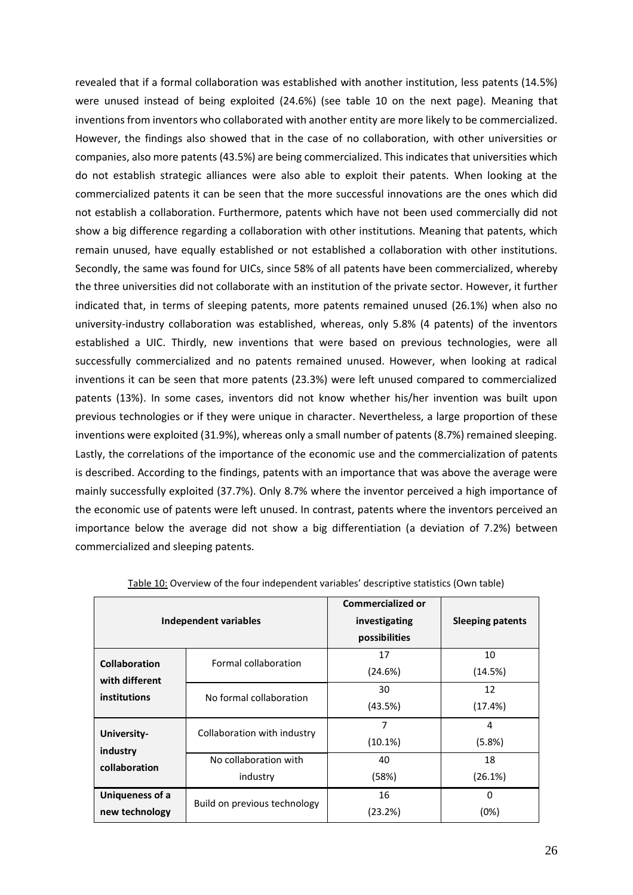revealed that if a formal collaboration was established with another institution, less patents (14.5%) were unused instead of being exploited (24.6%) (see table 10 on the next page). Meaning that inventions from inventors who collaborated with another entity are more likely to be commercialized. However, the findings also showed that in the case of no collaboration, with other universities or companies, also more patents (43.5%) are being commercialized. This indicates that universities which do not establish strategic alliances were also able to exploit their patents. When looking at the commercialized patents it can be seen that the more successful innovations are the ones which did not establish a collaboration. Furthermore, patents which have not been used commercially did not show a big difference regarding a collaboration with other institutions. Meaning that patents, which remain unused, have equally established or not established a collaboration with other institutions. Secondly, the same was found for UICs, since 58% of all patents have been commercialized, whereby the three universities did not collaborate with an institution of the private sector. However, it further indicated that, in terms of sleeping patents, more patents remained unused (26.1%) when also no university-industry collaboration was established, whereas, only 5.8% (4 patents) of the inventors established a UIC. Thirdly, new inventions that were based on previous technologies, were all successfully commercialized and no patents remained unused. However, when looking at radical inventions it can be seen that more patents (23.3%) were left unused compared to commercialized patents (13%). In some cases, inventors did not know whether his/her invention was built upon previous technologies or if they were unique in character. Nevertheless, a large proportion of these inventions were exploited (31.9%), whereas only a small number of patents (8.7%) remained sleeping. Lastly, the correlations of the importance of the economic use and the commercialization of patents is described. According to the findings, patents with an importance that was above the average were mainly successfully exploited (37.7%). Only 8.7% where the inventor perceived a high importance of the economic use of patents were left unused. In contrast, patents where the inventors perceived an importance below the average did not show a big differentiation (a deviation of 7.2%) between commercialized and sleeping patents.

|                         | <b>Independent variables</b> | <b>Commercialized or</b><br>investigating<br>possibilities | <b>Sleeping patents</b> |
|-------------------------|------------------------------|------------------------------------------------------------|-------------------------|
| <b>Collaboration</b>    | Formal collaboration         | 17                                                         | 10                      |
| with different          |                              | (24.6%)                                                    | (14.5%)                 |
| institutions            | No formal collaboration      | 30                                                         | 12                      |
|                         |                              | (43.5%)                                                    | (17.4%)                 |
|                         |                              | 7                                                          | 4                       |
| University-<br>industry | Collaboration with industry  | (10.1%)                                                    | (5.8%)                  |
| collaboration           | No collaboration with        | 40                                                         | 18                      |
|                         | industry                     | (58%)                                                      | (26.1%)                 |
| Uniqueness of a         | Build on previous technology | 16                                                         | 0                       |
| new technology          |                              | (23.2%)                                                    | (0%)                    |

| Table 10: Overview of the four independent variables' descriptive statistics (Own table) |  |  |
|------------------------------------------------------------------------------------------|--|--|
|                                                                                          |  |  |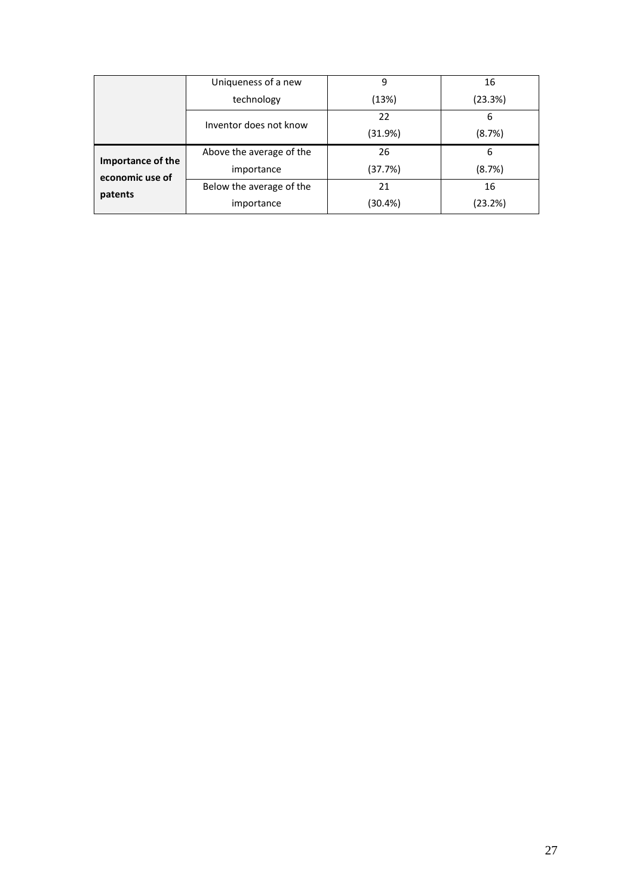|                                      | Uniqueness of a new      | 9       | 16      |
|--------------------------------------|--------------------------|---------|---------|
|                                      | technology               | (13%)   | (23.3%) |
|                                      | Inventor does not know   | 22      | 6       |
|                                      |                          | (31.9%) | (8.7%)  |
|                                      | Above the average of the | 26      | 6       |
| Importance of the<br>economic use of | importance               | (37.7%) | (8.7%)  |
| patents                              | Below the average of the | 21      | 16      |
|                                      | importance               | (30.4%) | (23.2%) |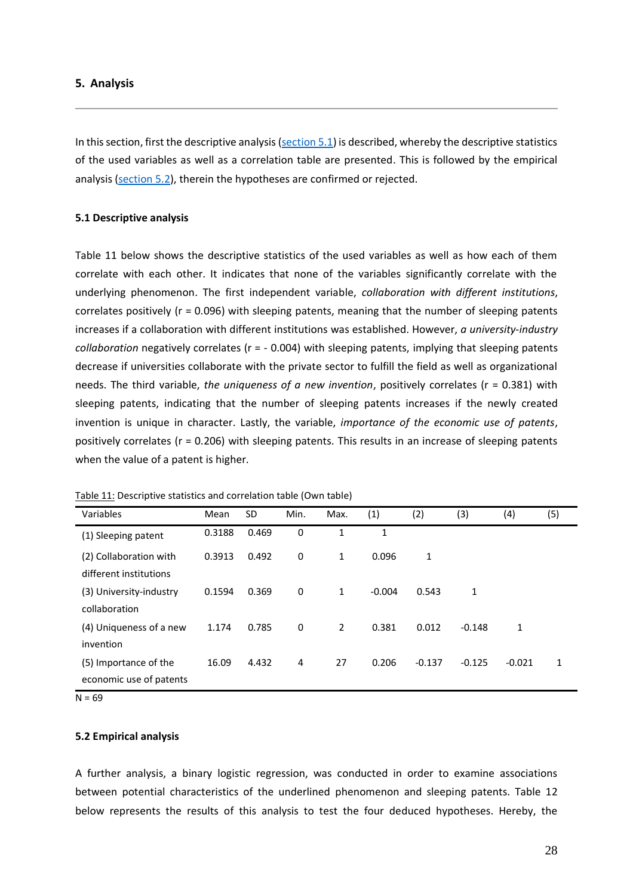#### <span id="page-33-0"></span>**5. Analysis**

In this section, first the descriptive analysis ( $section 5.1$ ) is described, whereby the descriptive statistics of the used variables as well as a correlation table are presented. This is followed by the empirical analysis [\(section 5.2\)](#page-33-2), therein the hypotheses are confirmed or rejected.

#### <span id="page-33-1"></span>**5.1 Descriptive analysis**

Table 11 below shows the descriptive statistics of the used variables as well as how each of them correlate with each other. It indicates that none of the variables significantly correlate with the underlying phenomenon. The first independent variable, *collaboration with different institutions*, correlates positively (r = 0.096) with sleeping patents, meaning that the number of sleeping patents increases if a collaboration with different institutions was established. However, *a university-industry collaboration* negatively correlates (r = - 0.004) with sleeping patents, implying that sleeping patents decrease if universities collaborate with the private sector to fulfill the field as well as organizational needs. The third variable, *the uniqueness of a new invention*, positively correlates (r = 0.381) with sleeping patents, indicating that the number of sleeping patents increases if the newly created invention is unique in character. Lastly, the variable, *importance of the economic use of patents*, positively correlates (r = 0.206) with sleeping patents. This results in an increase of sleeping patents when the value of a patent is higher.

| Mean   | <b>SD</b> | Min. | Max.           | (1)      | (2)      | (3)      | (4)      | (5)          |
|--------|-----------|------|----------------|----------|----------|----------|----------|--------------|
| 0.3188 | 0.469     | 0    | 1              | 1        |          |          |          |              |
| 0.3913 | 0.492     | 0    | $\mathbf{1}$   | 0.096    | 1        |          |          |              |
| 0.1594 | 0.369     | 0    | 1              | $-0.004$ | 0.543    | 1        |          |              |
|        |           |      |                |          |          |          |          |              |
| 1.174  | 0.785     | 0    | $\overline{2}$ | 0.381    | 0.012    | $-0.148$ | 1        |              |
| 16.09  | 4.432     | 4    | 27             | 0.206    | $-0.137$ | $-0.125$ | $-0.021$ | $\mathbf{1}$ |
|        |           |      |                |          |          |          |          |              |

Table 11: Descriptive statistics and correlation table (Own table)

 $N = 69$ 

#### <span id="page-33-2"></span>**5.2 Empirical analysis**

A further analysis, a binary logistic regression, was conducted in order to examine associations between potential characteristics of the underlined phenomenon and sleeping patents. Table 12 below represents the results of this analysis to test the four deduced hypotheses. Hereby, the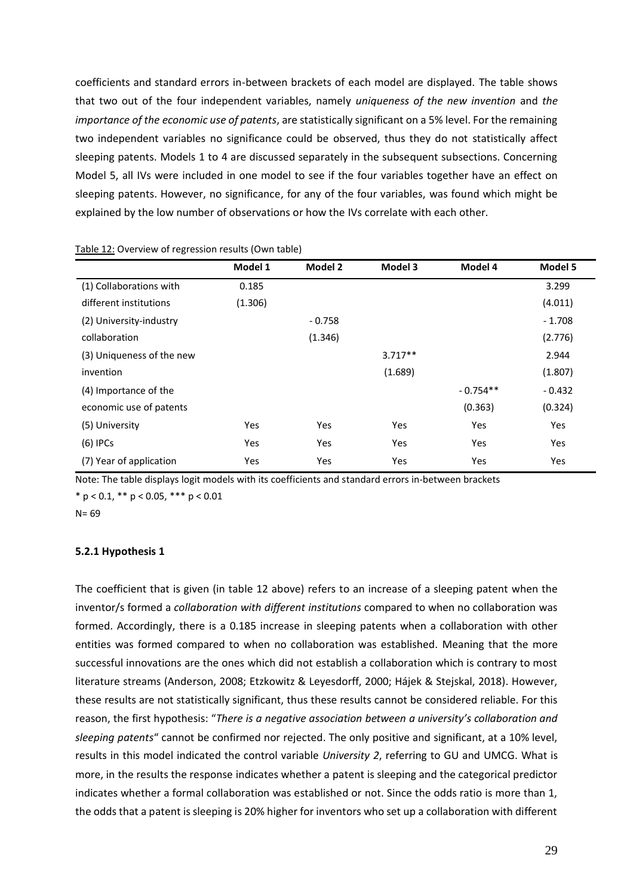coefficients and standard errors in-between brackets of each model are displayed. The table shows that two out of the four independent variables, namely *uniqueness of the new invention* and *the importance of the economic use of patents*, are statistically significant on a 5% level. For the remaining two independent variables no significance could be observed, thus they do not statistically affect sleeping patents. Models 1 to 4 are discussed separately in the subsequent subsections. Concerning Model 5, all IVs were included in one model to see if the four variables together have an effect on sleeping patents. However, no significance, for any of the four variables, was found which might be explained by the low number of observations or how the IVs correlate with each other.

|                           | Model 1 | Model 2  | Model 3    | Model 4    | Model 5    |
|---------------------------|---------|----------|------------|------------|------------|
| (1) Collaborations with   | 0.185   |          |            |            | 3.299      |
| different institutions    | (1.306) |          |            |            | (4.011)    |
| (2) University-industry   |         | $-0.758$ |            |            | $-1.708$   |
| collaboration             |         | (1.346)  |            |            | (2.776)    |
| (3) Uniqueness of the new |         |          | $3.717**$  |            | 2.944      |
| invention                 |         |          | (1.689)    |            | (1.807)    |
| (4) Importance of the     |         |          |            | $-0.754**$ | $-0.432$   |
| economic use of patents   |         |          |            | (0.363)    | (0.324)    |
| (5) University            | Yes     | Yes      | Yes        | Yes        | Yes        |
| $(6)$ IPCs                | Yes     | Yes      | <b>Yes</b> | Yes        | <b>Yes</b> |
| (7) Year of application   | Yes     | Yes      | Yes        | Yes        | Yes        |

#### Table 12: Overview of regression results (Own table)

Note: The table displays logit models with its coefficients and standard errors in-between brackets  $*$  p < 0.1,  $**$  p < 0.05,  $***$  p < 0.01

 $N = 69$ 

#### <span id="page-34-0"></span>**5.2.1 Hypothesis 1**

The coefficient that is given (in table 12 above) refers to an increase of a sleeping patent when the inventor/s formed a *collaboration with different institutions* compared to when no collaboration was formed. Accordingly, there is a 0.185 increase in sleeping patents when a collaboration with other entities was formed compared to when no collaboration was established. Meaning that the more successful innovations are the ones which did not establish a collaboration which is contrary to most literature streams (Anderson, 2008; Etzkowitz & Leyesdorff, 2000; Hájek & Stejskal, 2018). However, these results are not statistically significant, thus these results cannot be considered reliable. For this reason, the first hypothesis: "*There is a negative association between a university's collaboration and sleeping patents*" cannot be confirmed nor rejected. The only positive and significant, at a 10% level, results in this model indicated the control variable *University 2*, referring to GU and UMCG. What is more, in the results the response indicates whether a patent is sleeping and the categorical predictor indicates whether a formal collaboration was established or not. Since the odds ratio is more than 1, the odds that a patent is sleeping is 20% higher for inventors who set up a collaboration with different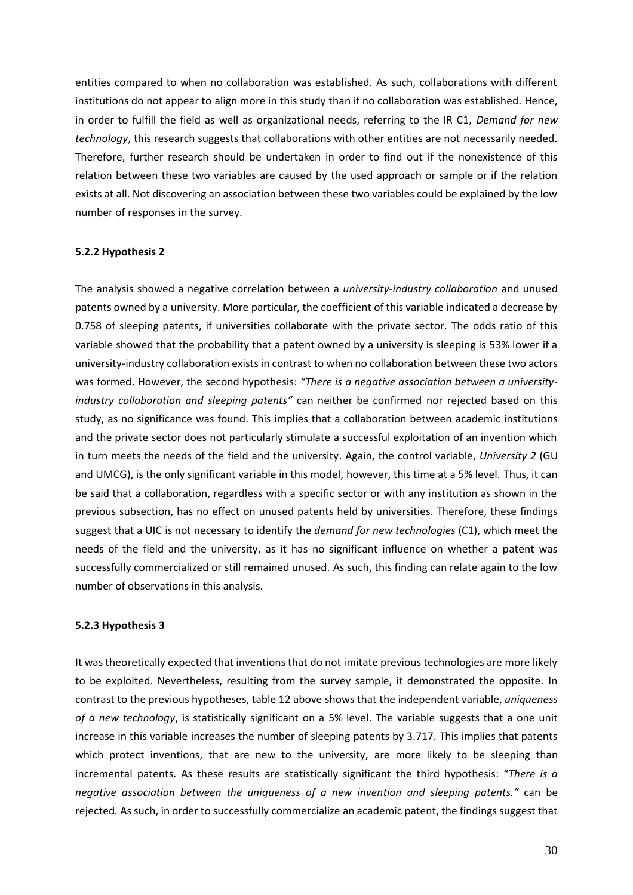entities compared to when no collaboration was established. As such, collaborations with different institutions do not appear to align more in this study than if no collaboration was established. Hence, in order to fulfill the field as well as organizational needs, referring to the IR C1, *Demand for new technology*, this research suggests that collaborations with other entities are not necessarily needed. Therefore, further research should be undertaken in order to find out if the nonexistence of this relation between these two variables are caused by the used approach or sample or if the relation exists at all. Not discovering an association between these two variables could be explained by the low number of responses in the survey.

#### <span id="page-35-0"></span>**5.2.2 Hypothesis 2**

The analysis showed a negative correlation between a *university-industry collaboration* and unused patents owned by a university. More particular, the coefficient of this variable indicated a decrease by 0.758 of sleeping patents, if universities collaborate with the private sector. The odds ratio of this variable showed that the probability that a patent owned by a university is sleeping is 53% lower if a university-industry collaboration exists in contrast to when no collaboration between these two actors was formed. However, the second hypothesis: *"There is a negative association between a universityindustry collaboration and sleeping patents"* can neither be confirmed nor rejected based on this study, as no significance was found. This implies that a collaboration between academic institutions and the private sector does not particularly stimulate a successful exploitation of an invention which in turn meets the needs of the field and the university. Again, the control variable, *University 2* (GU and UMCG), is the only significant variable in this model, however, this time at a 5% level. Thus, it can be said that a collaboration, regardless with a specific sector or with any institution as shown in the previous subsection, has no effect on unused patents held by universities. Therefore, these findings suggest that a UIC is not necessary to identify the *demand for new technologies* (C1), which meet the needs of the field and the university, as it has no significant influence on whether a patent was successfully commercialized or still remained unused. As such, this finding can relate again to the low number of observations in this analysis.

#### <span id="page-35-1"></span>**5.2.3 Hypothesis 3**

It was theoretically expected that inventions that do not imitate previous technologies are more likely to be exploited. Nevertheless, resulting from the survey sample, it demonstrated the opposite. In contrast to the previous hypotheses, table 12 above shows that the independent variable, *uniqueness of a new technology*, is statistically significant on a 5% level. The variable suggests that a one unit increase in this variable increases the number of sleeping patents by 3.717. This implies that patents which protect inventions, that are new to the university, are more likely to be sleeping than incremental patents. As these results are statistically significant the third hypothesis: "*There is a negative association between the uniqueness of a new invention and sleeping patents."* can be rejected*.* As such, in order to successfully commercialize an academic patent, the findings suggest that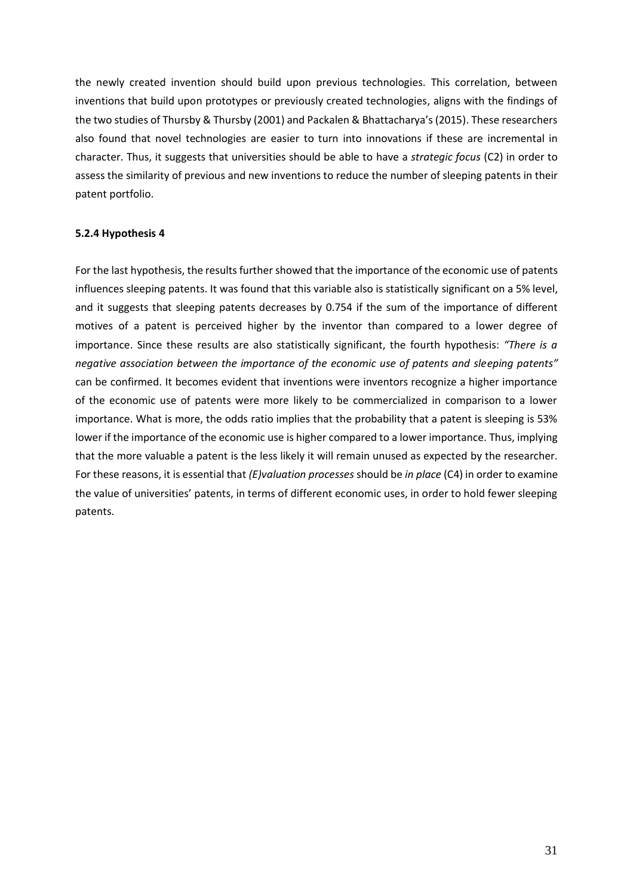the newly created invention should build upon previous technologies. This correlation, between inventions that build upon prototypes or previously created technologies, aligns with the findings of the two studies of Thursby & Thursby (2001) and Packalen & Bhattacharya's (2015). These researchers also found that novel technologies are easier to turn into innovations if these are incremental in character. Thus, it suggests that universities should be able to have a *strategic focus* (C2) in order to assess the similarity of previous and new inventions to reduce the number of sleeping patents in their patent portfolio.

#### <span id="page-36-0"></span>**5.2.4 Hypothesis 4**

For the last hypothesis, the results further showed that the importance of the economic use of patents influences sleeping patents. It was found that this variable also is statistically significant on a 5% level, and it suggests that sleeping patents decreases by 0.754 if the sum of the importance of different motives of a patent is perceived higher by the inventor than compared to a lower degree of importance. Since these results are also statistically significant, the fourth hypothesis: *"There is a negative association between the importance of the economic use of patents and sleeping patents"* can be confirmed. It becomes evident that inventions were inventors recognize a higher importance of the economic use of patents were more likely to be commercialized in comparison to a lower importance. What is more, the odds ratio implies that the probability that a patent is sleeping is 53% lower if the importance of the economic use is higher compared to a lower importance. Thus, implying that the more valuable a patent is the less likely it will remain unused as expected by the researcher. For these reasons, it is essential that *(E)valuation processes* should be *in place* (C4) in order to examine the value of universities' patents, in terms of different economic uses, in order to hold fewer sleeping patents.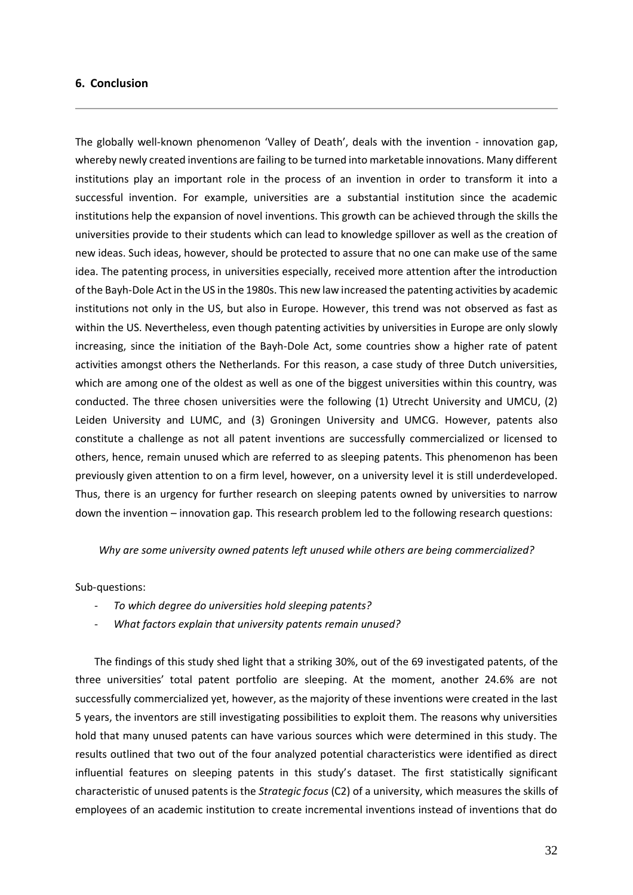#### <span id="page-37-0"></span>**6. Conclusion**

The globally well-known phenomenon 'Valley of Death', deals with the invention - innovation gap, whereby newly created inventions are failing to be turned into marketable innovations. Many different institutions play an important role in the process of an invention in order to transform it into a successful invention. For example, universities are a substantial institution since the academic institutions help the expansion of novel inventions. This growth can be achieved through the skills the universities provide to their students which can lead to knowledge spillover as well as the creation of new ideas. Such ideas, however, should be protected to assure that no one can make use of the same idea. The patenting process, in universities especially, received more attention after the introduction of the Bayh-Dole Act in the US in the 1980s. This new law increased the patenting activities by academic institutions not only in the US, but also in Europe. However, this trend was not observed as fast as within the US. Nevertheless, even though patenting activities by universities in Europe are only slowly increasing, since the initiation of the Bayh-Dole Act, some countries show a higher rate of patent activities amongst others the Netherlands. For this reason, a case study of three Dutch universities, which are among one of the oldest as well as one of the biggest universities within this country, was conducted. The three chosen universities were the following (1) Utrecht University and UMCU, (2) Leiden University and LUMC, and (3) Groningen University and UMCG. However, patents also constitute a challenge as not all patent inventions are successfully commercialized or licensed to others, hence, remain unused which are referred to as sleeping patents. This phenomenon has been previously given attention to on a firm level, however, on a university level it is still underdeveloped. Thus, there is an urgency for further research on sleeping patents owned by universities to narrow down the invention – innovation gap. This research problem led to the following research questions:

*Why are some university owned patents left unused while others are being commercialized?*

#### Sub-questions:

- *To which degree do universities hold sleeping patents?*
- *What factors explain that university patents remain unused?*

The findings of this study shed light that a striking 30%, out of the 69 investigated patents, of the three universities' total patent portfolio are sleeping. At the moment, another 24.6% are not successfully commercialized yet, however, as the majority of these inventions were created in the last 5 years, the inventors are still investigating possibilities to exploit them. The reasons why universities hold that many unused patents can have various sources which were determined in this study. The results outlined that two out of the four analyzed potential characteristics were identified as direct influential features on sleeping patents in this study's dataset. The first statistically significant characteristic of unused patents is the *Strategic focus* (C2) of a university, which measures the skills of employees of an academic institution to create incremental inventions instead of inventions that do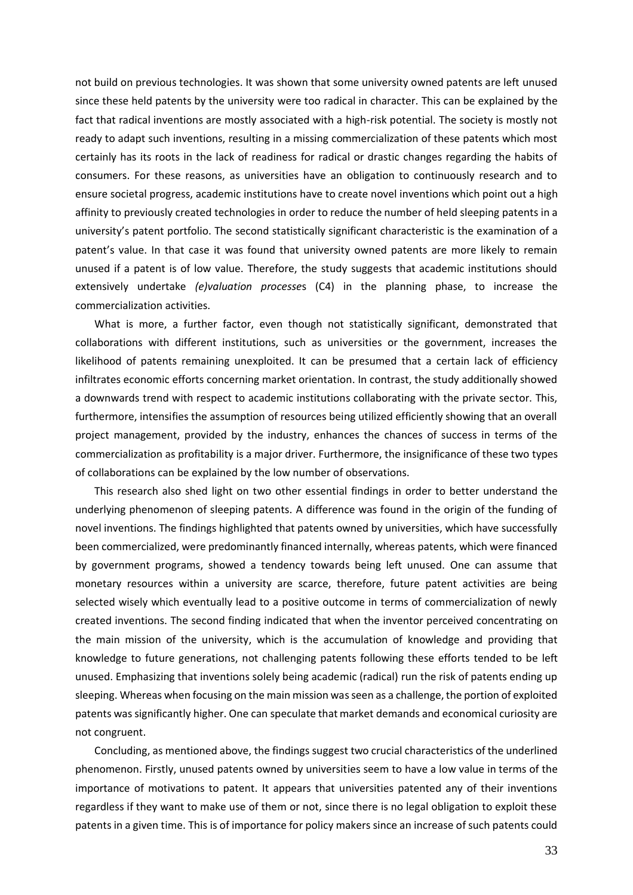not build on previous technologies. It was shown that some university owned patents are left unused since these held patents by the university were too radical in character. This can be explained by the fact that radical inventions are mostly associated with a high-risk potential. The society is mostly not ready to adapt such inventions, resulting in a missing commercialization of these patents which most certainly has its roots in the lack of readiness for radical or drastic changes regarding the habits of consumers. For these reasons, as universities have an obligation to continuously research and to ensure societal progress, academic institutions have to create novel inventions which point out a high affinity to previously created technologies in order to reduce the number of held sleeping patents in a university's patent portfolio. The second statistically significant characteristic is the examination of a patent's value. In that case it was found that university owned patents are more likely to remain unused if a patent is of low value. Therefore, the study suggests that academic institutions should extensively undertake *(e)valuation processe*s (C4) in the planning phase, to increase the commercialization activities.

What is more, a further factor, even though not statistically significant, demonstrated that collaborations with different institutions, such as universities or the government, increases the likelihood of patents remaining unexploited. It can be presumed that a certain lack of efficiency infiltrates economic efforts concerning market orientation. In contrast, the study additionally showed a downwards trend with respect to academic institutions collaborating with the private sector. This, furthermore, intensifies the assumption of resources being utilized efficiently showing that an overall project management, provided by the industry, enhances the chances of success in terms of the commercialization as profitability is a major driver. Furthermore, the insignificance of these two types of collaborations can be explained by the low number of observations.

This research also shed light on two other essential findings in order to better understand the underlying phenomenon of sleeping patents. A difference was found in the origin of the funding of novel inventions. The findings highlighted that patents owned by universities, which have successfully been commercialized, were predominantly financed internally, whereas patents, which were financed by government programs, showed a tendency towards being left unused. One can assume that monetary resources within a university are scarce, therefore, future patent activities are being selected wisely which eventually lead to a positive outcome in terms of commercialization of newly created inventions. The second finding indicated that when the inventor perceived concentrating on the main mission of the university, which is the accumulation of knowledge and providing that knowledge to future generations, not challenging patents following these efforts tended to be left unused. Emphasizing that inventions solely being academic (radical) run the risk of patents ending up sleeping. Whereas when focusing on the main mission was seen as a challenge, the portion of exploited patents was significantly higher. One can speculate that market demands and economical curiosity are not congruent.

Concluding, as mentioned above, the findings suggest two crucial characteristics of the underlined phenomenon. Firstly, unused patents owned by universities seem to have a low value in terms of the importance of motivations to patent. It appears that universities patented any of their inventions regardless if they want to make use of them or not, since there is no legal obligation to exploit these patents in a given time. This is of importance for policy makers since an increase of such patents could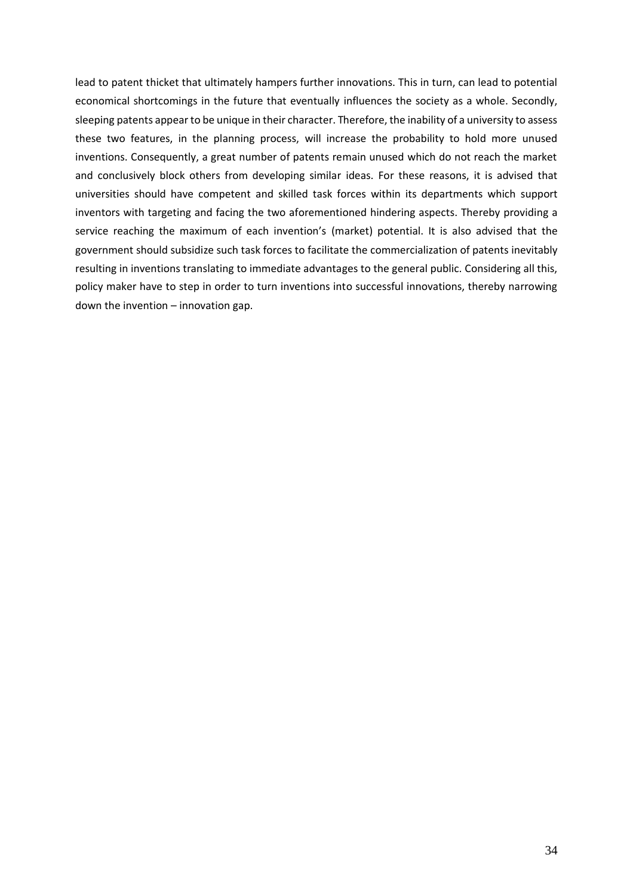lead to patent thicket that ultimately hampers further innovations. This in turn, can lead to potential economical shortcomings in the future that eventually influences the society as a whole. Secondly, sleeping patents appear to be unique in their character. Therefore, the inability of a university to assess these two features, in the planning process, will increase the probability to hold more unused inventions. Consequently, a great number of patents remain unused which do not reach the market and conclusively block others from developing similar ideas. For these reasons, it is advised that universities should have competent and skilled task forces within its departments which support inventors with targeting and facing the two aforementioned hindering aspects. Thereby providing a service reaching the maximum of each invention's (market) potential. It is also advised that the government should subsidize such task forces to facilitate the commercialization of patents inevitably resulting in inventions translating to immediate advantages to the general public. Considering all this, policy maker have to step in order to turn inventions into successful innovations, thereby narrowing down the invention – innovation gap.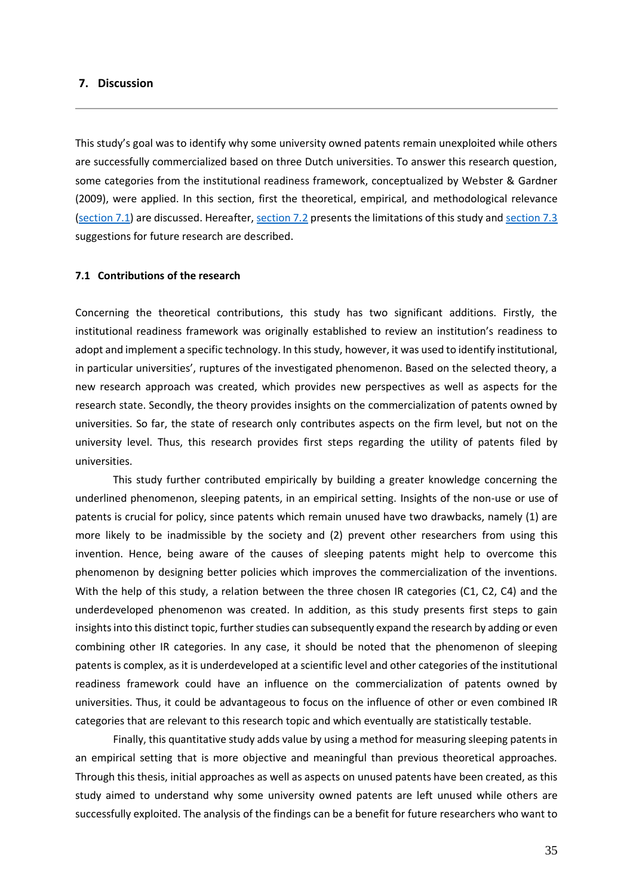#### <span id="page-40-0"></span>**7. Discussion**

This study's goal was to identify why some university owned patents remain unexploited while others are successfully commercialized based on three Dutch universities. To answer this research question, some categories from the institutional readiness framework, conceptualized by Webster & Gardner (2009), were applied. In this section, first the theoretical, empirical, and methodological relevance [\(section 7.1\)](#page-40-1) are discussed. Hereafter, [section 7.2](#page-41-0) presents the limitations of this study an[d section 7.3](#page-41-1) suggestions for future research are described.

#### <span id="page-40-1"></span>**7.1 Contributions of the research**

Concerning the theoretical contributions, this study has two significant additions. Firstly, the institutional readiness framework was originally established to review an institution's readiness to adopt and implement a specific technology. In this study, however, it was used to identify institutional, in particular universities', ruptures of the investigated phenomenon. Based on the selected theory, a new research approach was created, which provides new perspectives as well as aspects for the research state. Secondly, the theory provides insights on the commercialization of patents owned by universities. So far, the state of research only contributes aspects on the firm level, but not on the university level. Thus, this research provides first steps regarding the utility of patents filed by universities.

This study further contributed empirically by building a greater knowledge concerning the underlined phenomenon, sleeping patents, in an empirical setting. Insights of the non-use or use of patents is crucial for policy, since patents which remain unused have two drawbacks, namely (1) are more likely to be inadmissible by the society and (2) prevent other researchers from using this invention. Hence, being aware of the causes of sleeping patents might help to overcome this phenomenon by designing better policies which improves the commercialization of the inventions. With the help of this study, a relation between the three chosen IR categories (C1, C2, C4) and the underdeveloped phenomenon was created. In addition, as this study presents first steps to gain insights into this distinct topic, further studies can subsequently expand the research by adding or even combining other IR categories. In any case, it should be noted that the phenomenon of sleeping patents is complex, as it is underdeveloped at a scientific level and other categories of the institutional readiness framework could have an influence on the commercialization of patents owned by universities. Thus, it could be advantageous to focus on the influence of other or even combined IR categories that are relevant to this research topic and which eventually are statistically testable.

Finally, this quantitative study adds value by using a method for measuring sleeping patents in an empirical setting that is more objective and meaningful than previous theoretical approaches. Through this thesis, initial approaches as well as aspects on unused patents have been created, as this study aimed to understand why some university owned patents are left unused while others are successfully exploited. The analysis of the findings can be a benefit for future researchers who want to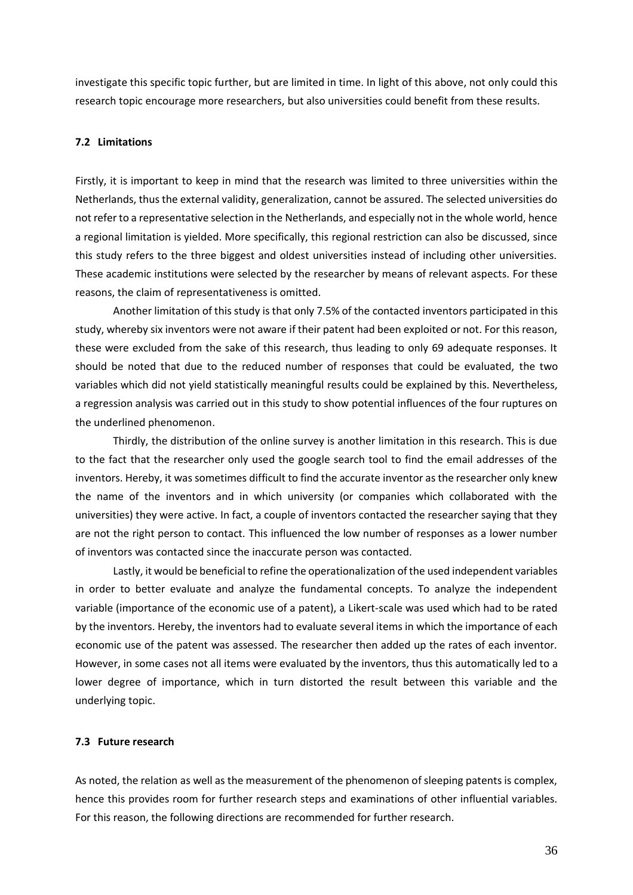investigate this specific topic further, but are limited in time. In light of this above, not only could this research topic encourage more researchers, but also universities could benefit from these results.

#### <span id="page-41-0"></span>**7.2 Limitations**

Firstly, it is important to keep in mind that the research was limited to three universities within the Netherlands, thus the external validity, generalization, cannot be assured. The selected universities do not refer to a representative selection in the Netherlands, and especially not in the whole world, hence a regional limitation is yielded. More specifically, this regional restriction can also be discussed, since this study refers to the three biggest and oldest universities instead of including other universities. These academic institutions were selected by the researcher by means of relevant aspects. For these reasons, the claim of representativeness is omitted.

Another limitation of this study is that only 7.5% of the contacted inventors participated in this study, whereby six inventors were not aware if their patent had been exploited or not. For this reason, these were excluded from the sake of this research, thus leading to only 69 adequate responses. It should be noted that due to the reduced number of responses that could be evaluated, the two variables which did not yield statistically meaningful results could be explained by this. Nevertheless, a regression analysis was carried out in this study to show potential influences of the four ruptures on the underlined phenomenon.

Thirdly, the distribution of the online survey is another limitation in this research. This is due to the fact that the researcher only used the google search tool to find the email addresses of the inventors. Hereby, it was sometimes difficult to find the accurate inventor as the researcher only knew the name of the inventors and in which university (or companies which collaborated with the universities) they were active. In fact, a couple of inventors contacted the researcher saying that they are not the right person to contact. This influenced the low number of responses as a lower number of inventors was contacted since the inaccurate person was contacted.

Lastly, it would be beneficial to refine the operationalization of the used independent variables in order to better evaluate and analyze the fundamental concepts. To analyze the independent variable (importance of the economic use of a patent), a Likert-scale was used which had to be rated by the inventors. Hereby, the inventors had to evaluate several items in which the importance of each economic use of the patent was assessed. The researcher then added up the rates of each inventor. However, in some cases not all items were evaluated by the inventors, thus this automatically led to a lower degree of importance, which in turn distorted the result between this variable and the underlying topic.

#### <span id="page-41-1"></span>**7.3 Future research**

As noted, the relation as well as the measurement of the phenomenon of sleeping patents is complex, hence this provides room for further research steps and examinations of other influential variables. For this reason, the following directions are recommended for further research.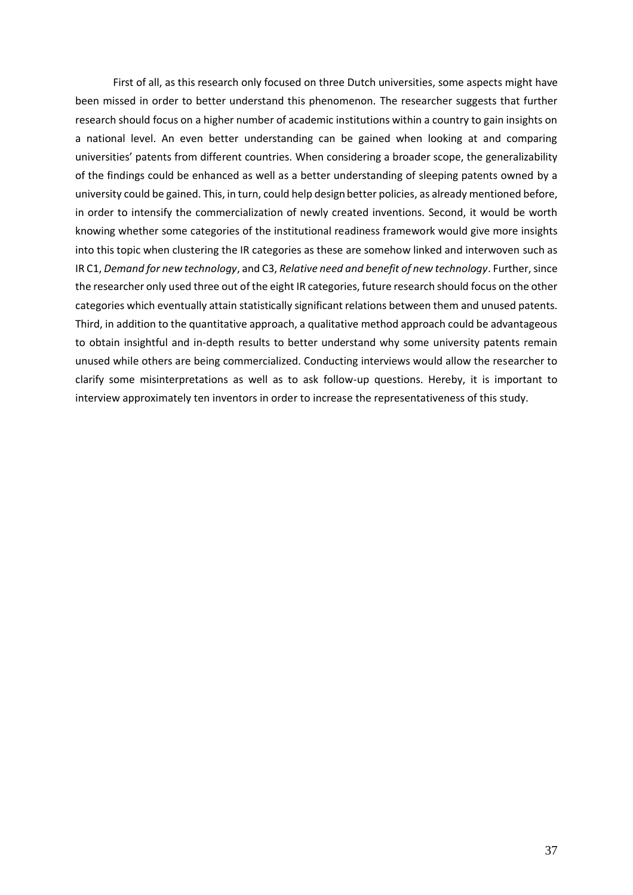First of all, as this research only focused on three Dutch universities, some aspects might have been missed in order to better understand this phenomenon. The researcher suggests that further research should focus on a higher number of academic institutions within a country to gain insights on a national level. An even better understanding can be gained when looking at and comparing universities' patents from different countries. When considering a broader scope, the generalizability of the findings could be enhanced as well as a better understanding of sleeping patents owned by a university could be gained. This, in turn, could help design better policies, as already mentioned before, in order to intensify the commercialization of newly created inventions. Second, it would be worth knowing whether some categories of the institutional readiness framework would give more insights into this topic when clustering the IR categories as these are somehow linked and interwoven such as IR C1, *Demand for new technology*, and C3, *Relative need and benefit of new technology*. Further, since the researcher only used three out of the eight IR categories, future research should focus on the other categories which eventually attain statistically significant relations between them and unused patents. Third, in addition to the quantitative approach, a qualitative method approach could be advantageous to obtain insightful and in-depth results to better understand why some university patents remain unused while others are being commercialized. Conducting interviews would allow the researcher to clarify some misinterpretations as well as to ask follow-up questions. Hereby, it is important to interview approximately ten inventors in order to increase the representativeness of this study.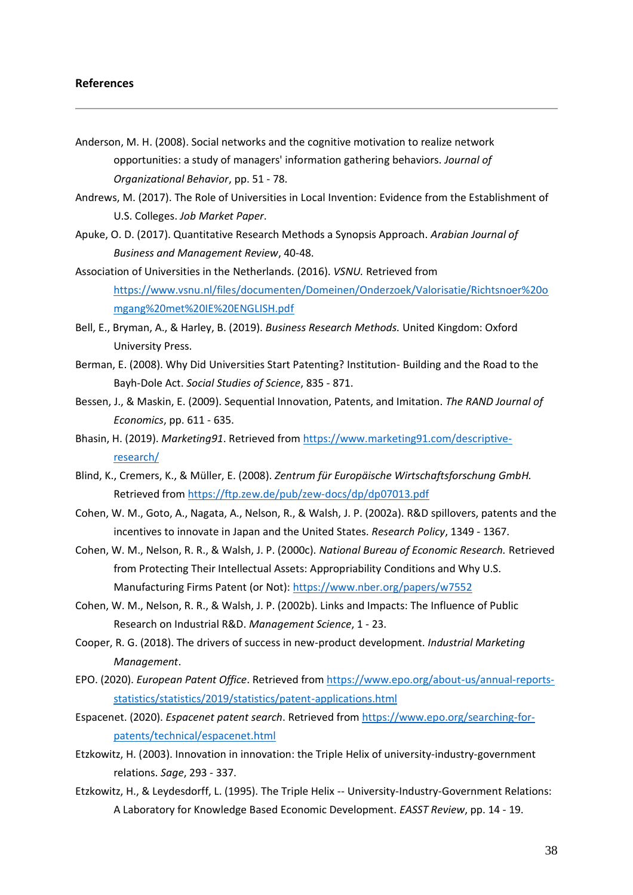#### <span id="page-43-0"></span>**References**

- Anderson, M. H. (2008). Social networks and the cognitive motivation to realize network opportunities: a study of managers' information gathering behaviors. *Journal of Organizational Behavior*, pp. 51 - 78.
- Andrews, M. (2017). The Role of Universities in Local Invention: Evidence from the Establishment of U.S. Colleges. *Job Market Paper*.
- Apuke, O. D. (2017). Quantitative Research Methods a Synopsis Approach. *Arabian Journal of Business and Management Review*, 40-48.
- Association of Universities in the Netherlands. (2016). *VSNU.* Retrieved from [https://www.vsnu.nl/files/documenten/Domeinen/Onderzoek/Valorisatie/Richtsnoer%20o](https://www.vsnu.nl/files/documenten/Domeinen/Onderzoek/Valorisatie/Richtsnoer%20omgang%20met%20IE%20ENGLISH.pdf) [mgang%20met%20IE%20ENGLISH.pdf](https://www.vsnu.nl/files/documenten/Domeinen/Onderzoek/Valorisatie/Richtsnoer%20omgang%20met%20IE%20ENGLISH.pdf)
- Bell, E., Bryman, A., & Harley, B. (2019). *Business Research Methods.* United Kingdom: Oxford University Press.
- Berman, E. (2008). Why Did Universities Start Patenting? Institution- Building and the Road to the Bayh-Dole Act. *Social Studies of Science*, 835 - 871.
- Bessen, J., & Maskin, E. (2009). Sequential Innovation, Patents, and Imitation. *The RAND Journal of Economics*, pp. 611 - 635.
- Bhasin, H. (2019). *Marketing91*. Retrieved from [https://www.marketing91.com/descriptive](https://www.marketing91.com/descriptive-research/)[research/](https://www.marketing91.com/descriptive-research/)
- Blind, K., Cremers, K., & Müller, E. (2008). *Zentrum für Europäische Wirtschaftsforschung GmbH.* Retrieved from<https://ftp.zew.de/pub/zew-docs/dp/dp07013.pdf>
- Cohen, W. M., Goto, A., Nagata, A., Nelson, R., & Walsh, J. P. (2002a). R&D spillovers, patents and the incentives to innovate in Japan and the United States. *Research Policy*, 1349 - 1367.
- Cohen, W. M., Nelson, R. R., & Walsh, J. P. (2000c). *National Bureau of Economic Research.* Retrieved from Protecting Their Intellectual Assets: Appropriability Conditions and Why U.S. Manufacturing Firms Patent (or Not):<https://www.nber.org/papers/w7552>
- Cohen, W. M., Nelson, R. R., & Walsh, J. P. (2002b). Links and Impacts: The Influence of Public Research on Industrial R&D. *Management Science*, 1 - 23.
- Cooper, R. G. (2018). The drivers of success in new-product development. *Industrial Marketing Management*.
- EPO. (2020). *European Patent Office*. Retrieved from [https://www.epo.org/about-us/annual-reports](https://www.epo.org/about-us/annual-reports-statistics/statistics/2019/statistics/patent-applications.html)[statistics/statistics/2019/statistics/patent-applications.html](https://www.epo.org/about-us/annual-reports-statistics/statistics/2019/statistics/patent-applications.html)
- Espacenet. (2020). *Espacenet patent search*. Retrieved from [https://www.epo.org/searching-for](https://www.epo.org/searching-for-patents/technical/espacenet.html)[patents/technical/espacenet.html](https://www.epo.org/searching-for-patents/technical/espacenet.html)
- Etzkowitz, H. (2003). Innovation in innovation: the Triple Helix of university-industry-government relations. *Sage*, 293 - 337.
- Etzkowitz, H., & Leydesdorff, L. (1995). The Triple Helix -- University-Industry-Government Relations: A Laboratory for Knowledge Based Economic Development. *EASST Review*, pp. 14 - 19.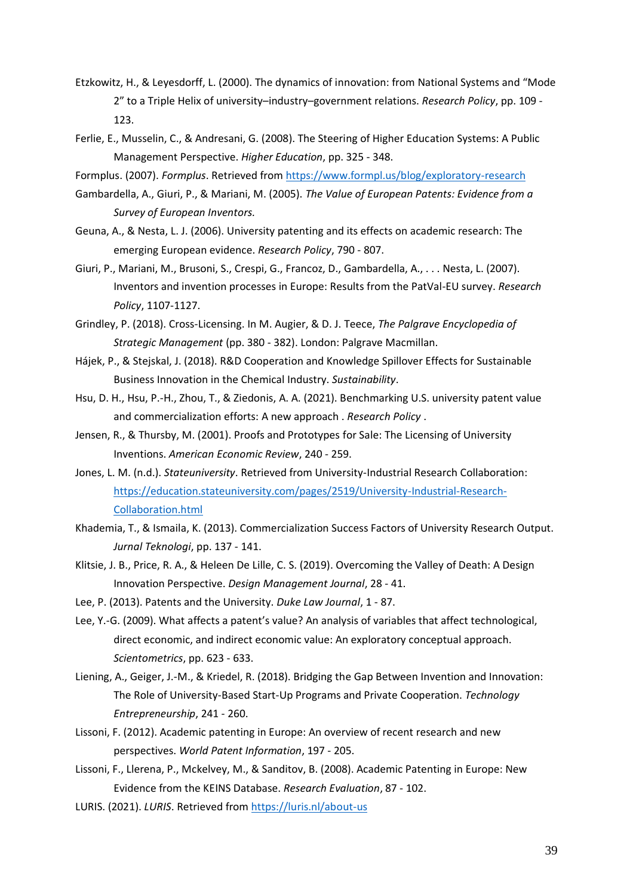- Etzkowitz, H., & Leyesdorff, L. (2000). The dynamics of innovation: from National Systems and "Mode 2" to a Triple Helix of university–industry–government relations. *Research Policy*, pp. 109 - 123.
- Ferlie, E., Musselin, C., & Andresani, G. (2008). The Steering of Higher Education Systems: A Public Management Perspective. *Higher Education*, pp. 325 - 348.
- Formplus. (2007). *Formplus*. Retrieved fro[m https://www.formpl.us/blog/exploratory-research](https://www.formpl.us/blog/exploratory-research)
- Gambardella, A., Giuri, P., & Mariani, M. (2005). *The Value of European Patents: Evidence from a Survey of European Inventors.*
- Geuna, A., & Nesta, L. J. (2006). University patenting and its effects on academic research: The emerging European evidence. *Research Policy*, 790 - 807.
- Giuri, P., Mariani, M., Brusoni, S., Crespi, G., Francoz, D., Gambardella, A., . . . Nesta, L. (2007). Inventors and invention processes in Europe: Results from the PatVal-EU survey. *Research Policy*, 1107-1127.
- Grindley, P. (2018). Cross-Licensing. In M. Augier, & D. J. Teece, *The Palgrave Encyclopedia of Strategic Management* (pp. 380 - 382). London: Palgrave Macmillan.
- Hájek, P., & Stejskal, J. (2018). R&D Cooperation and Knowledge Spillover Effects for Sustainable Business Innovation in the Chemical Industry. *Sustainability*.
- Hsu, D. H., Hsu, P.-H., Zhou, T., & Ziedonis, A. A. (2021). Benchmarking U.S. university patent value and commercialization efforts: A new approach . *Research Policy* .
- Jensen, R., & Thursby, M. (2001). Proofs and Prototypes for Sale: The Licensing of University Inventions. *American Economic Review*, 240 - 259.
- Jones, L. M. (n.d.). *Stateuniversity*. Retrieved from University-Industrial Research Collaboration: [https://education.stateuniversity.com/pages/2519/University-Industrial-Research-](https://education.stateuniversity.com/pages/2519/University-Industrial-Research-Collaboration.html)[Collaboration.html](https://education.stateuniversity.com/pages/2519/University-Industrial-Research-Collaboration.html)
- Khademia, T., & Ismaila, K. (2013). Commercialization Success Factors of University Research Output. *Jurnal Teknologi*, pp. 137 - 141.
- Klitsie, J. B., Price, R. A., & Heleen De Lille, C. S. (2019). Overcoming the Valley of Death: A Design Innovation Perspective. *Design Management Journal*, 28 - 41.
- Lee, P. (2013). Patents and the University. *Duke Law Journal*, 1 87.
- Lee, Y.-G. (2009). What affects a patent's value? An analysis of variables that affect technological, direct economic, and indirect economic value: An exploratory conceptual approach. *Scientometrics*, pp. 623 - 633.
- Liening, A., Geiger, J.-M., & Kriedel, R. (2018). Bridging the Gap Between Invention and Innovation: The Role of University-Based Start-Up Programs and Private Cooperation. *Technology Entrepreneurship*, 241 - 260.
- Lissoni, F. (2012). Academic patenting in Europe: An overview of recent research and new perspectives. *World Patent Information*, 197 - 205.
- Lissoni, F., Llerena, P., Mckelvey, M., & Sanditov, B. (2008). Academic Patenting in Europe: New Evidence from the KEINS Database. *Research Evaluation*, 87 - 102.
- LURIS. (2021). *LURIS*. Retrieved from<https://luris.nl/about-us>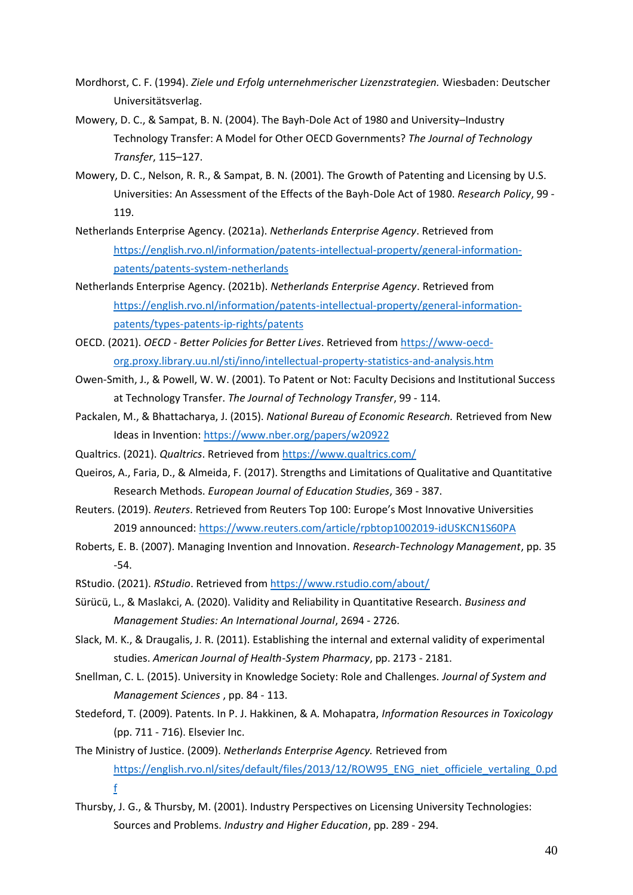- Mordhorst, C. F. (1994). *Ziele und Erfolg unternehmerischer Lizenzstrategien.* Wiesbaden: Deutscher Universitätsverlag.
- Mowery, D. C., & Sampat, B. N. (2004). The Bayh-Dole Act of 1980 and University–Industry Technology Transfer: A Model for Other OECD Governments? *The Journal of Technology Transfer*, 115–127.
- Mowery, D. C., Nelson, R. R., & Sampat, B. N. (2001). The Growth of Patenting and Licensing by U.S. Universities: An Assessment of the Effects of the Bayh-Dole Act of 1980. *Research Policy*, 99 - 119.
- Netherlands Enterprise Agency. (2021a). *Netherlands Enterprise Agency*. Retrieved from [https://english.rvo.nl/information/patents-intellectual-property/general-information](https://english.rvo.nl/information/patents-intellectual-property/general-information-patents/patents-system-netherlands)[patents/patents-system-netherlands](https://english.rvo.nl/information/patents-intellectual-property/general-information-patents/patents-system-netherlands)
- Netherlands Enterprise Agency. (2021b). *Netherlands Enterprise Agency*. Retrieved from [https://english.rvo.nl/information/patents-intellectual-property/general-information](https://english.rvo.nl/information/patents-intellectual-property/general-information-patents/types-patents-ip-rights/patents)[patents/types-patents-ip-rights/patents](https://english.rvo.nl/information/patents-intellectual-property/general-information-patents/types-patents-ip-rights/patents)
- OECD. (2021). *OECD - Better Policies for Better Lives*. Retrieved from [https://www-oecd](https://www-oecd-org.proxy.library.uu.nl/sti/inno/intellectual-property-statistics-and-analysis.htm)[org.proxy.library.uu.nl/sti/inno/intellectual-property-statistics-and-analysis.htm](https://www-oecd-org.proxy.library.uu.nl/sti/inno/intellectual-property-statistics-and-analysis.htm)
- Owen-Smith, J., & Powell, W. W. (2001). To Patent or Not: Faculty Decisions and Institutional Success at Technology Transfer. *The Journal of Technology Transfer*, 99 - 114.
- Packalen, M., & Bhattacharya, J. (2015). *National Bureau of Economic Research.* Retrieved from New Ideas in Invention[: https://www.nber.org/papers/w20922](https://www.nber.org/papers/w20922)
- Qualtrics. (2021). *Qualtrics*. Retrieved from<https://www.qualtrics.com/>
- Queiros, A., Faria, D., & Almeida, F. (2017). Strengths and Limitations of Qualitative and Quantitative Research Methods. *European Journal of Education Studies*, 369 - 387.
- Reuters. (2019). *Reuters*. Retrieved from Reuters Top 100: Europe's Most Innovative Universities 2019 announced:<https://www.reuters.com/article/rpbtop1002019-idUSKCN1S60PA>
- Roberts, E. B. (2007). Managing Invention and Innovation. *Research-Technology Management*, pp. 35 -54.
- RStudio. (2021). *RStudio*. Retrieved from<https://www.rstudio.com/about/>
- Sürücü, L., & Maslakci, A. (2020). Validity and Reliability in Quantitative Research. *Business and Management Studies: An International Journal*, 2694 - 2726.
- Slack, M. K., & Draugalis, J. R. (2011). Establishing the internal and external validity of experimental studies. *American Journal of Health-System Pharmacy*, pp. 2173 - 2181.
- Snellman, C. L. (2015). University in Knowledge Society: Role and Challenges. *Journal of System and Management Sciences* , pp. 84 - 113.
- Stedeford, T. (2009). Patents. In P. J. Hakkinen, & A. Mohapatra, *Information Resources in Toxicology* (pp. 711 - 716). Elsevier Inc.
- The Ministry of Justice. (2009). *Netherlands Enterprise Agency.* Retrieved from [https://english.rvo.nl/sites/default/files/2013/12/ROW95\\_ENG\\_niet\\_officiele\\_vertaling\\_0.pd](https://english.rvo.nl/sites/default/files/2013/12/ROW95_ENG_niet_officiele_vertaling_0.pdf) [f](https://english.rvo.nl/sites/default/files/2013/12/ROW95_ENG_niet_officiele_vertaling_0.pdf)
- Thursby, J. G., & Thursby, M. (2001). Industry Perspectives on Licensing University Technologies: Sources and Problems. *Industry and Higher Education*, pp. 289 - 294.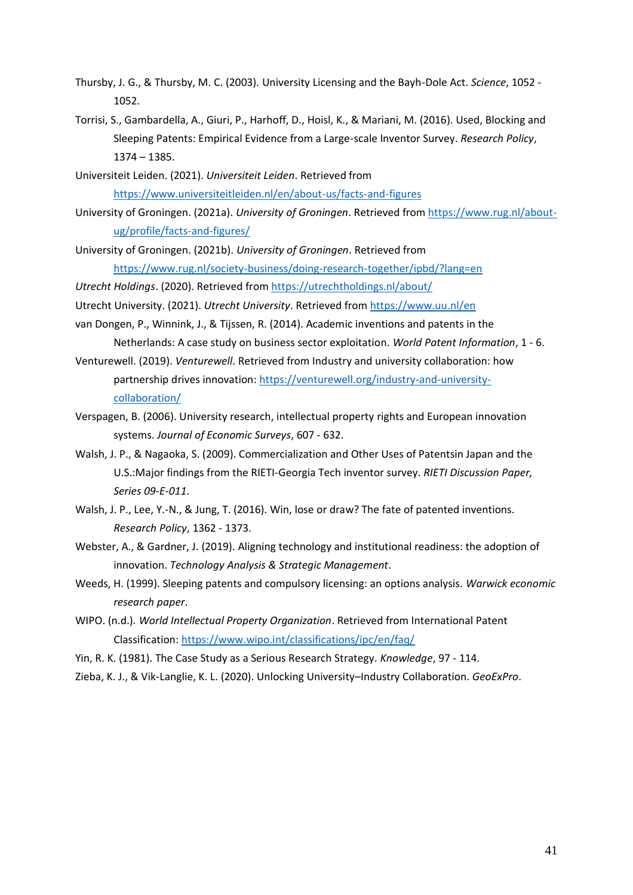- Thursby, J. G., & Thursby, M. C. (2003). University Licensing and the Bayh-Dole Act. *Science*, 1052 1052.
- Torrisi, S., Gambardella, A., Giuri, P., Harhoff, D., Hoisl, K., & Mariani, M. (2016). Used, Blocking and Sleeping Patents: Empirical Evidence from a Large-scale Inventor Survey. *Research Policy*, 1374 – 1385.
- Universiteit Leiden. (2021). *Universiteit Leiden*. Retrieved from <https://www.universiteitleiden.nl/en/about-us/facts-and-figures>
- University of Groningen. (2021a). *University of Groningen*. Retrieved from [https://www.rug.nl/about](https://www.rug.nl/about-ug/profile/facts-and-figures/)[ug/profile/facts-and-figures/](https://www.rug.nl/about-ug/profile/facts-and-figures/)
- University of Groningen. (2021b). *University of Groningen*. Retrieved from <https://www.rug.nl/society-business/doing-research-together/ipbd/?lang=en>
- *Utrecht Holdings*. (2020). Retrieved from<https://utrechtholdings.nl/about/>
- Utrecht University. (2021). *Utrecht University*. Retrieved from<https://www.uu.nl/en>
- van Dongen, P., Winnink, J., & Tijssen, R. (2014). Academic inventions and patents in the Netherlands: A case study on business sector exploitation. *World Patent Information*, 1 - 6.
- Venturewell. (2019). *Venturewell*. Retrieved from Industry and university collaboration: how partnership drives innovation: [https://venturewell.org/industry-and-university](https://venturewell.org/industry-and-university-collaboration/)[collaboration/](https://venturewell.org/industry-and-university-collaboration/)
- Verspagen, B. (2006). University research, intellectual property rights and European innovation systems. *Journal of Economic Surveys*, 607 - 632.
- Walsh, J. P., & Nagaoka, S. (2009). Commercialization and Other Uses of Patentsin Japan and the U.S.:Major findings from the RIETI-Georgia Tech inventor survey. *RIETI Discussion Paper, Series 09-E-011*.
- Walsh, J. P., Lee, Y.-N., & Jung, T. (2016). Win, lose or draw? The fate of patented inventions. *Research Policy*, 1362 - 1373.
- Webster, A., & Gardner, J. (2019). Aligning technology and institutional readiness: the adoption of innovation. *Technology Analysis & Strategic Management*.
- Weeds, H. (1999). Sleeping patents and compulsory licensing: an options analysis. *Warwick economic research paper*.
- WIPO. (n.d.). *World Intellectual Property Organization*. Retrieved from International Patent Classification:<https://www.wipo.int/classifications/ipc/en/faq/>
- Yin, R. K. (1981). The Case Study as a Serious Research Strategy. *Knowledge*, 97 114.
- Zieba, K. J., & Vik-Langlie, K. L. (2020). Unlocking University–Industry Collaboration. *GeoExPro*.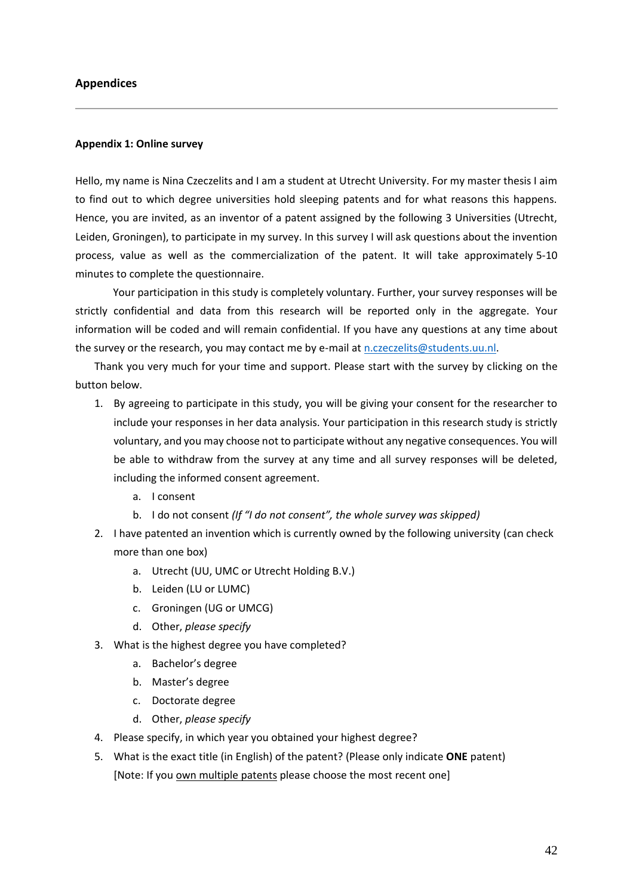#### <span id="page-47-0"></span>**Appendices**

#### <span id="page-47-1"></span>**Appendix 1: Online survey**

Hello, my name is Nina Czeczelits and I am a student at Utrecht University. For my master thesis I aim to find out to which degree universities hold sleeping patents and for what reasons this happens. Hence, you are invited, as an inventor of a patent assigned by the following 3 Universities (Utrecht, Leiden, Groningen), to participate in my survey. In this survey I will ask questions about the invention process, value as well as the commercialization of the patent. It will take approximately 5-10 minutes to complete the questionnaire.

Your participation in this study is completely voluntary. Further, your survey responses will be strictly confidential and data from this research will be reported only in the aggregate. Your information will be coded and will remain confidential. If you have any questions at any time about the survey or the research, you may contact me by e-mail at [n.czeczelits@students.uu.nl.](mailto:n.czeczelits@students.uu.nl)

Thank you very much for your time and support. Please start with the survey by clicking on the button below.

- 1. By agreeing to participate in this study, you will be giving your consent for the researcher to include your responses in her data analysis. Your participation in this research study is strictly voluntary, and you may choose not to participate without any negative consequences. You will be able to withdraw from the survey at any time and all survey responses will be deleted, including the informed consent agreement.
	- a. I consent
	- b. I do not consent *(If "I do not consent", the whole survey was skipped)*
- 2. I have patented an invention which is currently owned by the following university (can check more than one box)
	- a. Utrecht (UU, UMC or Utrecht Holding B.V.)
	- b. Leiden (LU or LUMC)
	- c. Groningen (UG or UMCG)
	- d. Other, *please specify*
- 3. What is the highest degree you have completed?
	- a. Bachelor's degree
	- b. Master's degree
	- c. Doctorate degree
	- d. Other, *please specify*
- 4. Please specify, in which year you obtained your highest degree?
- 5. What is the exact title (in English) of the patent? (Please only indicate **ONE** patent) [Note: If you own multiple patents please choose the most recent one]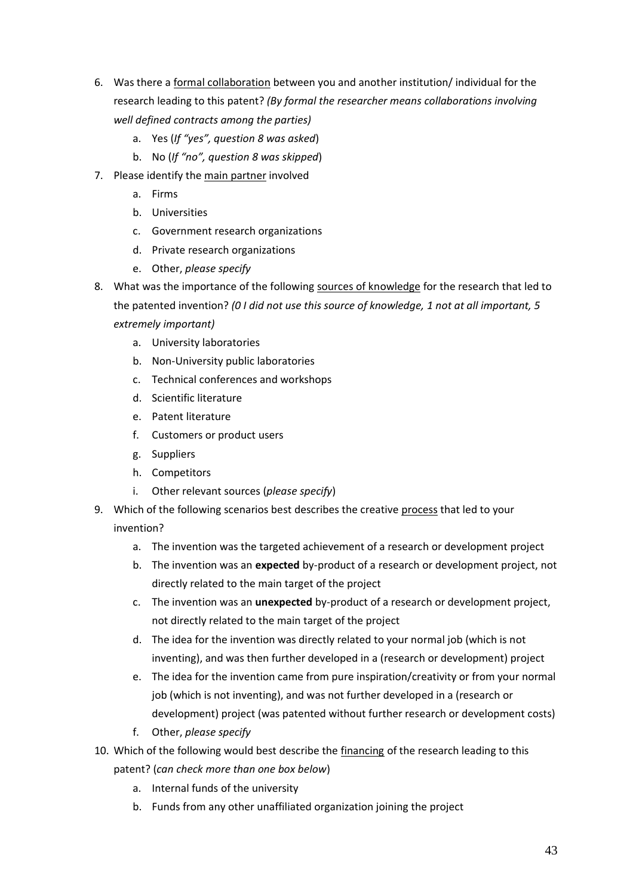- 6. Was there a formal collaboration between you and another institution/ individual for the research leading to this patent? *(By formal the researcher means collaborations involving well defined contracts among the parties)*
	- a. Yes (*If "yes", question 8 was asked*)
	- b. No (*If "no", question 8 was skipped*)
- 7. Please identify the main partner involved
	- a. Firms
	- b. Universities
	- c. Government research organizations
	- d. Private research organizations
	- e. Other, *please specify*
- 8. What was the importance of the following sources of knowledge for the research that led to the patented invention? *(0 I did not use this source of knowledge, 1 not at all important, 5 extremely important)*
	- a. University laboratories
	- b. Non-University public laboratories
	- c. Technical conferences and workshops
	- d. Scientific literature
	- e. Patent literature
	- f. Customers or product users
	- g. Suppliers
	- h. Competitors
	- i. Other relevant sources (*please specify*)
- 9. Which of the following scenarios best describes the creative process that led to your invention?
	- a. The invention was the targeted achievement of a research or development project
	- b. The invention was an **expected** by-product of a research or development project, not directly related to the main target of the project
	- c. The invention was an **unexpected** by-product of a research or development project, not directly related to the main target of the project
	- d. The idea for the invention was directly related to your normal job (which is not inventing), and was then further developed in a (research or development) project
	- e. The idea for the invention came from pure inspiration/creativity or from your normal job (which is not inventing), and was not further developed in a (research or development) project (was patented without further research or development costs)
	- f. Other, *please specify*
- 10. Which of the following would best describe the financing of the research leading to this patent? (*can check more than one box below*)
	- a. Internal funds of the university
	- b. Funds from any other unaffiliated organization joining the project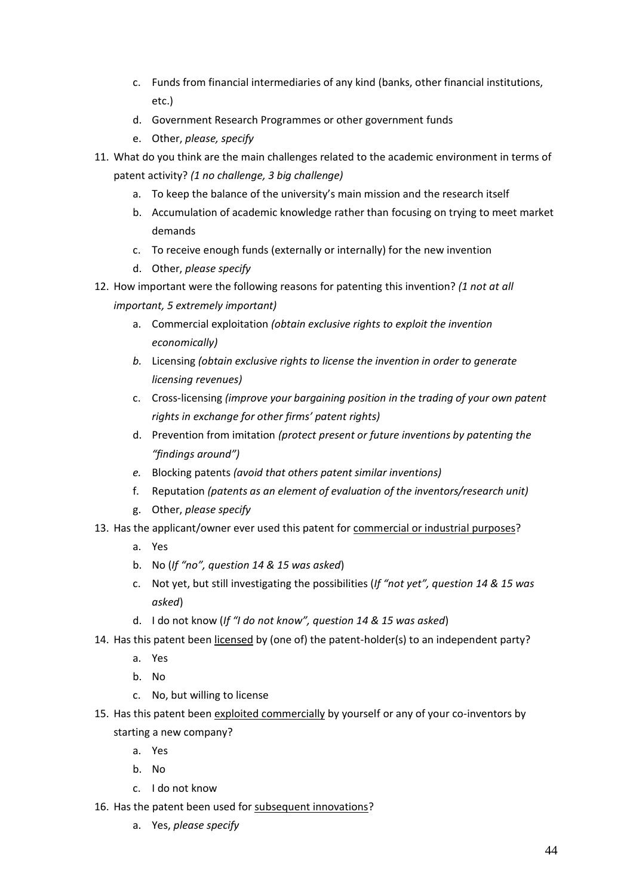- c. Funds from financial intermediaries of any kind (banks, other financial institutions, etc.)
- d. Government Research Programmes or other government funds
- e. Other, *please, specify*
- 11. What do you think are the main challenges related to the academic environment in terms of patent activity? *(1 no challenge, 3 big challenge)*
	- a. To keep the balance of the university's main mission and the research itself
	- b. Accumulation of academic knowledge rather than focusing on trying to meet market demands
	- c. To receive enough funds (externally or internally) for the new invention
	- d. Other, *please specify*
- 12. How important were the following reasons for patenting this invention? *(1 not at all important, 5 extremely important)*
	- a. Commercial exploitation *(obtain exclusive rights to exploit the invention economically)*
	- *b.* Licensing *(obtain exclusive rights to license the invention in order to generate licensing revenues)*
	- c. Cross-licensing *(improve your bargaining position in the trading of your own patent rights in exchange for other firms' patent rights)*
	- d. Prevention from imitation *(protect present or future inventions by patenting the "findings around")*
	- *e.* Blocking patents *(avoid that others patent similar inventions)*
	- f. Reputation *(patents as an element of evaluation of the inventors/research unit)*
	- g. Other, *please specify*
- 13. Has the applicant/owner ever used this patent for commercial or industrial purposes?
	- a. Yes
	- b. No (*If "no", question 14 & 15 was asked*)
	- c. Not yet, but still investigating the possibilities (*If "not yet", question 14 & 15 was asked*)
	- d. I do not know (*If "I do not know", question 14 & 15 was asked*)
- 14. Has this patent been licensed by (one of) the patent-holder(s) to an independent party?
	- a. Yes
	- b. No
	- c. No, but willing to license
- 15. Has this patent been exploited commercially by yourself or any of your co-inventors by starting a new company?
	- a. Yes
	- b. No
	- c. I do not know
- 16. Has the patent been used for subsequent innovations?
	- a. Yes, *please specify*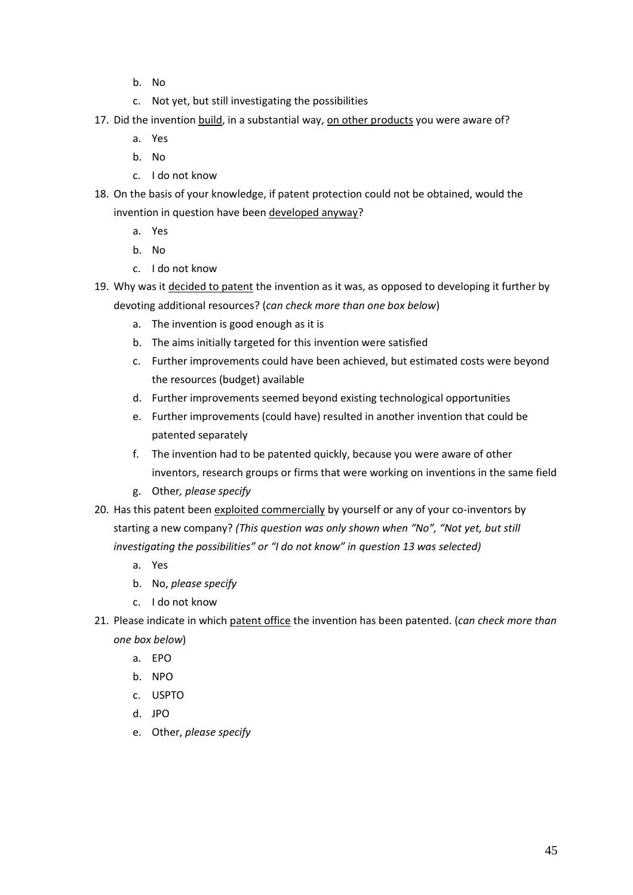- b. No
- c. Not yet, but still investigating the possibilities
- 17. Did the invention build, in a substantial way, on other products you were aware of?
	- a. Yes
	- b. No
	- c. I do not know
- 18. On the basis of your knowledge, if patent protection could not be obtained, would the invention in question have been developed anyway?
	- a. Yes
	- b. No
	- c. I do not know
- 19. Why was it decided to patent the invention as it was, as opposed to developing it further by devoting additional resources? (*can check more than one box below*)
	- a. The invention is good enough as it is
	- b. The aims initially targeted for this invention were satisfied
	- c. Further improvements could have been achieved, but estimated costs were beyond the resources (budget) available
	- d. Further improvements seemed beyond existing technological opportunities
	- e. Further improvements (could have) resulted in another invention that could be patented separately
	- f. The invention had to be patented quickly, because you were aware of other inventors, research groups or firms that were working on inventions in the same field
	- g. Other*, please specify*
- 20. Has this patent been exploited commercially by yourself or any of your co-inventors by starting a new company? *(This question was only shown when "No", "Not yet, but still investigating the possibilities" or "I do not know" in question 13 was selected)*
	- a. Yes
	- b. No, *please specify*
	- c. I do not know
- 21. Please indicate in which patent office the invention has been patented. (*can check more than one box below*)
	- a. EPO
	- b. NPO
	- c. USPTO
	- d. JPO
	- e. Other, *please specify*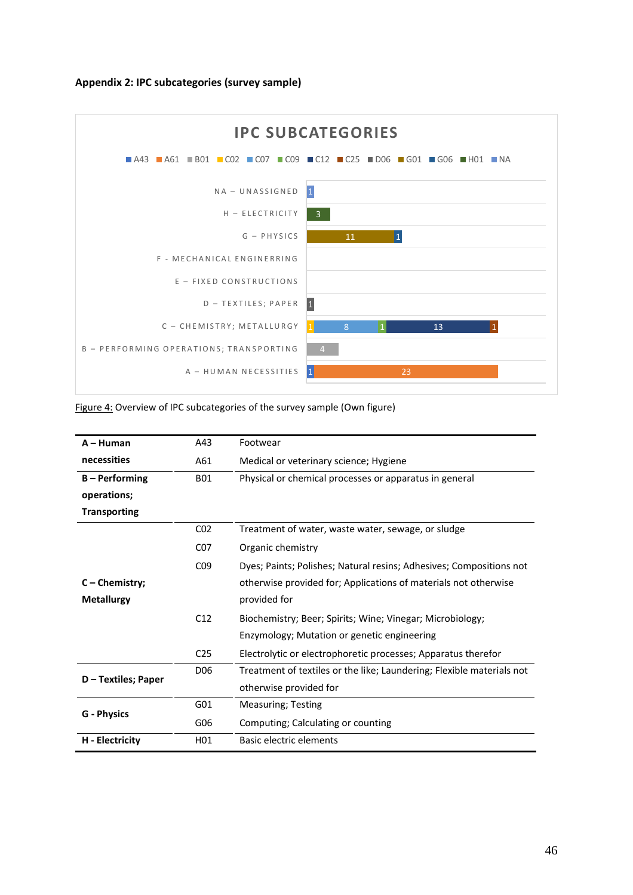#### <span id="page-51-0"></span>**Appendix 2: IPC subcategories (survey sample)**



| Figure 4: Overview of IPC subcategories of the survey sample (Own figure) |  |
|---------------------------------------------------------------------------|--|
|                                                                           |  |

| $A - H$ uman        | A43             | Footwear                                                              |
|---------------------|-----------------|-----------------------------------------------------------------------|
| necessities         | A61             | Medical or veterinary science; Hygiene                                |
| <b>B-Performing</b> | <b>B01</b>      | Physical or chemical processes or apparatus in general                |
| operations;         |                 |                                                                       |
| <b>Transporting</b> |                 |                                                                       |
|                     | CO <sub>2</sub> | Treatment of water, waste water, sewage, or sludge                    |
|                     | C <sub>07</sub> | Organic chemistry                                                     |
|                     | CO <sub>9</sub> | Dyes; Paints; Polishes; Natural resins; Adhesives; Compositions not   |
| $C$ – Chemistry;    |                 | otherwise provided for; Applications of materials not otherwise       |
| <b>Metallurgy</b>   |                 | provided for                                                          |
|                     | C12             | Biochemistry; Beer; Spirits; Wine; Vinegar; Microbiology;             |
|                     |                 | Enzymology; Mutation or genetic engineering                           |
|                     | C <sub>25</sub> | Electrolytic or electrophoretic processes; Apparatus therefor         |
| D - Textiles; Paper | D <sub>06</sub> | Treatment of textiles or the like; Laundering; Flexible materials not |
|                     |                 | otherwise provided for                                                |
| <b>G</b> - Physics  | G <sub>01</sub> | <b>Measuring; Testing</b>                                             |
|                     | G06             | Computing; Calculating or counting                                    |
| H - Electricity     | H01             | Basic electric elements                                               |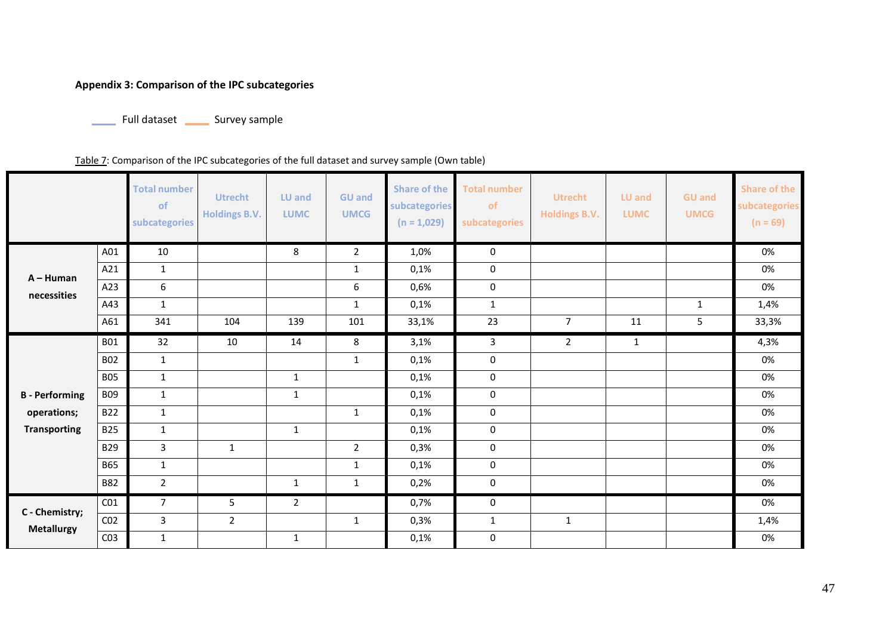# **Appendix 3: Comparison of the IPC subcategories**

Full dataset \_\_\_\_\_\_ Survey sample

Table 7: Comparison of the IPC subcategories of the full dataset and survey sample (Own table)

<span id="page-52-0"></span>

|                       |                 | <b>Total number</b><br>of<br>subcategories | <b>Utrecht</b><br><b>Holdings B.V.</b> | <b>LU and</b><br><b>LUMC</b> | <b>GU and</b><br><b>UMCG</b> | <b>Share of the</b><br>subcategories<br>$(n = 1,029)$ | <b>Total number</b><br>of<br>subcategories | <b>Utrecht</b><br><b>Holdings B.V.</b> | LU and<br><b>LUMC</b> | <b>GU and</b><br><b>UMCG</b> | <b>Share of the</b><br>subcategories<br>$(n = 69)$ |
|-----------------------|-----------------|--------------------------------------------|----------------------------------------|------------------------------|------------------------------|-------------------------------------------------------|--------------------------------------------|----------------------------------------|-----------------------|------------------------------|----------------------------------------------------|
|                       | A01             | 10                                         |                                        | 8                            | $\overline{2}$               | 1,0%                                                  | 0                                          |                                        |                       |                              | 0%                                                 |
| $A - H$ uman          | A21             | $\mathbf{1}$                               |                                        |                              | $\mathbf{1}$                 | 0,1%                                                  | $\pmb{0}$                                  |                                        |                       |                              | 0%                                                 |
| necessities           | A23             | 6                                          |                                        |                              | $\boldsymbol{6}$             | 0,6%                                                  | $\mathbf 0$                                |                                        |                       |                              | 0%                                                 |
|                       | A43             | $\mathbf{1}$                               |                                        |                              | $\mathbf{1}$                 | 0,1%                                                  | $\mathbf{1}$                               |                                        |                       | $\mathbf{1}$                 | 1,4%                                               |
|                       | A61             | 341                                        | 104                                    | 139                          | 101                          | 33,1%                                                 | 23                                         | $\overline{7}$                         | 11                    | 5                            | 33,3%                                              |
|                       | <b>B01</b>      | 32                                         | 10                                     | 14                           | 8                            | 3,1%                                                  | 3                                          | 2                                      | $\mathbf{1}$          |                              | 4,3%                                               |
|                       | <b>B02</b>      | $\mathbf{1}$                               |                                        |                              | $\mathbf{1}$                 | 0,1%                                                  | $\pmb{0}$                                  |                                        |                       |                              | 0%                                                 |
|                       | <b>B05</b>      | $\mathbf{1}$                               |                                        | $\mathbf{1}$                 |                              | 0,1%                                                  | $\mathbf 0$                                |                                        |                       |                              | 0%                                                 |
| <b>B</b> - Performing | <b>B09</b>      | 1                                          |                                        | $\mathbf{1}$                 |                              | 0,1%                                                  | $\pmb{0}$                                  |                                        |                       |                              | 0%                                                 |
| operations;           | <b>B22</b>      | $\mathbf{1}$                               |                                        |                              | $\mathbf{1}$                 | 0,1%                                                  | $\mathbf 0$                                |                                        |                       |                              | 0%                                                 |
| <b>Transporting</b>   | <b>B25</b>      | $\mathbf{1}$                               |                                        | $\mathbf{1}$                 |                              | 0,1%                                                  | $\mathbf 0$                                |                                        |                       |                              | 0%                                                 |
|                       | <b>B29</b>      | $\mathbf{3}$                               | $\mathbf{1}$                           |                              | $\overline{2}$               | 0,3%                                                  | $\mathbf 0$                                |                                        |                       |                              | 0%                                                 |
|                       | <b>B65</b>      | $\mathbf{1}$                               |                                        |                              | $\mathbf{1}$                 | 0,1%                                                  | $\mathbf 0$                                |                                        |                       |                              | 0%                                                 |
|                       | <b>B82</b>      | $\overline{2}$                             |                                        | 1                            | $\mathbf{1}$                 | 0,2%                                                  | $\pmb{0}$                                  |                                        |                       |                              | 0%                                                 |
|                       | CO <sub>1</sub> | $\overline{7}$                             | 5                                      | $\overline{2}$               |                              | 0,7%                                                  | 0                                          |                                        |                       |                              | 0%                                                 |
| C - Chemistry;        | CO <sub>2</sub> | 3                                          | $2^{\circ}$                            |                              | 1                            | 0,3%                                                  | $\mathbf{1}$                               | $\mathbf{1}$                           |                       |                              | 1,4%                                               |
| <b>Metallurgy</b>     | CO <sub>3</sub> | $\mathbf 1$                                |                                        | 1                            |                              | 0,1%                                                  | $\mathsf 0$                                |                                        |                       |                              | 0%                                                 |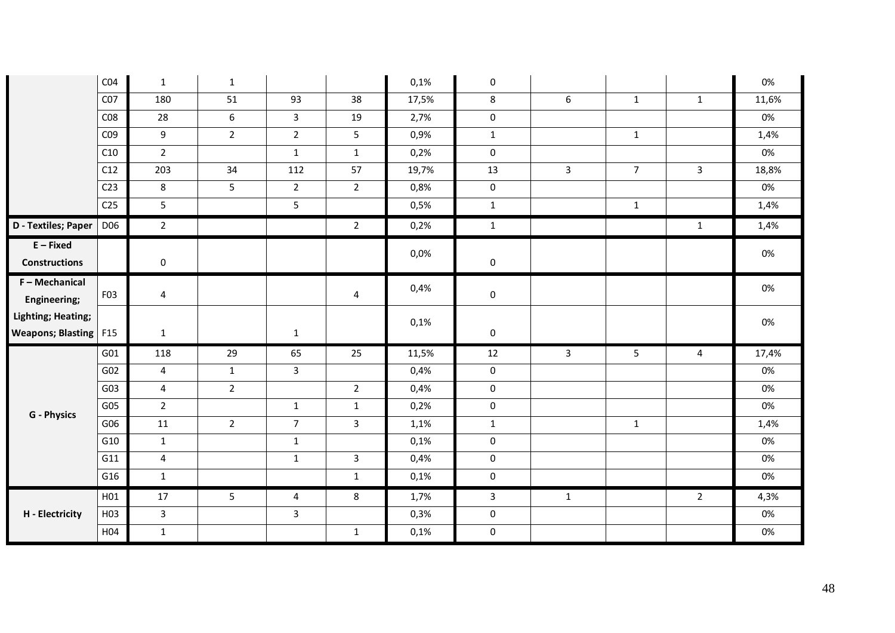|                                                             | CO <sub>4</sub>  | $\mathbf{1}$   | $\mathbf{1}$   |                |                | 0,1%    | $\mathbf 0$         |                |                |              | 0%    |
|-------------------------------------------------------------|------------------|----------------|----------------|----------------|----------------|---------|---------------------|----------------|----------------|--------------|-------|
|                                                             | CO <sub>7</sub>  | 180            | 51             | 93             | 38             | 17,5%   | 8                   | 6              | $\mathbf{1}$   | $\mathbf{1}$ | 11,6% |
|                                                             | CO8              | 28             | 6              | $\overline{3}$ | 19             | 2,7%    | $\mathsf{O}\xspace$ |                |                |              | 0%    |
|                                                             | C <sub>09</sub>  | 9              | $\overline{2}$ | $\overline{2}$ | 5              | 0,9%    | $\mathbf{1}$        |                | $\mathbf{1}$   |              | 1,4%  |
|                                                             | C10              | $2^{\circ}$    |                | $\mathbf{1}$   | $\mathbf{1}$   | 0,2%    | $\mathbf 0$         |                |                |              | 0%    |
|                                                             | C12              | 203            | 34             | 112            | 57             | 19,7%   | 13                  | $\overline{3}$ | $\overline{7}$ | $\mathbf{3}$ | 18,8% |
|                                                             | C <sub>23</sub>  | 8              | 5              | $\overline{2}$ | $\overline{2}$ | 0,8%    | $\mathbf 0$         |                |                |              | 0%    |
|                                                             | C <sub>25</sub>  | 5              |                | 5              |                | 0,5%    | $\mathbf{1}$        |                | $\mathbf{1}$   |              | 1,4%  |
| D - Textiles; Paper                                         | D06              | $\overline{2}$ |                |                | $\overline{2}$ | 0,2%    | $\mathbf{1}$        |                |                | $\mathbf{1}$ | 1,4%  |
| $E$ – Fixed<br><b>Constructions</b>                         |                  | 0              |                |                |                | $0,0\%$ | $\mathbf 0$         |                |                |              | 0%    |
| F - Mechanical<br>Engineering;                              | F <sub>0</sub> 3 | 4              |                |                | 4              | 0,4%    | $\mathbf 0$         |                |                |              | 0%    |
| <b>Lighting; Heating;</b><br><b>Weapons; Blasting   F15</b> |                  | $\mathbf{1}$   |                | $\mathbf{1}$   |                | 0,1%    | $\mathbf 0$         |                |                |              | 0%    |
|                                                             | G01              | 118            | 29             | 65             | 25             | 11,5%   | 12                  | $\overline{3}$ | 5              | 4            | 17,4% |
|                                                             | G02              | $\overline{4}$ | $\mathbf{1}$   | $\overline{3}$ |                | 0,4%    | $\mathsf{O}\xspace$ |                |                |              | 0%    |
|                                                             | G03              | $\overline{4}$ | $2^{\circ}$    |                | $2^{\circ}$    | 0,4%    | $\mathbf 0$         |                |                |              | 0%    |
| <b>G</b> - Physics                                          | G05              | $\overline{2}$ |                | $\mathbf{1}$   | $\mathbf{1}$   | 0,2%    | $\mathbf 0$         |                |                |              | 0%    |
|                                                             | G06              | 11             | $\overline{2}$ | $\overline{7}$ | $\overline{3}$ | 1,1%    | $\mathbf{1}$        |                | $\mathbf{1}$   |              | 1,4%  |
|                                                             | G10              | $\mathbf{1}$   |                | $\mathbf{1}$   |                | 0,1%    | $\mathbf 0$         |                |                |              | 0%    |
|                                                             | G11              | $\overline{4}$ |                | $\mathbf{1}$   | $\mathbf{3}$   | 0,4%    | $\mathsf{O}\xspace$ |                |                |              | 0%    |
|                                                             | G16              | $\mathbf{1}$   |                |                | $\mathbf{1}$   | 0,1%    | $\mathbf 0$         |                |                |              | 0%    |
|                                                             | H01              | 17             | 5              | $\overline{4}$ | 8              | 1,7%    | $\mathbf{3}$        | $\mathbf{1}$   |                | $2^{\circ}$  | 4,3%  |
| H - Electricity                                             | H03              | $\mathbf{3}$   |                | $\mathbf{3}$   |                | 0,3%    | $\mathbf 0$         |                |                |              | 0%    |
|                                                             | H04              | $\mathbf{1}$   |                |                | $\mathbf{1}$   | 0,1%    | $\mathbf 0$         |                |                |              | 0%    |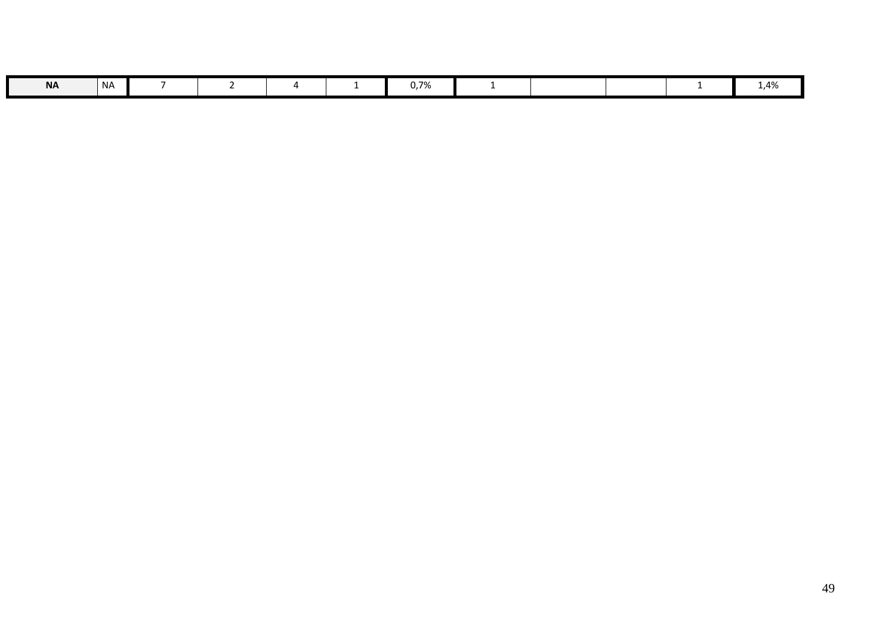| <b>NA</b> | l NA |  |  | 0,7% |  |  | .,4% |
|-----------|------|--|--|------|--|--|------|
|           |      |  |  |      |  |  |      |